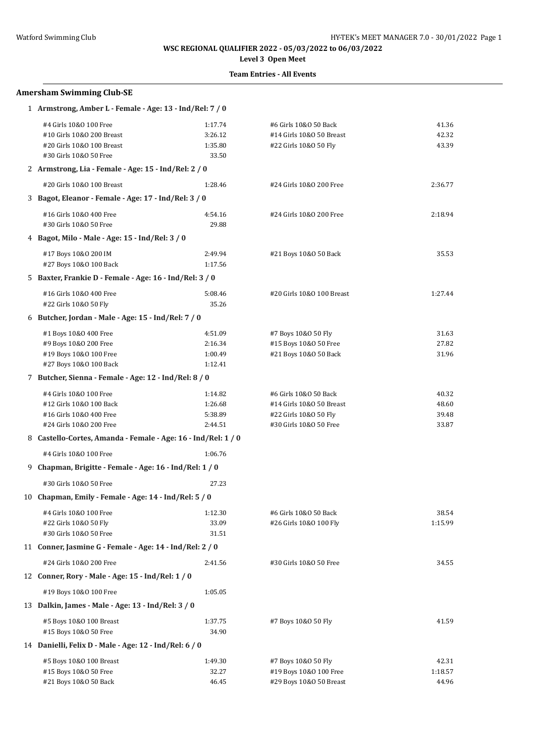**Level 3 Open Meet**

| <b>Amersham Swimming Club-SE</b>                                                                           |                                          |                                                                                                      |                                  |  |
|------------------------------------------------------------------------------------------------------------|------------------------------------------|------------------------------------------------------------------------------------------------------|----------------------------------|--|
| 1 Armstrong, Amber L - Female - Age: 13 - Ind/Rel: 7 / 0                                                   |                                          |                                                                                                      |                                  |  |
| #4 Girls 10&0 100 Free<br>#10 Girls 10&0 200 Breast<br>#20 Girls 10&0 100 Breast<br>#30 Girls 10&0 50 Free | 1:17.74<br>3:26.12<br>1:35.80<br>33.50   | #6 Girls 10&0 50 Back<br>#14 Girls 10&0 50 Breast<br>#22 Girls 10&0 50 Fly                           | 41.36<br>42.32<br>43.39          |  |
| 2 Armstrong, Lia - Female - Age: 15 - Ind/Rel: 2 / 0                                                       |                                          |                                                                                                      |                                  |  |
| #20 Girls 10&0 100 Breast                                                                                  | 1:28.46                                  | #24 Girls 10&0 200 Free                                                                              | 2:36.77                          |  |
| 3 Bagot, Eleanor - Female - Age: 17 - Ind/Rel: 3 / 0                                                       |                                          |                                                                                                      |                                  |  |
| #16 Girls 10&0 400 Free<br>#30 Girls 10&0 50 Free                                                          | 4:54.16<br>29.88                         | #24 Girls 10&0 200 Free                                                                              | 2:18.94                          |  |
| 4 Bagot, Milo - Male - Age: 15 - Ind/Rel: 3 / 0                                                            |                                          |                                                                                                      |                                  |  |
| #17 Boys 10&0 200 IM<br>#27 Boys 10&0 100 Back                                                             | 2:49.94<br>1:17.56                       | #21 Boys 10&0 50 Back                                                                                | 35.53                            |  |
| 5 Baxter, Frankie D - Female - Age: 16 - Ind/Rel: 3 / 0                                                    |                                          |                                                                                                      |                                  |  |
| #16 Girls 10&0 400 Free<br>#22 Girls 10&0 50 Fly                                                           | 5:08.46<br>35.26                         | #20 Girls 10&0 100 Breast                                                                            | 1:27.44                          |  |
| 6 Butcher, Jordan - Male - Age: 15 - Ind/Rel: 7 / 0                                                        |                                          |                                                                                                      |                                  |  |
| #1 Boys 10&0 400 Free<br>#9 Boys 10&0 200 Free<br>#19 Boys 10&0 100 Free<br>#27 Boys 10&0 100 Back         | 4:51.09<br>2:16.34<br>1:00.49<br>1:12.41 | #7 Boys 10&0 50 Fly<br>#15 Boys 10&0 50 Free<br>#21 Boys 10&0 50 Back                                | 31.63<br>27.82<br>31.96          |  |
| 7 Butcher, Sienna - Female - Age: 12 - Ind/Rel: 8 / 0                                                      |                                          |                                                                                                      |                                  |  |
| #4 Girls 10&0 100 Free<br>#12 Girls 10&0 100 Back<br>#16 Girls 10&0 400 Free<br>#24 Girls 10&0 200 Free    | 1:14.82<br>1:26.68<br>5:38.89<br>2:44.51 | #6 Girls 10&0 50 Back<br>#14 Girls 10&0 50 Breast<br>#22 Girls 10&0 50 Fly<br>#30 Girls 10&0 50 Free | 40.32<br>48.60<br>39.48<br>33.87 |  |
| 8 Castello-Cortes, Amanda - Female - Age: 16 - Ind/Rel: 1 / 0                                              |                                          |                                                                                                      |                                  |  |
| #4 Girls 10&0 100 Free                                                                                     | 1:06.76                                  |                                                                                                      |                                  |  |
| 9 Chapman, Brigitte - Female - Age: 16 - Ind/Rel: 1 / 0                                                    |                                          |                                                                                                      |                                  |  |
| #30 Girls 10&0 50 Free                                                                                     | 27.23                                    |                                                                                                      |                                  |  |
| 10 Chapman, Emily - Female - Age: 14 - Ind/Rel: 5 / 0                                                      |                                          |                                                                                                      |                                  |  |
| #4 Girls 10&0 100 Free<br>#22 Girls 10&0 50 Fly<br>#30 Girls 10&0 50 Free                                  | 1:12.30<br>33.09<br>31.51                | #6 Girls 10&0 50 Back<br>#26 Girls 10&0 100 Fly                                                      | 38.54<br>1:15.99                 |  |
| 11 Conner, Jasmine G - Female - Age: 14 - Ind/Rel: 2 / 0                                                   |                                          |                                                                                                      |                                  |  |
| #24 Girls 10&0 200 Free                                                                                    | 2:41.56                                  | #30 Girls 10&0 50 Free                                                                               | 34.55                            |  |
| 12 Conner, Rory - Male - Age: 15 - Ind/Rel: 1 / 0                                                          |                                          |                                                                                                      |                                  |  |
| #19 Boys 10&0 100 Free                                                                                     | 1:05.05                                  |                                                                                                      |                                  |  |
| 13 Dalkin, James - Male - Age: 13 - Ind/Rel: 3 / 0                                                         |                                          |                                                                                                      |                                  |  |
| #5 Boys 10&0 100 Breast<br>#15 Boys 10&0 50 Free                                                           | 1:37.75<br>34.90                         | #7 Boys 10&0 50 Fly                                                                                  | 41.59                            |  |
| 14 Danielli, Felix D - Male - Age: 12 - Ind/Rel: 6 / 0                                                     |                                          |                                                                                                      |                                  |  |
| #5 Boys 10&0 100 Breast<br>#15 Boys 10&0 50 Free<br>#21 Boys 10&0 50 Back                                  | 1:49.30<br>32.27<br>46.45                | #7 Boys 10&0 50 Fly<br>#19 Boys 10&0 100 Free<br>#29 Boys 10&0 50 Breast                             | 42.31<br>1:18.57<br>44.96        |  |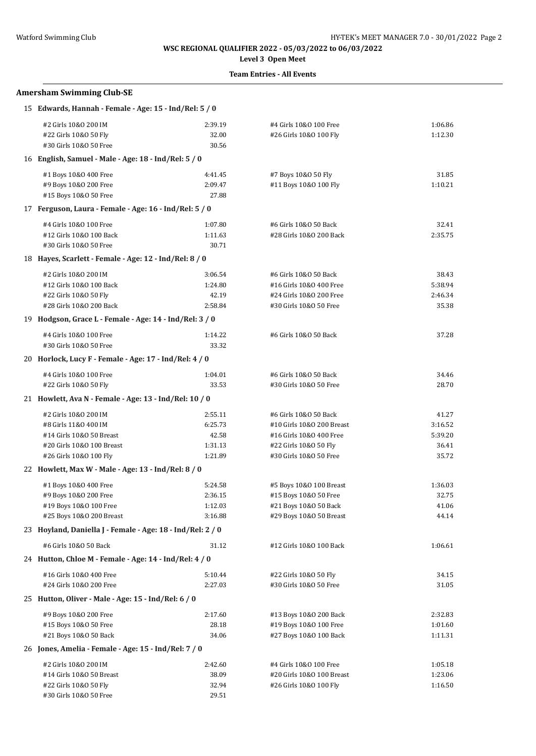**Level 3 Open Meet**

| <b>Amersham Swimming Club-SE</b>                           |                    |                                                     |                    |
|------------------------------------------------------------|--------------------|-----------------------------------------------------|--------------------|
| 15 Edwards, Hannah - Female - Age: 15 - Ind/Rel: 5 / 0     |                    |                                                     |                    |
| #2 Girls 10&0 200 IM                                       | 2:39.19            | #4 Girls 10&0 100 Free                              | 1:06.86            |
| #22 Girls 10&0 50 Fly                                      | 32.00              | #26 Girls 10&0 100 Fly                              | 1:12.30            |
| #30 Girls 10&0 50 Free                                     | 30.56              |                                                     |                    |
| 16 English, Samuel - Male - Age: 18 - Ind/Rel: 5 / 0       |                    |                                                     |                    |
| #1 Boys 10&0 400 Free                                      | 4:41.45            | #7 Boys 10&0 50 Fly                                 | 31.85              |
| #9 Boys 10&0 200 Free                                      | 2:09.47            | #11 Boys 10&0 100 Fly                               | 1:10.21            |
| #15 Boys 10&0 50 Free                                      | 27.88              |                                                     |                    |
| 17 Ferguson, Laura - Female - Age: 16 - Ind/Rel: 5 / 0     |                    |                                                     |                    |
| #4 Girls 10&0 100 Free                                     | 1:07.80            | #6 Girls 10&0 50 Back                               | 32.41              |
| #12 Girls 10&0 100 Back                                    | 1:11.63            | #28 Girls 10&0 200 Back                             | 2:35.75            |
| #30 Girls 10&0 50 Free                                     | 30.71              |                                                     |                    |
| 18 Hayes, Scarlett - Female - Age: 12 - Ind/Rel: 8 / 0     |                    |                                                     |                    |
| #2 Girls 10&0 200 IM                                       | 3:06.54            | #6 Girls 10&0 50 Back                               | 38.43              |
| #12 Girls 10&0 100 Back                                    | 1:24.80            | #16 Girls 10&0 400 Free                             | 5:38.94            |
| #22 Girls 10&0 50 Fly                                      | 42.19              | #24 Girls 10&0 200 Free                             | 2:46.34            |
| #28 Girls 10&0 200 Back                                    | 2:58.84            | #30 Girls 10&0 50 Free                              | 35.38              |
| 19 Hodgson, Grace L - Female - Age: 14 - Ind/Rel: 3 / 0    |                    |                                                     |                    |
| #4 Girls 10&0 100 Free                                     | 1:14.22            | #6 Girls 10&0 50 Back                               | 37.28              |
| #30 Girls 10&0 50 Free                                     | 33.32              |                                                     |                    |
| 20 Horlock, Lucy F - Female - Age: 17 - Ind/Rel: 4 / 0     |                    |                                                     |                    |
| #4 Girls 10&0 100 Free                                     | 1:04.01            | #6 Girls 10&0 50 Back                               | 34.46              |
| #22 Girls 10&0 50 Fly                                      | 33.53              | #30 Girls 10&0 50 Free                              | 28.70              |
| 21 Howlett, Ava N - Female - Age: 13 - Ind/Rel: 10 / 0     |                    |                                                     |                    |
| #2 Girls 10&0 200 IM                                       | 2:55.11            | #6 Girls 10&0 50 Back                               | 41.27              |
| #8 Girls 11&0 400 IM                                       | 6:25.73            | #10 Girls 10&0 200 Breast                           | 3:16.52            |
| #14 Girls 10&0 50 Breast                                   | 42.58              | #16 Girls 10&0 400 Free                             | 5:39.20            |
| #20 Girls 10&0 100 Breast                                  | 1:31.13            | #22 Girls 10&0 50 Fly                               | 36.41<br>35.72     |
| #26 Girls 10&0 100 Fly                                     | 1:21.89            | #30 Girls 10&0 50 Free                              |                    |
| 22 Howlett, Max W - Male - Age: 13 - Ind/Rel: 8 / 0        |                    |                                                     |                    |
| #1 Boys 10&0 400 Free                                      | 5:24.58            | #5 Boys 10&0 100 Breast                             | 1:36.03            |
| #9 Boys 10&0 200 Free                                      | 2:36.15            | #15 Boys 10&0 50 Free                               | 32.75              |
| #19 Boys 10&0 100 Free<br>#25 Boys 10&0 200 Breast         | 1:12.03<br>3:16.88 | #21 Boys 10&0 50 Back<br>#29 Boys 10&0 50 Breast    | 41.06<br>44.14     |
| 23 Hoyland, Daniella J - Female - Age: 18 - Ind/Rel: 2 / 0 |                    |                                                     |                    |
| #6 Girls 10&0 50 Back                                      | 31.12              | #12 Girls 10&0 100 Back                             | 1:06.61            |
| 24 Hutton, Chloe M - Female - Age: 14 - Ind/Rel: 4 / 0     |                    |                                                     |                    |
|                                                            |                    |                                                     |                    |
| #16 Girls 10&0 400 Free<br>#24 Girls 10&0 200 Free         | 5:10.44<br>2:27.03 | #22 Girls 10&0 50 Fly<br>#30 Girls 10&0 50 Free     | 34.15<br>31.05     |
| 25 Hutton, Oliver - Male - Age: 15 - Ind/Rel: 6 / 0        |                    |                                                     |                    |
|                                                            |                    |                                                     |                    |
| #9 Boys 10&0 200 Free                                      | 2:17.60            | #13 Boys 10&0 200 Back                              | 2:32.83            |
| #15 Boys 10&0 50 Free<br>#21 Boys 10&0 50 Back             | 28.18<br>34.06     | #19 Boys 10&0 100 Free<br>#27 Boys 10&0 100 Back    | 1:01.60<br>1:11.31 |
| 26 Jones, Amelia - Female - Age: 15 - Ind/Rel: 7 / 0       |                    |                                                     |                    |
|                                                            |                    |                                                     |                    |
| #2 Girls 10&0 200 IM<br>#14 Girls 10&0 50 Breast           | 2:42.60<br>38.09   | #4 Girls 10&0 100 Free<br>#20 Girls 10&0 100 Breast | 1:05.18<br>1:23.06 |
| #22 Girls 10&0 50 Fly                                      | 32.94              | #26 Girls 10&0 100 Fly                              | 1:16.50            |
| #30 Girls 10&0 50 Free                                     | 29.51              |                                                     |                    |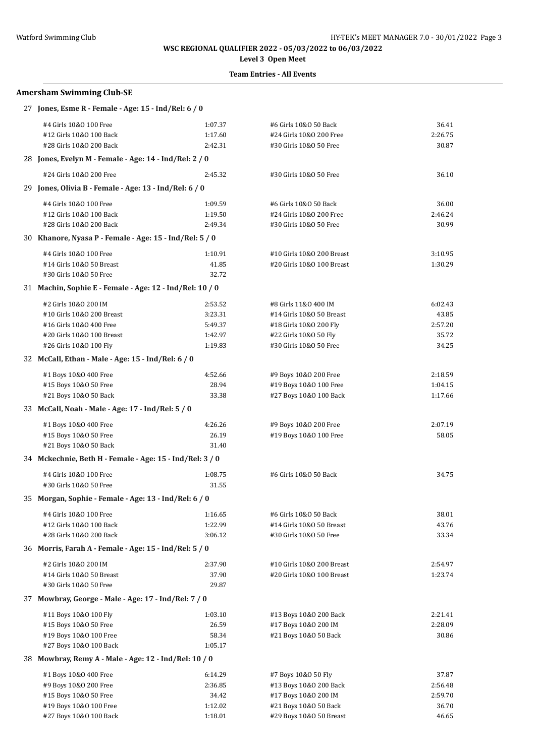# **Level 3 Open Meet**

## **Team Entries - All Events**

### **Amersham Swimming Club-SE**

| 27 Jones, Esme R - Female - Age: 15 - Ind/Rel: 6 / 0     |         |                           |         |
|----------------------------------------------------------|---------|---------------------------|---------|
| #4 Girls 10&0 100 Free                                   | 1:07.37 | #6 Girls 10&0 50 Back     | 36.41   |
| #12 Girls 10&0 100 Back                                  | 1:17.60 | #24 Girls 10&0 200 Free   | 2:26.75 |
| #28 Girls 10&0 200 Back                                  | 2:42.31 | #30 Girls 10&0 50 Free    | 30.87   |
| 28 Jones, Evelyn M - Female - Age: 14 - Ind/Rel: 2 / 0   |         |                           |         |
| #24 Girls 10&0 200 Free                                  | 2:45.32 | #30 Girls 10&0 50 Free    | 36.10   |
| 29 Jones, Olivia B - Female - Age: 13 - Ind/Rel: 6 / 0   |         |                           |         |
| #4 Girls 10&0 100 Free                                   | 1:09.59 | #6 Girls 10&0 50 Back     | 36.00   |
| #12 Girls 10&0 100 Back                                  | 1:19.50 | #24 Girls 10&0 200 Free   | 2:46.24 |
| #28 Girls 10&0 200 Back                                  | 2:49.34 | #30 Girls 10&0 50 Free    | 30.99   |
| 30 Khanore, Nyasa P - Female - Age: 15 - Ind/Rel: 5 / 0  |         |                           |         |
| #4 Girls 10&0 100 Free                                   | 1:10.91 | #10 Girls 10&0 200 Breast | 3:10.95 |
| #14 Girls 10&0 50 Breast                                 | 41.85   | #20 Girls 10&0 100 Breast | 1:30.29 |
| #30 Girls 10&0 50 Free                                   | 32.72   |                           |         |
| 31 Machin, Sophie E - Female - Age: 12 - Ind/Rel: 10 / 0 |         |                           |         |
| #2 Girls 10&0 200 IM                                     | 2:53.52 | #8 Girls 11&0 400 IM      | 6:02.43 |
| #10 Girls 10&0 200 Breast                                | 3:23.31 | #14 Girls 10&0 50 Breast  | 43.85   |
| #16 Girls 10&0 400 Free                                  | 5:49.37 | #18 Girls 10&0 200 Fly    | 2:57.20 |
| #20 Girls 10&0 100 Breast                                | 1:42.97 | #22 Girls 10&0 50 Fly     | 35.72   |
| #26 Girls 10&0 100 Fly                                   | 1:19.83 | #30 Girls 10&0 50 Free    | 34.25   |
| 32 McCall, Ethan - Male - Age: 15 - Ind/Rel: 6 / 0       |         |                           |         |
| #1 Boys 10&0 400 Free                                    | 4:52.66 | #9 Boys 10&0 200 Free     | 2:18.59 |
| #15 Boys 10&0 50 Free                                    | 28.94   | #19 Boys 10&0 100 Free    | 1:04.15 |
| #21 Boys 10&0 50 Back                                    | 33.38   | #27 Boys 10&0 100 Back    | 1:17.66 |
| 33 McCall, Noah - Male - Age: 17 - Ind/Rel: 5 / 0        |         |                           |         |
| #1 Boys 10&0 400 Free                                    | 4:26.26 | #9 Boys 10&0 200 Free     | 2:07.19 |
| #15 Boys 10&0 50 Free                                    | 26.19   | #19 Boys 10&0 100 Free    | 58.05   |
| #21 Boys 10&0 50 Back                                    | 31.40   |                           |         |
| 34 Mckechnie, Beth H - Female - Age: 15 - Ind/Rel: 3 / 0 |         |                           |         |
| #4 Girls 10&0 100 Free                                   | 1:08.75 | #6 Girls 10&0 50 Back     | 34.75   |
| #30 Girls 10&0 50 Free                                   | 31.55   |                           |         |
| 35 Morgan, Sophie - Female - Age: 13 - Ind/Rel: 6 / 0    |         |                           |         |
| #4 Girls 10&0 100 Free                                   | 1:16.65 | #6 Girls 10&0 50 Back     | 38.01   |
| #12 Girls 10&0 100 Back                                  | 1:22.99 | #14 Girls 10&0 50 Breast  | 43.76   |
| #28 Girls 10&0 200 Back                                  | 3:06.12 | #30 Girls 10&0 50 Free    | 33.34   |
| 36 Morris, Farah A - Female - Age: 15 - Ind/Rel: 5 / 0   |         |                           |         |
| #2 Girls 10&0 200 IM                                     | 2:37.90 | #10 Girls 10&0 200 Breast | 2:54.97 |
| #14 Girls 10&0 50 Breast                                 | 37.90   | #20 Girls 10&0 100 Breast | 1:23.74 |
| #30 Girls 10&0 50 Free                                   | 29.87   |                           |         |
| 37 Mowbray, George - Male - Age: 17 - Ind/Rel: 7 / 0     |         |                           |         |
| #11 Boys 10&0 100 Fly                                    | 1:03.10 | #13 Boys 10&0 200 Back    | 2:21.41 |
| #15 Boys 10&0 50 Free                                    | 26.59   | #17 Boys 10&0 200 IM      | 2:28.09 |
| #19 Boys 10&0 100 Free                                   | 58.34   | #21 Boys 10&0 50 Back     | 30.86   |
| #27 Boys 10&0 100 Back                                   | 1:05.17 |                           |         |
| 38 Mowbray, Remy A - Male - Age: 12 - Ind/Rel: 10 / 0    |         |                           |         |
| #1 Boys 10&0 400 Free                                    | 6:14.29 | #7 Boys 10&0 50 Fly       | 37.87   |
| #9 Boys 10&0 200 Free                                    | 2:36.85 | #13 Boys 10&0 200 Back    | 2:56.48 |
| #15 Boys 10&0 50 Free                                    | 34.42   | #17 Boys 10&0 200 IM      | 2:59.70 |
| #19 Boys 10&0 100 Free                                   | 1:12.02 | #21 Boys 10&0 50 Back     | 36.70   |
| #27 Boys 10&0 100 Back                                   | 1:18.01 | #29 Boys 10&0 50 Breast   | 46.65   |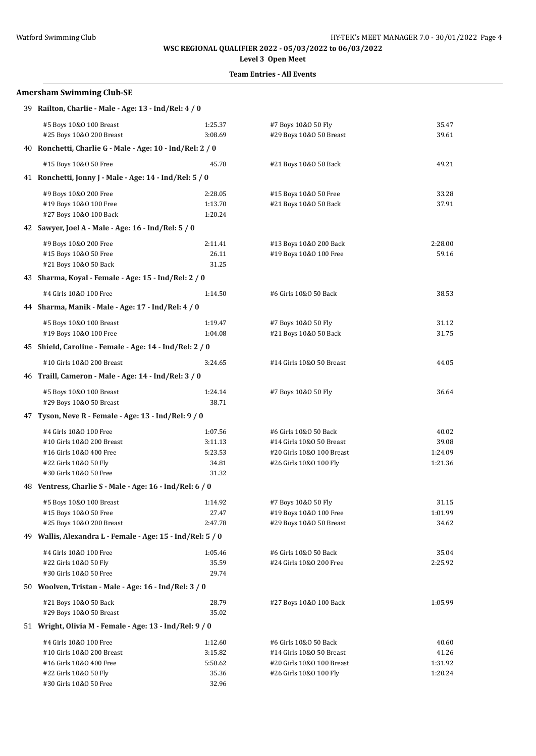# **Level 3 Open Meet**

### **Team Entries - All Events**

# **Amersham Swimming Club-SE** 39 **Railton, Charlie - Male - Age: 13 - Ind/Rel: 4 / 0** #5 Boys 10&O 100 Breast 1:25.37 #7 Boys 10&O 50 Fly 35.47 #25 Boys 10&O 200 Breast 3:08.69 #29 Boys 10&O 50 Breast 39.61 40 **Ronchetti, Charlie G - Male - Age: 10 - Ind/Rel: 2 / 0** #15 Boys 10&O 50 Free 45.78 #21 Boys 10&O 50 Back 49.21 41 **Ronchetti, Jonny J - Male - Age: 14 - Ind/Rel: 5 / 0** #9 Boys 10&O 200 Free 2:28.05 #15 Boys 10&O 50 Free 33.28 #19 Boys 10&O 100 Free 1:13.70 #21 Boys 10&O 50 Back 37.91 #27 Boys 10&O 100 Back 1:20.24 42 **Sawyer, Joel A - Male - Age: 16 - Ind/Rel: 5 / 0** #9 Boys 10&O 200 Free 2:11.41 #13 Boys 10&O 200 Back 2:28.00 #15 Boys 10&O 50 Free 26.11 #19 Boys 10&O 100 Free 59.16 #21 Boys 10&O 50 Back 31.25 43 **Sharma, Koyal - Female - Age: 15 - Ind/Rel: 2 / 0** #4 Girls 10&O 100 Free 1:14.50 #6 Girls 10&O 50 Back 38.53 44 **Sharma, Manik - Male - Age: 17 - Ind/Rel: 4 / 0** #5 Boys 10&O 100 Breast 1:19.47 #7 Boys 10&O 50 Fly 31.12 #19 Boys 10&O 100 Free 1:04.08 #21 Boys 10&O 50 Back 31.75 45 **Shield, Caroline - Female - Age: 14 - Ind/Rel: 2 / 0** #10 Girls 10&O 200 Breast 3:24.65 #14 Girls 10&O 50 Breast 44.05 46 **Traill, Cameron - Male - Age: 14 - Ind/Rel: 3 / 0** #5 Boys 10&O 100 Breast 1:24.14 #7 Boys 10&O 50 Fly 36.64 #29 Boys 10&O 50 Breast 38.71 47 **Tyson, Neve R - Female - Age: 13 - Ind/Rel: 9 / 0** #4 Girls 10&O 100 Free 1:07.56 #6 Girls 10&O 50 Back 40.02 #10 Girls 10&O 200 Breast 3:11.13 #14 Girls 10&O 50 Breast 39.08 #16 Girls 10&O 400 Free 5:23.53 #20 Girls 10&O 100 Breast 1:24.09 #22 Girls 10&O 50 Fly 34.81 #26 Girls 10&O 100 Fly 1:21.36 #30 Girls 10&O 50 Free 31.32 48 **Ventress, Charlie S - Male - Age: 16 - Ind/Rel: 6 / 0** #5 Boys 10&O 100 Breast 1:14.92 #7 Boys 10&O 50 Fly 31.15 #15 Boys 10&O 50 Free 27.47 #19 Boys 10&O 100 Free 1:01.99 #25 Boys 10&O 200 Breast 2:47.78 #29 Boys 10&O 50 Breast 34.62 49 **Wallis, Alexandra L - Female - Age: 15 - Ind/Rel: 5 / 0** #4 Girls 10&O 100 Free 1:05.46 #6 Girls 10&O 50 Back 35.04 #22 Girls 10&O 50 Fly 35.59 #24 Girls 10&O 200 Free 2:25.92 #30 Girls 10&O 50 Free 29.74 50 **Woolven, Tristan - Male - Age: 16 - Ind/Rel: 3 / 0** #21 Boys 10&O 50 Back 28.79 #27 Boys 10&O 100 Back 1:05.99 #29 Boys 10&O 50 Breast 35.02 51 **Wright, Olivia M - Female - Age: 13 - Ind/Rel: 9 / 0** #4 Girls 10&O 100 Free 1:12.60 #6 Girls 10&O 50 Back 40.60 #10 Girls 10&O 200 Breast 3:15.82 #14 Girls 10&O 50 Breast 41.26 #16 Girls 10&O 400 Free 5:50.62 #20 Girls 10&O 100 Breast 1:31.92 #22 Girls 10&O 50 Fly 35.36 #26 Girls 10&O 100 Fly 1:20.24 #30 Girls 10&O 50 Free 32.96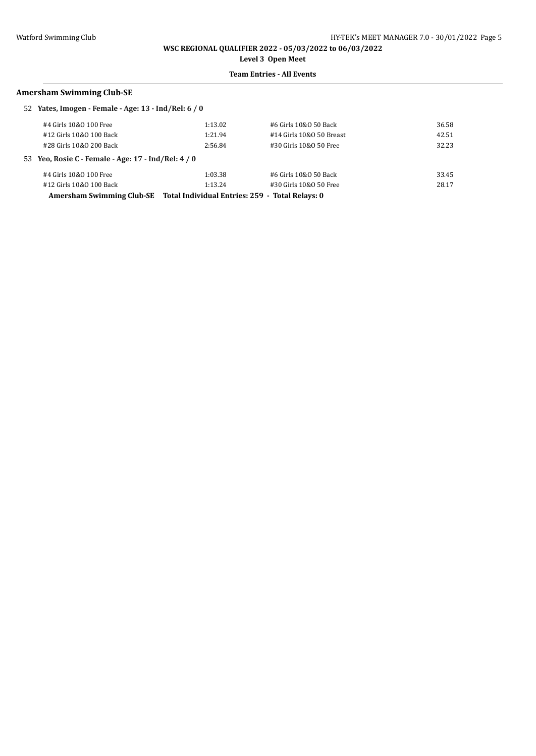**Level 3 Open Meet**

### **Team Entries - All Events**

#### **Amersham Swimming Club-SE**

| 52 Yates, Imogen - Female - Age: 13 - Ind/Rel: 6 / 0                      |         |                          |       |
|---------------------------------------------------------------------------|---------|--------------------------|-------|
| #4 Girls 10&0 100 Free                                                    | 1:13.02 | #6 Girls 10&0 50 Back    | 36.58 |
| #12 Girls 10&0 100 Back                                                   | 1:21.94 | #14 Girls 10&0 50 Breast | 42.51 |
| #28 Girls 10&0 200 Back                                                   | 2:56.84 | #30 Girls 10&0 50 Free   | 32.23 |
| 53 Yeo, Rosie C - Female - Age: 17 - Ind/Rel: 4 / 0                       |         |                          |       |
| #4 Girls 10&0 100 Free                                                    | 1:03.38 | #6 Girls 10&0 50 Back    | 33.45 |
| #12 Girls 10&0 100 Back                                                   | 1:13.24 | #30 Girls 10&0 50 Free   | 28.17 |
| Amersham Swimming Club-SE Total Individual Entries: 259 - Total Relays: 0 |         |                          |       |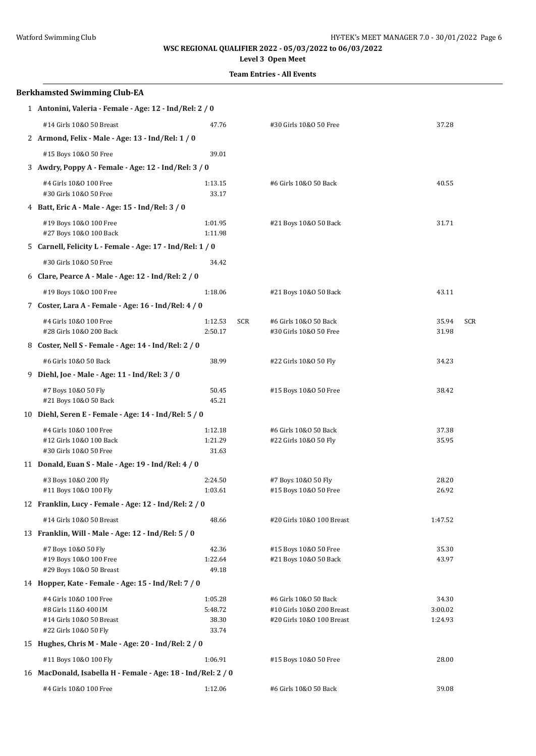# **Level 3 Open Meet**

| <b>Berkhamsted Swimming Club-EA</b>                                           |                                  |                                                 |                              |  |
|-------------------------------------------------------------------------------|----------------------------------|-------------------------------------------------|------------------------------|--|
| 1 Antonini, Valeria - Female - Age: 12 - Ind/Rel: 2 / 0                       |                                  |                                                 |                              |  |
| #14 Girls 10&0 50 Breast                                                      | 47.76                            | #30 Girls 10&0 50 Free                          | 37.28                        |  |
| 2 Armond, Felix - Male - Age: 13 - Ind/Rel: 1 / 0                             |                                  |                                                 |                              |  |
| #15 Boys 10&0 50 Free                                                         | 39.01                            |                                                 |                              |  |
| 3 Awdry, Poppy A - Female - Age: 12 - Ind/Rel: 3 / 0                          |                                  |                                                 |                              |  |
| #4 Girls 10&0 100 Free<br>#30 Girls 10&0 50 Free                              | 1:13.15<br>33.17                 | #6 Girls 10&0 50 Back                           | 40.55                        |  |
| 4 Batt, Eric A - Male - Age: 15 - Ind/Rel: 3 / 0                              |                                  |                                                 |                              |  |
| #19 Boys 10&0 100 Free<br>#27 Boys 10&0 100 Back                              | 1:01.95<br>1:11.98               | #21 Boys 10&0 50 Back                           | 31.71                        |  |
| 5 Carnell, Felicity L - Female - Age: 17 - Ind/Rel: 1 / 0                     |                                  |                                                 |                              |  |
| #30 Girls 10&0 50 Free                                                        | 34.42                            |                                                 |                              |  |
| 6 Clare, Pearce A - Male - Age: 12 - Ind/Rel: 2 / 0                           |                                  |                                                 |                              |  |
| #19 Boys 10&0 100 Free                                                        | 1:18.06                          | #21 Boys 10&0 50 Back                           | 43.11                        |  |
| 7 Coster, Lara A - Female - Age: 16 - Ind/Rel: 4 / 0                          |                                  |                                                 |                              |  |
| #4 Girls 10&0 100 Free<br>#28 Girls 10&0 200 Back                             | 1:12.53<br><b>SCR</b><br>2:50.17 | #6 Girls 10&0 50 Back<br>#30 Girls 10&0 50 Free | 35.94<br><b>SCR</b><br>31.98 |  |
| 8 Coster, Nell S - Female - Age: 14 - Ind/Rel: 2 / 0                          |                                  |                                                 |                              |  |
| #6 Girls 10&0 50 Back                                                         | 38.99                            | #22 Girls 10&0 50 Fly                           | 34.23                        |  |
| 9 Diehl, Joe - Male - Age: 11 - Ind/Rel: 3 / 0                                |                                  |                                                 |                              |  |
| #7 Boys 10&0 50 Fly<br>#21 Boys 10&0 50 Back                                  | 50.45<br>45.21                   | #15 Boys 10&0 50 Free                           | 38.42                        |  |
| 10 Diehl, Seren E - Female - Age: 14 - Ind/Rel: 5 / 0                         |                                  |                                                 |                              |  |
| #4 Girls 10&0 100 Free                                                        | 1:12.18                          | #6 Girls 10&0 50 Back                           | 37.38                        |  |
| #12 Girls 10&0 100 Back<br>#30 Girls 10&0 50 Free                             | 1:21.29<br>31.63                 | #22 Girls 10&0 50 Fly                           | 35.95                        |  |
| 11 Donald, Euan S - Male - Age: 19 - Ind/Rel: 4 / 0                           |                                  |                                                 |                              |  |
| #3 Boys 10&0 200 Fly                                                          | 2:24.50                          | #7 Boys 10&0 50 Fly                             | 28.20                        |  |
| #11 Boys 10&0 100 Fly                                                         | 1:03.61                          | #15 Boys 10&0 50 Free                           | 26.92                        |  |
| 12 Franklin, Lucy - Female - Age: 12 - Ind/Rel: 2 / 0                         |                                  |                                                 |                              |  |
| #14 Girls 10&0 50 Breast                                                      | 48.66                            | #20 Girls 10&0 100 Breast                       | 1:47.52                      |  |
| 13 Franklin, Will - Male - Age: 12 - Ind/Rel: 5 / 0                           |                                  |                                                 |                              |  |
| #7 Boys 10&0 50 Fly<br>#19 Boys 10&0 100 Free<br>#29 Boys 10&0 50 Breast      | 42.36<br>1:22.64<br>49.18        | #15 Boys 10&0 50 Free<br>#21 Boys 10&0 50 Back  | 35.30<br>43.97               |  |
| 14 Hopper, Kate - Female - Age: 15 - Ind/Rel: 7 / 0                           |                                  |                                                 |                              |  |
| #4 Girls 10&0 100 Free                                                        | 1:05.28                          | #6 Girls 10&0 50 Back                           | 34.30                        |  |
| #8 Girls 11&0 400 IM                                                          | 5:48.72                          | #10 Girls 10&0 200 Breast                       | 3:00.02                      |  |
| #14 Girls 10&0 50 Breast                                                      | 38.30                            | #20 Girls 10&0 100 Breast                       | 1:24.93                      |  |
| #22 Girls 10&0 50 Fly<br>15 Hughes, Chris M - Male - Age: 20 - Ind/Rel: 2 / 0 | 33.74                            |                                                 |                              |  |
|                                                                               |                                  |                                                 |                              |  |
| #11 Boys 10&0 100 Fly                                                         | 1:06.91                          | #15 Boys 10&0 50 Free                           | 28.00                        |  |
| 16 MacDonald, Isabella H - Female - Age: 18 - Ind/Rel: 2 / 0                  |                                  |                                                 |                              |  |
| #4 Girls 10&0 100 Free                                                        | 1:12.06                          | #6 Girls 10&0 50 Back                           | 39.08                        |  |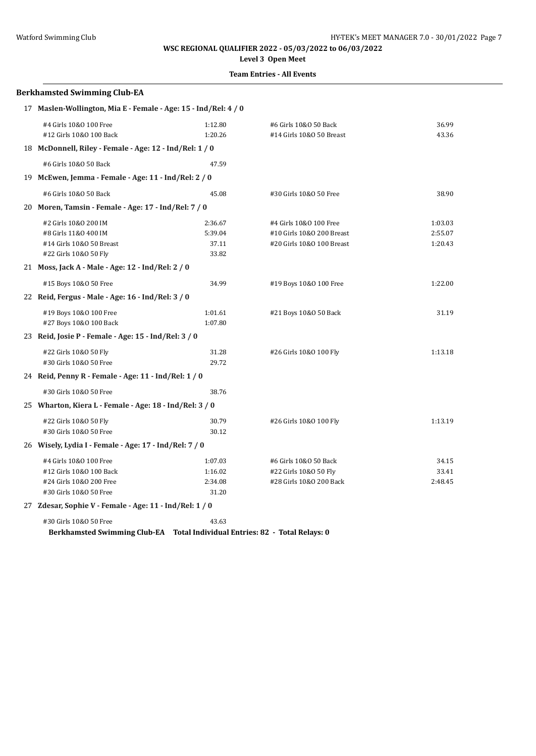**Level 3 Open Meet**

#### **Team Entries - All Events**

# **Berkhamsted Swimming Club-EA** 17 **Maslen-Wollington, Mia E - Female - Age: 15 - Ind/Rel: 4 / 0** #4 Girls 10&O 100 Free 1:12.80 #6 Girls 10&O 50 Back 36.99 #12 Girls 10&O 100 Back 1:20.26 #14 Girls 10&O 50 Breast 43.36 18 **McDonnell, Riley - Female - Age: 12 - Ind/Rel: 1 / 0** #6 Girls 10&O 50 Back 47.59 19 **McEwen, Jemma - Female - Age: 11 - Ind/Rel: 2 / 0** #6 Girls 10&O 50 Back 45.08 #30 Girls 10&O 50 Free 38.90 20 **Moren, Tamsin - Female - Age: 17 - Ind/Rel: 7 / 0** #2 Girls 10&O 200 IM 2:36.67 #4 Girls 10&O 100 Free 1:03.03 #8 Girls 11&O 400 IM 5:39.04 #10 Girls 10&O 200 Breast 2:55.07 #14 Girls 10&O 50 Breast 37.11 #20 Girls 10&O 100 Breast 1:20.43 #22 Girls 10&O 50 Fly 33.82 21 **Moss, Jack A - Male - Age: 12 - Ind/Rel: 2 / 0** #15 Boys 10&O 50 Free 34.99 #19 Boys 10&O 100 Free 1:22.00 22 **Reid, Fergus - Male - Age: 16 - Ind/Rel: 3 / 0** #19 Boys 10&O 100 Free 1:01.61 #21 Boys 10&O 50 Back 31.19 #27 Boys 10&O 100 Back 1:07.80 23 **Reid, Josie P - Female - Age: 15 - Ind/Rel: 3 / 0** #22 Girls 10&O 50 Fly 31.28 #26 Girls 10&O 100 Fly 1:13.18 #30 Girls 10&O 50 Free 29.72 24 **Reid, Penny R - Female - Age: 11 - Ind/Rel: 1 / 0** #30 Girls 10&O 50 Free 38.76 25 **Wharton, Kiera L - Female - Age: 18 - Ind/Rel: 3 / 0** #22 Girls 10&O 50 Fly 30.79 #26 Girls 10&O 100 Fly 1:13.19 #30 Girls 10&O 50 Free 30.12 26 **Wisely, Lydia I - Female - Age: 17 - Ind/Rel: 7 / 0** #4 Girls 10&O 100 Free 1:07.03 #6 Girls 10&O 50 Back 34.15 #12 Girls 10&O 100 Back 1:16.02 #22 Girls 10&O 50 Fly 33.41 #24 Girls 10&O 200 Free 2:34.08 #28 Girls 10&O 200 Back 2:48.45 #30 Girls 10&O 50 Free 31.20

27 **Zdesar, Sophie V - Female - Age: 11 - Ind/Rel: 1 / 0**

#30 Girls 10&O 50 Free 43.63 **Berkhamsted Swimming Club-EA Total Individual Entries: 82 - Total Relays: 0**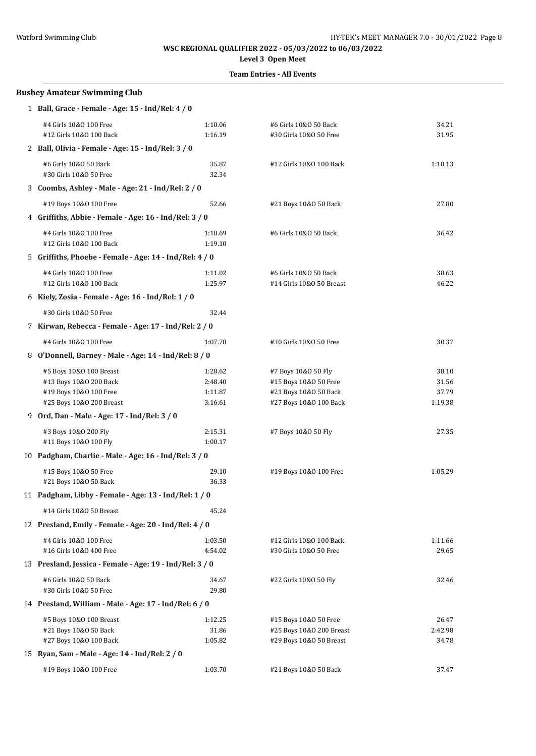# **Level 3 Open Meet**

| <b>Bushey Amateur Swimming Club</b>                                                                     |                                          |                                                                                                 |                                    |
|---------------------------------------------------------------------------------------------------------|------------------------------------------|-------------------------------------------------------------------------------------------------|------------------------------------|
| 1 Ball, Grace - Female - Age: 15 - Ind/Rel: 4 / 0                                                       |                                          |                                                                                                 |                                    |
| #4 Girls 10&0 100 Free<br>#12 Girls 10&0 100 Back                                                       | 1:10.06<br>1:16.19                       | #6 Girls 10&0 50 Back<br>#30 Girls 10&0 50 Free                                                 | 34.21<br>31.95                     |
| 2 Ball, Olivia - Female - Age: 15 - Ind/Rel: 3 / 0                                                      |                                          |                                                                                                 |                                    |
| #6 Girls 10&0 50 Back<br>#30 Girls 10&0 50 Free                                                         | 35.87<br>32.34                           | #12 Girls 10&0 100 Back                                                                         | 1:18.13                            |
| 3 Coombs, Ashley - Male - Age: 21 - Ind/Rel: 2 / 0                                                      |                                          |                                                                                                 |                                    |
| #19 Boys 10&0 100 Free                                                                                  | 52.66                                    | #21 Boys 10&0 50 Back                                                                           | 27.80                              |
| 4 Griffiths, Abbie - Female - Age: 16 - Ind/Rel: 3 / 0                                                  |                                          |                                                                                                 |                                    |
| #4 Girls 10&0 100 Free<br>#12 Girls 10&0 100 Back                                                       | 1:10.69<br>1:19.10                       | #6 Girls 10&0 50 Back                                                                           | 36.42                              |
| 5 Griffiths, Phoebe - Female - Age: 14 - Ind/Rel: 4 / 0                                                 |                                          |                                                                                                 |                                    |
| #4 Girls 10&0 100 Free<br>#12 Girls 10&0 100 Back                                                       | 1:11.02<br>1:25.97                       | #6 Girls 10&0 50 Back<br>#14 Girls 10&0 50 Breast                                               | 38.63<br>46.22                     |
| 6 Kiely, Zosia - Female - Age: 16 - Ind/Rel: 1 / 0                                                      |                                          |                                                                                                 |                                    |
| #30 Girls 10&0 50 Free                                                                                  | 32.44                                    |                                                                                                 |                                    |
| 7 Kirwan, Rebecca - Female - Age: 17 - Ind/Rel: 2 / 0                                                   |                                          |                                                                                                 |                                    |
| #4 Girls 10&0 100 Free                                                                                  | 1:07.78                                  | #30 Girls 10&0 50 Free                                                                          | 30.37                              |
| 8 O'Donnell, Barney - Male - Age: 14 - Ind/Rel: 8 / 0                                                   |                                          |                                                                                                 |                                    |
| #5 Boys 10&0 100 Breast<br>#13 Boys 10&0 200 Back<br>#19 Boys 10&0 100 Free<br>#25 Boys 10&0 200 Breast | 1:28.62<br>2:48.40<br>1:11.87<br>3:16.61 | #7 Boys 10&0 50 Fly<br>#15 Boys 10&0 50 Free<br>#21 Boys 10&0 50 Back<br>#27 Boys 10&0 100 Back | 38.10<br>31.56<br>37.79<br>1:19.38 |
| 9 Ord, Dan - Male - Age: 17 - Ind/Rel: 3 / 0                                                            |                                          |                                                                                                 |                                    |
| #3 Boys 10&0 200 Fly<br>#11 Boys 10&0 100 Fly                                                           | 2:15.31<br>1:00.17                       | #7 Boys 10&0 50 Fly                                                                             | 27.35                              |
| 10 Padgham, Charlie - Male - Age: 16 - Ind/Rel: 3 / 0                                                   |                                          |                                                                                                 |                                    |
| #15 Boys 10&0 50 Free<br>#21 Boys 10&0 50 Back                                                          | 29.10<br>36.33                           | #19 Boys 10&0 100 Free                                                                          | 1:05.29                            |
| 11 Padgham, Libby - Female - Age: 13 - Ind/Rel: 1 / 0                                                   |                                          |                                                                                                 |                                    |
| #14 Girls 10&0 50 Breast                                                                                | 45.24                                    |                                                                                                 |                                    |
| 12 Presland, Emily - Female - Age: 20 - Ind/Rel: 4 / 0                                                  |                                          |                                                                                                 |                                    |
| #4 Girls 10&0 100 Free<br>#16 Girls 10&0 400 Free                                                       | 1:03.50<br>4:54.02                       | #12 Girls 10&0 100 Back<br>#30 Girls 10&0 50 Free                                               | 1:11.66<br>29.65                   |
| 13 Presland, Jessica - Female - Age: 19 - Ind/Rel: 3 / 0                                                |                                          |                                                                                                 |                                    |
| #6 Girls 10&0 50 Back<br>#30 Girls 10&0 50 Free                                                         | 34.67<br>29.80                           | #22 Girls 10&0 50 Fly                                                                           | 32.46                              |
| 14 Presland, William - Male - Age: 17 - Ind/Rel: 6 / 0                                                  |                                          |                                                                                                 |                                    |
| #5 Boys 10&0 100 Breast                                                                                 | 1:12.25                                  | #15 Boys 10&0 50 Free                                                                           | 26.47                              |
| #21 Boys 10&0 50 Back                                                                                   | 31.86                                    | #25 Boys 10&0 200 Breast                                                                        | 2:42.98                            |
| #27 Boys 10&0 100 Back                                                                                  | 1:05.82                                  | #29 Boys 10&0 50 Breast                                                                         | 34.78                              |
| 15 Ryan, Sam - Male - Age: 14 - Ind/Rel: 2 / 0                                                          |                                          |                                                                                                 |                                    |
| #19 Boys 10&0 100 Free                                                                                  | 1:03.70                                  | #21 Boys 10&0 50 Back                                                                           | 37.47                              |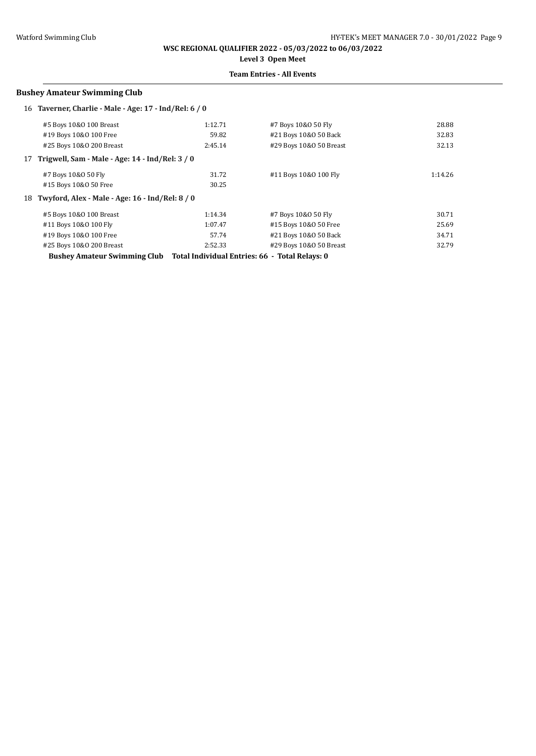**WSC REGIONAL QUALIFIER 2022 - 05/03/2022 to 06/03/2022 Level 3 Open Meet**

#### **Team Entries - All Events**

#### **Bushey Amateur Swimming Club**

|    | 16 Taverner, Charlie - Male - Age: 17 - Ind/Rel: 6 / 0 |         |                                                |         |
|----|--------------------------------------------------------|---------|------------------------------------------------|---------|
|    | #5 Boys 10&0 100 Breast                                | 1:12.71 | #7 Boys 10&0 50 Fly                            | 28.88   |
|    | #19 Boys 10&0 100 Free                                 | 59.82   | #21 Boys 10&0 50 Back                          | 32.83   |
|    | #25 Boys 10&0 200 Breast                               | 2:45.14 | #29 Boys 10&0 50 Breast                        | 32.13   |
| 17 | Trigwell, Sam - Male - Age: 14 - Ind/Rel: 3 / 0        |         |                                                |         |
|    | #7 Boys 10&0 50 Fly                                    | 31.72   | #11 Boys 10&0 100 Fly                          | 1:14.26 |
|    | #15 Boys 10&0 50 Free                                  | 30.25   |                                                |         |
|    | 18 Twyford, Alex - Male - Age: 16 - Ind/Rel: 8 / 0     |         |                                                |         |
|    | #5 Boys 10&0 100 Breast                                | 1:14.34 | #7 Boys 10&0 50 Fly                            | 30.71   |
|    | #11 Boys 10&0 100 Fly                                  | 1:07.47 | #15 Boys 10&0 50 Free                          | 25.69   |
|    | #19 Boys 10&0 100 Free                                 | 57.74   | #21 Boys 10&0 50 Back                          | 34.71   |
|    | #25 Boys 10&0 200 Breast                               | 2:52.33 | #29 Boys 10&0 50 Breast                        | 32.79   |
|    | <b>Bushey Amateur Swimming Club</b>                    |         | Total Individual Entries: 66 - Total Relays: 0 |         |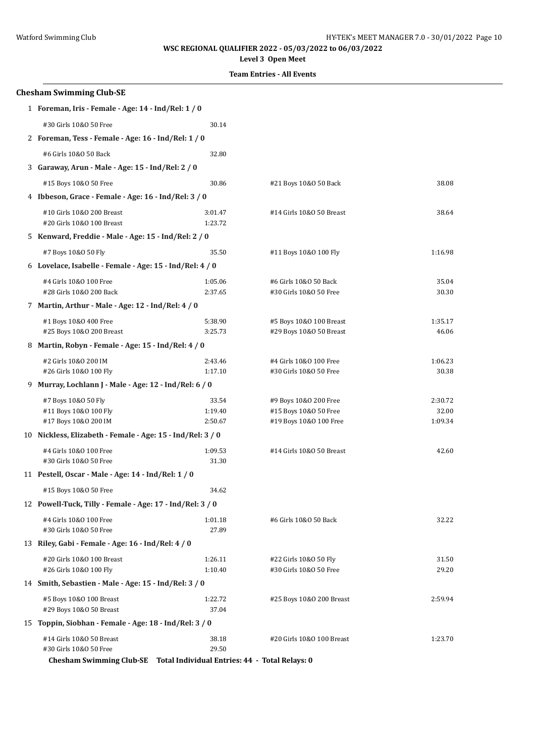**Level 3 Open Meet**

|    | <b>Chesham Swimming Club-SE</b>                                         |                    |                                                 |                  |
|----|-------------------------------------------------------------------------|--------------------|-------------------------------------------------|------------------|
|    | 1 Foreman, Iris - Female - Age: 14 - Ind/Rel: 1 / 0                     |                    |                                                 |                  |
|    | #30 Girls 10&0 50 Free                                                  | 30.14              |                                                 |                  |
|    | 2 Foreman, Tess - Female - Age: 16 - Ind/Rel: 1 / 0                     |                    |                                                 |                  |
|    | #6 Girls 10&0 50 Back                                                   | 32.80              |                                                 |                  |
|    | 3 Garaway, Arun - Male - Age: 15 - Ind/Rel: 2 / 0                       |                    |                                                 |                  |
|    | #15 Boys 10&0 50 Free                                                   | 30.86              | #21 Boys 10&0 50 Back                           | 38.08            |
|    | 4 Ibbeson, Grace - Female - Age: 16 - Ind/Rel: 3 / 0                    |                    |                                                 |                  |
|    | #10 Girls 10&0 200 Breast                                               | 3:01.47            | #14 Girls 10&0 50 Breast                        | 38.64            |
|    | #20 Girls 10&0 100 Breast                                               | 1:23.72            |                                                 |                  |
|    | 5 Kenward, Freddie - Male - Age: 15 - Ind/Rel: 2 / 0                    |                    |                                                 |                  |
|    | #7 Boys 10&0 50 Fly                                                     | 35.50              | #11 Boys 10&0 100 Fly                           | 1:16.98          |
|    | 6 Lovelace, Isabelle - Female - Age: 15 - Ind/Rel: 4 / 0                |                    |                                                 |                  |
|    | #4 Girls 10&0 100 Free                                                  | 1:05.06            | #6 Girls 10&0 50 Back                           | 35.04            |
|    | #28 Girls 10&0 200 Back                                                 | 2:37.65            | #30 Girls 10&0 50 Free                          | 30.30            |
|    | 7 Martin, Arthur - Male - Age: 12 - Ind/Rel: 4 / 0                      |                    |                                                 |                  |
|    | #1 Boys 10&0 400 Free                                                   | 5:38.90            | #5 Boys 10&0 100 Breast                         | 1:35.17          |
|    | #25 Boys 10&0 200 Breast                                                | 3:25.73            | #29 Boys 10&0 50 Breast                         | 46.06            |
|    | 8 Martin, Robyn - Female - Age: 15 - Ind/Rel: 4 / 0                     |                    |                                                 |                  |
|    | #2 Girls 10&0 200 IM                                                    | 2:43.46            | #4 Girls 10&0 100 Free                          | 1:06.23          |
|    | #26 Girls 10&0 100 Fly                                                  | 1:17.10            | #30 Girls 10&0 50 Free                          | 30.38            |
| 9. | Murray, Lochlann J - Male - Age: 12 - Ind/Rel: 6 / 0                    |                    |                                                 |                  |
|    | #7 Boys 10&0 50 Fly                                                     | 33.54              | #9 Boys 10&0 200 Free                           | 2:30.72          |
|    | #11 Boys 10&0 100 Fly<br>#17 Boys 10&0 200 IM                           | 1:19.40<br>2:50.67 | #15 Boys 10&0 50 Free<br>#19 Boys 10&0 100 Free | 32.00<br>1:09.34 |
|    | 10 Nickless, Elizabeth - Female - Age: 15 - Ind/Rel: 3 / 0              |                    |                                                 |                  |
|    | #4 Girls 10&0 100 Free                                                  | 1:09.53            | #14 Girls 10&0 50 Breast                        | 42.60            |
|    | #30 Girls 10&0 50 Free                                                  | 31.30              |                                                 |                  |
|    | 11 Pestell, Oscar - Male - Age: 14 - Ind/Rel: 1 / 0                     |                    |                                                 |                  |
|    | #15 Boys 10&0 50 Free                                                   | 34.62              |                                                 |                  |
|    | 12 Powell-Tuck, Tilly - Female - Age: 17 - Ind/Rel: 3 / 0               |                    |                                                 |                  |
|    | #4 Girls 10&0 100 Free                                                  | 1:01.18            | #6 Girls 10&0 50 Back                           | 32.22            |
|    | #30 Girls 10&0 50 Free                                                  | 27.89              |                                                 |                  |
|    | 13 Riley, Gabi - Female - Age: 16 - Ind/Rel: 4 / 0                      |                    |                                                 |                  |
|    | #20 Girls 10&0 100 Breast                                               | 1:26.11            | #22 Girls 10&0 50 Fly                           | 31.50            |
|    | #26 Girls 10&0 100 Fly                                                  | 1:10.40            | #30 Girls 10&0 50 Free                          | 29.20            |
|    | 14 Smith, Sebastien - Male - Age: 15 - Ind/Rel: 3 / 0                   |                    |                                                 |                  |
|    | #5 Boys 10&0 100 Breast                                                 | 1:22.72            | #25 Boys 10&0 200 Breast                        | 2:59.94          |
|    | #29 Boys 10&0 50 Breast                                                 | 37.04              |                                                 |                  |
|    | 15 Toppin, Siobhan - Female - Age: 18 - Ind/Rel: 3 / 0                  |                    |                                                 |                  |
|    | #14 Girls 10&0 50 Breast<br>#30 Girls 10&0 50 Free                      | 38.18<br>29.50     | #20 Girls 10&0 100 Breast                       | 1:23.70          |
|    | Chesham Swimming Club-SE Total Individual Entries: 44 - Total Relays: 0 |                    |                                                 |                  |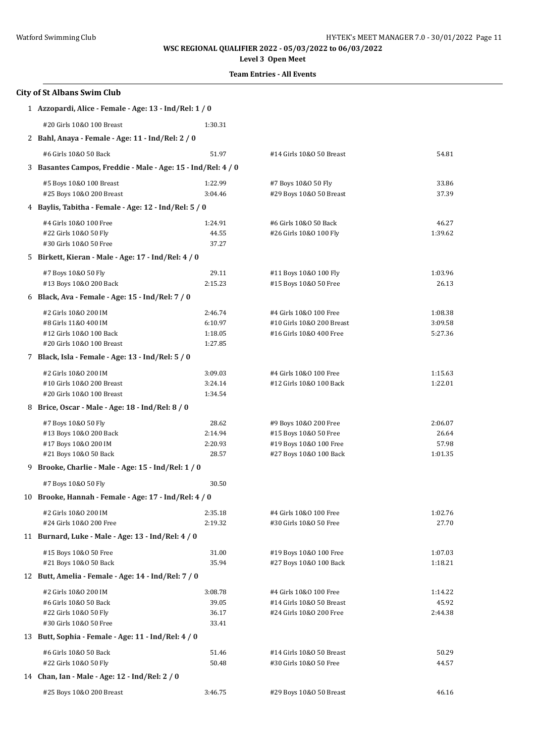# **Level 3 Open Meet**

| <b>City of St Albans Swim Club</b>                           |                                                       |                           |         |  |  |
|--------------------------------------------------------------|-------------------------------------------------------|---------------------------|---------|--|--|
| 1 Azzopardi, Alice - Female - Age: 13 - Ind/Rel: 1 / 0       |                                                       |                           |         |  |  |
| #20 Girls 10&0 100 Breast                                    | 1:30.31                                               |                           |         |  |  |
| 2 Bahl, Anaya - Female - Age: 11 - Ind/Rel: 2 / 0            |                                                       |                           |         |  |  |
| #6 Girls 10&0 50 Back                                        | 51.97                                                 | #14 Girls 10&0 50 Breast  | 54.81   |  |  |
| 3 Basantes Campos, Freddie - Male - Age: 15 - Ind/Rel: 4 / 0 |                                                       |                           |         |  |  |
| #5 Boys 10&0 100 Breast                                      | 1:22.99                                               | #7 Boys 10&0 50 Fly       | 33.86   |  |  |
| #25 Boys 10&0 200 Breast                                     | 3:04.46                                               | #29 Boys 10&0 50 Breast   | 37.39   |  |  |
| 4 Baylis, Tabitha - Female - Age: 12 - Ind/Rel: 5 / 0        |                                                       |                           |         |  |  |
| #4 Girls 10&0 100 Free                                       | 1:24.91                                               | #6 Girls 10&0 50 Back     | 46.27   |  |  |
| #22 Girls 10&0 50 Fly                                        | 44.55                                                 | #26 Girls 10&0 100 Fly    | 1:39.62 |  |  |
| #30 Girls 10&0 50 Free                                       | 37.27                                                 |                           |         |  |  |
| 5 Birkett, Kieran - Male - Age: 17 - Ind/Rel: 4 / 0          |                                                       |                           |         |  |  |
| #7 Boys 10&0 50 Fly                                          | 29.11                                                 | #11 Boys 10&0 100 Fly     | 1:03.96 |  |  |
| #13 Boys 10&0 200 Back                                       | 2:15.23                                               | #15 Boys 10&0 50 Free     | 26.13   |  |  |
| 6 Black, Ava - Female - Age: 15 - Ind/Rel: 7 / 0             |                                                       |                           |         |  |  |
| #2 Girls 10&0 200 IM                                         | 2:46.74                                               | #4 Girls 10&0 100 Free    | 1:08.38 |  |  |
| #8 Girls 11&0 400 IM                                         | 6:10.97                                               | #10 Girls 10&0 200 Breast | 3:09.58 |  |  |
| #12 Girls 10&0 100 Back<br>#20 Girls 10&0 100 Breast         | 1:18.05<br>1:27.85                                    | #16 Girls 10&0 400 Free   | 5:27.36 |  |  |
| 7 Black, Isla - Female - Age: 13 - Ind/Rel: 5 / 0            |                                                       |                           |         |  |  |
| #2 Girls 10&0 200 IM                                         | 3:09.03                                               | #4 Girls 10&0 100 Free    | 1:15.63 |  |  |
| #10 Girls 10&0 200 Breast                                    | 3:24.14                                               | #12 Girls 10&0 100 Back   | 1:22.01 |  |  |
| #20 Girls 10&0 100 Breast                                    | 1:34.54                                               |                           |         |  |  |
| 8 Brice, Oscar - Male - Age: 18 - Ind/Rel: 8 / 0             |                                                       |                           |         |  |  |
| #7 Boys 10&0 50 Fly                                          | 28.62                                                 | #9 Boys 10&0 200 Free     | 2:06.07 |  |  |
| #13 Boys 10&0 200 Back                                       | 2:14.94                                               | #15 Boys 10&0 50 Free     | 26.64   |  |  |
| #17 Boys 10&0 200 IM                                         | 2:20.93                                               | #19 Boys 10&0 100 Free    | 57.98   |  |  |
| #21 Boys 10&0 50 Back                                        | 28.57                                                 | #27 Boys 10&0 100 Back    | 1:01.35 |  |  |
| 9 Brooke, Charlie - Male - Age: 15 - Ind/Rel: 1 / 0          |                                                       |                           |         |  |  |
| #7 Boys 10&0 50 Fly                                          | 30.50                                                 |                           |         |  |  |
|                                                              | 10 Brooke, Hannah - Female - Age: 17 - Ind/Rel: 4 / 0 |                           |         |  |  |
| #2 Girls 10&0 200 IM                                         | 2:35.18                                               | #4 Girls 10&0 100 Free    | 1:02.76 |  |  |
| #24 Girls 10&0 200 Free                                      | 2:19.32                                               | #30 Girls 10&0 50 Free    | 27.70   |  |  |
| 11 Burnard, Luke - Male - Age: 13 - Ind/Rel: 4 / 0           |                                                       |                           |         |  |  |
| #15 Boys 10&0 50 Free                                        | 31.00                                                 | #19 Boys 10&0 100 Free    | 1:07.03 |  |  |
| #21 Boys 10&0 50 Back                                        | 35.94                                                 | #27 Boys 10&0 100 Back    | 1:18.21 |  |  |
| 12 Butt, Amelia - Female - Age: 14 - Ind/Rel: 7 / 0          |                                                       |                           |         |  |  |
| #2 Girls 10&0 200 IM                                         | 3:08.78                                               | #4 Girls 10&0 100 Free    | 1:14.22 |  |  |
| #6 Girls 10&0 50 Back                                        | 39.05                                                 | #14 Girls 10&0 50 Breast  | 45.92   |  |  |
| #22 Girls 10&0 50 Fly<br>#30 Girls 10&0 50 Free              | 36.17<br>33.41                                        | #24 Girls 10&0 200 Free   | 2:44.38 |  |  |
| 13 Butt, Sophia - Female - Age: 11 - Ind/Rel: 4 / 0          |                                                       |                           |         |  |  |
| #6 Girls 10&0 50 Back                                        | 51.46                                                 | #14 Girls 10&0 50 Breast  | 50.29   |  |  |
| #22 Girls 10&0 50 Fly                                        | 50.48                                                 | #30 Girls 10&0 50 Free    | 44.57   |  |  |
| 14 Chan, Ian - Male - Age: 12 - Ind/Rel: 2 / 0               |                                                       |                           |         |  |  |
| #25 Boys 10&0 200 Breast                                     | 3:46.75                                               | #29 Boys 10&0 50 Breast   | 46.16   |  |  |
|                                                              |                                                       |                           |         |  |  |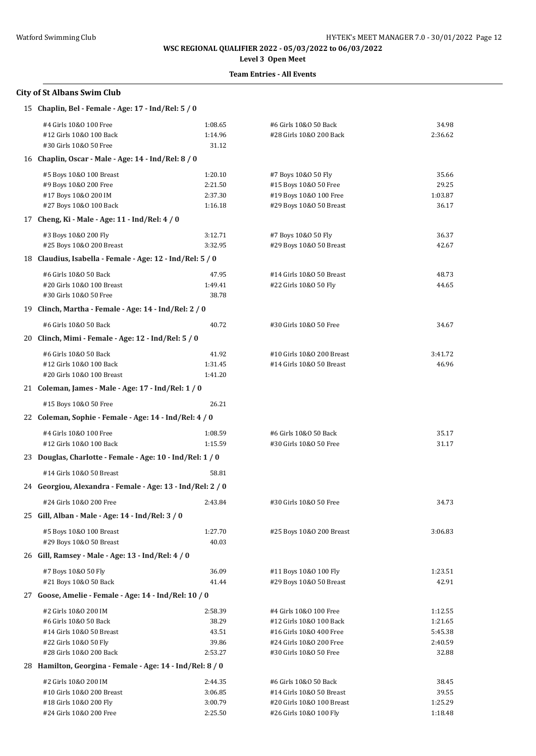# **Level 3 Open Meet**

## **Team Entries - All Events**

### **City of St Albans Swim Club**

| 15 Chaplin, Bel - Female - Age: 17 - Ind/Rel: 5 / 0        |         |                           |         |
|------------------------------------------------------------|---------|---------------------------|---------|
| #4 Girls 10&0 100 Free                                     | 1:08.65 | #6 Girls 10&0 50 Back     | 34.98   |
| #12 Girls 10&0 100 Back                                    | 1:14.96 | #28 Girls 10&0 200 Back   | 2:36.62 |
| #30 Girls 10&0 50 Free                                     | 31.12   |                           |         |
| 16 Chaplin, Oscar - Male - Age: 14 - Ind/Rel: 8 / 0        |         |                           |         |
| #5 Boys 10&0 100 Breast                                    | 1:20.10 | #7 Boys 10&0 50 Fly       | 35.66   |
| #9 Boys 10&0 200 Free                                      | 2:21.50 | #15 Boys 10&0 50 Free     | 29.25   |
| #17 Boys 10&0 200 IM                                       | 2:37.30 | #19 Boys 10&0 100 Free    | 1:03.87 |
| #27 Boys 10&0 100 Back                                     | 1:16.18 | #29 Boys 10&0 50 Breast   | 36.17   |
| 17 Cheng, Ki - Male - Age: 11 - Ind/Rel: 4 / 0             |         |                           |         |
| #3 Boys 10&0 200 Fly                                       | 3:12.71 | #7 Boys 10&0 50 Fly       | 36.37   |
| #25 Boys 10&0 200 Breast                                   | 3:32.95 | #29 Boys 10&0 50 Breast   | 42.67   |
| 18 Claudius, Isabella - Female - Age: 12 - Ind/Rel: 5 / 0  |         |                           |         |
| #6 Girls 10&0 50 Back                                      | 47.95   | #14 Girls 10&0 50 Breast  | 48.73   |
| #20 Girls 10&0 100 Breast                                  | 1:49.41 | #22 Girls 10&0 50 Fly     | 44.65   |
| #30 Girls 10&0 50 Free                                     | 38.78   |                           |         |
| 19 Clinch, Martha - Female - Age: 14 - Ind/Rel: 2 / 0      |         |                           |         |
| #6 Girls 10&0 50 Back                                      | 40.72   | #30 Girls 10&0 50 Free    | 34.67   |
| 20 Clinch, Mimi - Female - Age: 12 - Ind/Rel: 5 / 0        |         |                           |         |
| #6 Girls 10&0 50 Back                                      | 41.92   | #10 Girls 10&0 200 Breast | 3:41.72 |
| #12 Girls 10&0 100 Back                                    | 1:31.45 | #14 Girls 10&0 50 Breast  | 46.96   |
| #20 Girls 10&0 100 Breast                                  | 1:41.20 |                           |         |
| 21 Coleman, James - Male - Age: 17 - Ind/Rel: 1 / 0        |         |                           |         |
| #15 Boys 10&0 50 Free                                      | 26.21   |                           |         |
| 22 Coleman, Sophie - Female - Age: 14 - Ind/Rel: 4 / 0     |         |                           |         |
| #4 Girls 10&0 100 Free                                     | 1:08.59 | #6 Girls 10&0 50 Back     | 35.17   |
| #12 Girls 10&0 100 Back                                    | 1:15.59 | #30 Girls 10&0 50 Free    | 31.17   |
| 23 Douglas, Charlotte - Female - Age: 10 - Ind/Rel: 1 / 0  |         |                           |         |
| #14 Girls 10&0 50 Breast                                   | 58.81   |                           |         |
| 24 Georgiou, Alexandra - Female - Age: 13 - Ind/Rel: 2 / 0 |         |                           |         |
| #24 Girls 10&0 200 Free                                    | 2:43.84 | #30 Girls 10&0 50 Free    | 34.73   |
| 25 Gill, Alban - Male - Age: 14 - Ind/Rel: 3 / 0           |         |                           |         |
| #5 Boys 10&0 100 Breast                                    | 1:27.70 | #25 Boys 10&0 200 Breast  | 3:06.83 |
| #29 Boys 10&0 50 Breast                                    | 40.03   |                           |         |
| 26 Gill, Ramsey - Male - Age: 13 - Ind/Rel: 4 / 0          |         |                           |         |
| #7 Boys 10&0 50 Fly                                        | 36.09   | #11 Boys 10&0 100 Fly     | 1:23.51 |
| #21 Boys 10&0 50 Back                                      | 41.44   | #29 Boys 10&0 50 Breast   | 42.91   |
| 27 Goose, Amelie - Female - Age: 14 - Ind/Rel: 10 / 0      |         |                           |         |
| #2 Girls 10&0 200 IM                                       | 2:58.39 | #4 Girls 10&0 100 Free    | 1:12.55 |
| #6 Girls 10&0 50 Back                                      | 38.29   | #12 Girls 10&0 100 Back   | 1:21.65 |
| #14 Girls 10&0 50 Breast                                   | 43.51   | #16 Girls 10&0 400 Free   | 5:45.38 |
| #22 Girls 10&0 50 Fly                                      | 39.86   | #24 Girls 10&0 200 Free   | 2:40.59 |
| #28 Girls 10&0 200 Back                                    | 2:53.27 | #30 Girls 10&0 50 Free    | 32.88   |
| 28 Hamilton, Georgina - Female - Age: 14 - Ind/Rel: 8 / 0  |         |                           |         |
| #2 Girls 10&0 200 IM                                       | 2:44.35 | #6 Girls 10&0 50 Back     | 38.45   |
| #10 Girls 10&0 200 Breast                                  | 3:06.85 | #14 Girls 10&0 50 Breast  | 39.55   |
| #18 Girls 10&0 200 Fly                                     | 3:00.79 | #20 Girls 10&0 100 Breast | 1:25.29 |
| #24 Girls 10&0 200 Free                                    | 2:25.50 | #26 Girls 10&0 100 Fly    | 1:18.48 |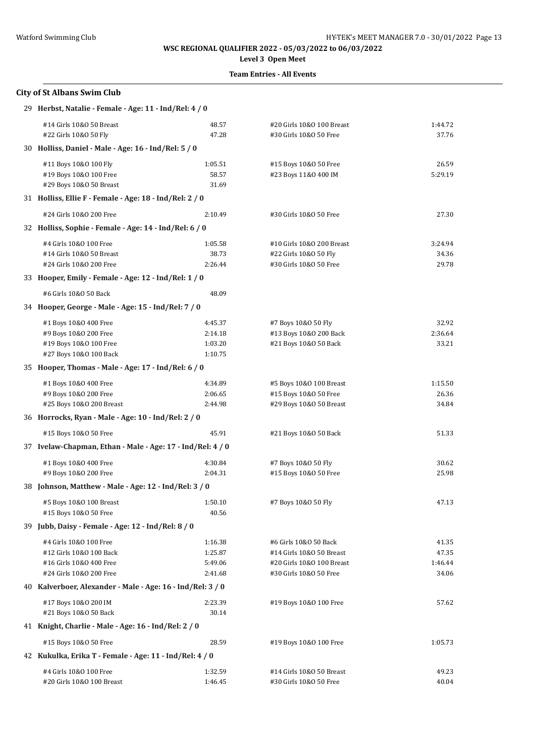### **Level 3 Open Meet**

### **Team Entries - All Events**

# **City of St Albans Swim Club** 29 **Herbst, Natalie - Female - Age: 11 - Ind/Rel: 4 / 0** #14 Girls 10&O 50 Breast 48.57 #20 Girls 10&O 100 Breast 1:44.72 #22 Girls 10&O 50 Fly 47.28 #30 Girls 10&O 50 Free 37.76 30 **Holliss, Daniel - Male - Age: 16 - Ind/Rel: 5 / 0** #11 Boys 10&O 100 Fly 1:05.51 #15 Boys 10&O 50 Free 26.59 #19 Boys 10&O 100 Free 58.57 #23 Boys 11&O 400 IM 5:29.19 #29 Boys 10&O 50 Breast 31.69 31 **Holliss, Ellie F - Female - Age: 18 - Ind/Rel: 2 / 0** #24 Girls 10&O 200 Free 2:10.49 #30 Girls 10&O 50 Free 27.30 32 **Holliss, Sophie - Female - Age: 14 - Ind/Rel: 6 / 0** #4 Girls 10&O 100 Free 1:05.58 #10 Girls 10&O 200 Breast 3:24.94 #14 Girls 10&O 50 Breast 38.73 #22 Girls 10&O 50 Fly 34.36 #24 Girls 10&O 200 Free 2:26.44 #30 Girls 10&O 50 Free 29.78 33 **Hooper, Emily - Female - Age: 12 - Ind/Rel: 1 / 0** #6 Girls 10&O 50 Back 48.09 34 **Hooper, George - Male - Age: 15 - Ind/Rel: 7 / 0** #1 Boys 10&O 400 Free 4:45.37 #7 Boys 10&O 50 Fly 32.92 #9 Boys 10&O 200 Free 2:14.18 #13 Boys 10&O 200 Back 2:36.64 #19 Boys 10&O 100 Free 1:03.20 #21 Boys 10&O 50 Back 33.21 #27 Boys 10&O 100 Back 1:10.75 35 **Hooper, Thomas - Male - Age: 17 - Ind/Rel: 6 / 0** #1 Boys 10&O 400 Free 4:34.89 #5 Boys 10&O 100 Breast 1:15.50 #9 Boys 10&O 200 Free 2:06.65 #15 Boys 10&O 50 Free 26.36 #25 Boys 10&O 200 Breast 2:44.98 #29 Boys 10&O 50 Breast 34.84 36 **Horrocks, Ryan - Male - Age: 10 - Ind/Rel: 2 / 0** #15 Boys 10&O 50 Free 45.91 #21 Boys 10&O 50 Back 51.33 37 **Ivelaw-Chapman, Ethan - Male - Age: 17 - Ind/Rel: 4 / 0** #1 Boys 10&O 400 Free 4:30.84 #7 Boys 10&O 50 Fly 30.62 #9 Boys 10&O 200 Free 2:04.31 #15 Boys 10&O 50 Free 25.98 38 **Johnson, Matthew - Male - Age: 12 - Ind/Rel: 3 / 0** #5 Boys 10&O 100 Breast 1:50.10 #7 Boys 10&O 50 Fly 47.13 #15 Boys 10&O 50 Free 40.56 39 **Jubb, Daisy - Female - Age: 12 - Ind/Rel: 8 / 0** #4 Girls 10&O 100 Free 1:16.38 #6 Girls 10&O 50 Back 41.35 #12 Girls 10&O 100 Back 1:25.87 #14 Girls 10&O 50 Breast 47.35 #16 Girls 10&O 400 Free 5:49.06 #20 Girls 10&O 100 Breast 1:46.44 #24 Girls 10&O 200 Free 2:41.68 #30 Girls 10&O 50 Free 34.06 40 **Kalverboer, Alexander - Male - Age: 16 - Ind/Rel: 3 / 0** #17 Boys 10&O 200 IM 2:23.39 #19 Boys 10&O 100 Free 57.62 #21 Boys 10&O 50 Back 30.14 41 **Knight, Charlie - Male - Age: 16 - Ind/Rel: 2 / 0** #15 Boys 10&O 50 Free 28.59 #19 Boys 10&O 100 Free 1:05.73 42 **Kukulka, Erika T - Female - Age: 11 - Ind/Rel: 4 / 0** #4 Girls 10&O 100 Free 1:32.59 #14 Girls 10&O 50 Breast 49.23 #20 Girls 10&O 100 Breast 1:46.45 #30 Girls 10&O 50 Free 40.04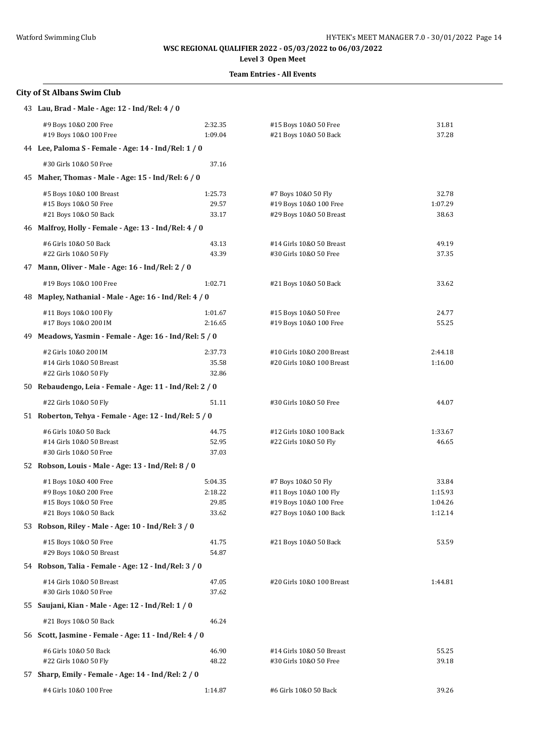**Level 3 Open Meet**

### **Team Entries - All Events**

### **City of St Albans Swim Club**

| #9 Boys 10&0 200 Free    | 2:32.35                                                                                                                                                                                                                           | #15 Boys 10&0 50 Free                                                                                                                                                                                                                                                                                                                                                                                                                                                                                                                                                                                                                                                                                                                                                                                                                                                                                                                   | 31.81                                                                                                                                                   |
|--------------------------|-----------------------------------------------------------------------------------------------------------------------------------------------------------------------------------------------------------------------------------|-----------------------------------------------------------------------------------------------------------------------------------------------------------------------------------------------------------------------------------------------------------------------------------------------------------------------------------------------------------------------------------------------------------------------------------------------------------------------------------------------------------------------------------------------------------------------------------------------------------------------------------------------------------------------------------------------------------------------------------------------------------------------------------------------------------------------------------------------------------------------------------------------------------------------------------------|---------------------------------------------------------------------------------------------------------------------------------------------------------|
| #19 Boys 10&0 100 Free   | 1:09.04                                                                                                                                                                                                                           | #21 Boys 10&0 50 Back                                                                                                                                                                                                                                                                                                                                                                                                                                                                                                                                                                                                                                                                                                                                                                                                                                                                                                                   | 37.28                                                                                                                                                   |
|                          |                                                                                                                                                                                                                                   |                                                                                                                                                                                                                                                                                                                                                                                                                                                                                                                                                                                                                                                                                                                                                                                                                                                                                                                                         |                                                                                                                                                         |
| #30 Girls 10&0 50 Free   | 37.16                                                                                                                                                                                                                             |                                                                                                                                                                                                                                                                                                                                                                                                                                                                                                                                                                                                                                                                                                                                                                                                                                                                                                                                         |                                                                                                                                                         |
|                          |                                                                                                                                                                                                                                   |                                                                                                                                                                                                                                                                                                                                                                                                                                                                                                                                                                                                                                                                                                                                                                                                                                                                                                                                         |                                                                                                                                                         |
| #5 Boys 10&0 100 Breast  | 1:25.73                                                                                                                                                                                                                           | #7 Boys 10&0 50 Fly                                                                                                                                                                                                                                                                                                                                                                                                                                                                                                                                                                                                                                                                                                                                                                                                                                                                                                                     | 32.78                                                                                                                                                   |
| #15 Boys 10&0 50 Free    | 29.57                                                                                                                                                                                                                             | #19 Boys 10&0 100 Free                                                                                                                                                                                                                                                                                                                                                                                                                                                                                                                                                                                                                                                                                                                                                                                                                                                                                                                  | 1:07.29                                                                                                                                                 |
|                          |                                                                                                                                                                                                                                   |                                                                                                                                                                                                                                                                                                                                                                                                                                                                                                                                                                                                                                                                                                                                                                                                                                                                                                                                         | 38.63                                                                                                                                                   |
|                          |                                                                                                                                                                                                                                   |                                                                                                                                                                                                                                                                                                                                                                                                                                                                                                                                                                                                                                                                                                                                                                                                                                                                                                                                         |                                                                                                                                                         |
| #6 Girls 10&0 50 Back    | 43.13                                                                                                                                                                                                                             | #14 Girls 10&0 50 Breast                                                                                                                                                                                                                                                                                                                                                                                                                                                                                                                                                                                                                                                                                                                                                                                                                                                                                                                | 49.19                                                                                                                                                   |
|                          |                                                                                                                                                                                                                                   |                                                                                                                                                                                                                                                                                                                                                                                                                                                                                                                                                                                                                                                                                                                                                                                                                                                                                                                                         | 37.35                                                                                                                                                   |
|                          |                                                                                                                                                                                                                                   |                                                                                                                                                                                                                                                                                                                                                                                                                                                                                                                                                                                                                                                                                                                                                                                                                                                                                                                                         |                                                                                                                                                         |
| #19 Boys 10&0 100 Free   | 1:02.71                                                                                                                                                                                                                           | #21 Boys 10&0 50 Back                                                                                                                                                                                                                                                                                                                                                                                                                                                                                                                                                                                                                                                                                                                                                                                                                                                                                                                   | 33.62                                                                                                                                                   |
|                          |                                                                                                                                                                                                                                   |                                                                                                                                                                                                                                                                                                                                                                                                                                                                                                                                                                                                                                                                                                                                                                                                                                                                                                                                         |                                                                                                                                                         |
| #11 Boys 10&0 100 Fly    | 1:01.67                                                                                                                                                                                                                           | #15 Boys 10&0 50 Free                                                                                                                                                                                                                                                                                                                                                                                                                                                                                                                                                                                                                                                                                                                                                                                                                                                                                                                   | 24.77                                                                                                                                                   |
| #17 Boys 10&0 200 IM     | 2:16.65                                                                                                                                                                                                                           | #19 Boys 10&0 100 Free                                                                                                                                                                                                                                                                                                                                                                                                                                                                                                                                                                                                                                                                                                                                                                                                                                                                                                                  | 55.25                                                                                                                                                   |
|                          |                                                                                                                                                                                                                                   |                                                                                                                                                                                                                                                                                                                                                                                                                                                                                                                                                                                                                                                                                                                                                                                                                                                                                                                                         |                                                                                                                                                         |
| #2 Girls 10&0 200 IM     | 2:37.73                                                                                                                                                                                                                           | #10 Girls 10&0 200 Breast                                                                                                                                                                                                                                                                                                                                                                                                                                                                                                                                                                                                                                                                                                                                                                                                                                                                                                               | 2:44.18                                                                                                                                                 |
| #14 Girls 10&0 50 Breast | 35.58                                                                                                                                                                                                                             | #20 Girls 10&0 100 Breast                                                                                                                                                                                                                                                                                                                                                                                                                                                                                                                                                                                                                                                                                                                                                                                                                                                                                                               | 1:16.00                                                                                                                                                 |
|                          |                                                                                                                                                                                                                                   |                                                                                                                                                                                                                                                                                                                                                                                                                                                                                                                                                                                                                                                                                                                                                                                                                                                                                                                                         |                                                                                                                                                         |
|                          |                                                                                                                                                                                                                                   |                                                                                                                                                                                                                                                                                                                                                                                                                                                                                                                                                                                                                                                                                                                                                                                                                                                                                                                                         |                                                                                                                                                         |
| #22 Girls 10&0 50 Fly    | 51.11                                                                                                                                                                                                                             | #30 Girls 10&0 50 Free                                                                                                                                                                                                                                                                                                                                                                                                                                                                                                                                                                                                                                                                                                                                                                                                                                                                                                                  | 44.07                                                                                                                                                   |
|                          |                                                                                                                                                                                                                                   |                                                                                                                                                                                                                                                                                                                                                                                                                                                                                                                                                                                                                                                                                                                                                                                                                                                                                                                                         |                                                                                                                                                         |
| #6 Girls 10&0 50 Back    | 44.75                                                                                                                                                                                                                             | #12 Girls 10&0 100 Back                                                                                                                                                                                                                                                                                                                                                                                                                                                                                                                                                                                                                                                                                                                                                                                                                                                                                                                 | 1:33.67                                                                                                                                                 |
| #14 Girls 10&0 50 Breast | 52.95                                                                                                                                                                                                                             | #22 Girls 10&0 50 Fly                                                                                                                                                                                                                                                                                                                                                                                                                                                                                                                                                                                                                                                                                                                                                                                                                                                                                                                   | 46.65                                                                                                                                                   |
|                          |                                                                                                                                                                                                                                   |                                                                                                                                                                                                                                                                                                                                                                                                                                                                                                                                                                                                                                                                                                                                                                                                                                                                                                                                         |                                                                                                                                                         |
|                          |                                                                                                                                                                                                                                   |                                                                                                                                                                                                                                                                                                                                                                                                                                                                                                                                                                                                                                                                                                                                                                                                                                                                                                                                         |                                                                                                                                                         |
| #1 Boys 10&0 400 Free    | 5:04.35                                                                                                                                                                                                                           | #7 Boys 10&0 50 Fly                                                                                                                                                                                                                                                                                                                                                                                                                                                                                                                                                                                                                                                                                                                                                                                                                                                                                                                     | 33.84                                                                                                                                                   |
|                          |                                                                                                                                                                                                                                   |                                                                                                                                                                                                                                                                                                                                                                                                                                                                                                                                                                                                                                                                                                                                                                                                                                                                                                                                         | 1:15.93<br>1:04.26                                                                                                                                      |
|                          |                                                                                                                                                                                                                                   |                                                                                                                                                                                                                                                                                                                                                                                                                                                                                                                                                                                                                                                                                                                                                                                                                                                                                                                                         | 1:12.14                                                                                                                                                 |
|                          |                                                                                                                                                                                                                                   |                                                                                                                                                                                                                                                                                                                                                                                                                                                                                                                                                                                                                                                                                                                                                                                                                                                                                                                                         |                                                                                                                                                         |
|                          |                                                                                                                                                                                                                                   |                                                                                                                                                                                                                                                                                                                                                                                                                                                                                                                                                                                                                                                                                                                                                                                                                                                                                                                                         | 53.59                                                                                                                                                   |
| #29 Boys 10&0 50 Breast  | 54.87                                                                                                                                                                                                                             |                                                                                                                                                                                                                                                                                                                                                                                                                                                                                                                                                                                                                                                                                                                                                                                                                                                                                                                                         |                                                                                                                                                         |
|                          |                                                                                                                                                                                                                                   |                                                                                                                                                                                                                                                                                                                                                                                                                                                                                                                                                                                                                                                                                                                                                                                                                                                                                                                                         |                                                                                                                                                         |
|                          | 47.05                                                                                                                                                                                                                             | #20 Girls 10&0 100 Breast                                                                                                                                                                                                                                                                                                                                                                                                                                                                                                                                                                                                                                                                                                                                                                                                                                                                                                               | 1:44.81                                                                                                                                                 |
| #30 Girls 10&0 50 Free   | 37.62                                                                                                                                                                                                                             |                                                                                                                                                                                                                                                                                                                                                                                                                                                                                                                                                                                                                                                                                                                                                                                                                                                                                                                                         |                                                                                                                                                         |
|                          |                                                                                                                                                                                                                                   |                                                                                                                                                                                                                                                                                                                                                                                                                                                                                                                                                                                                                                                                                                                                                                                                                                                                                                                                         |                                                                                                                                                         |
| #21 Boys 10&0 50 Back    | 46.24                                                                                                                                                                                                                             |                                                                                                                                                                                                                                                                                                                                                                                                                                                                                                                                                                                                                                                                                                                                                                                                                                                                                                                                         |                                                                                                                                                         |
|                          |                                                                                                                                                                                                                                   |                                                                                                                                                                                                                                                                                                                                                                                                                                                                                                                                                                                                                                                                                                                                                                                                                                                                                                                                         |                                                                                                                                                         |
| #6 Girls 10&0 50 Back    | 46.90                                                                                                                                                                                                                             | #14 Girls 10&0 50 Breast                                                                                                                                                                                                                                                                                                                                                                                                                                                                                                                                                                                                                                                                                                                                                                                                                                                                                                                | 55.25                                                                                                                                                   |
| #22 Girls 10&0 50 Fly    | 48.22                                                                                                                                                                                                                             | #30 Girls 10&0 50 Free                                                                                                                                                                                                                                                                                                                                                                                                                                                                                                                                                                                                                                                                                                                                                                                                                                                                                                                  | 39.18                                                                                                                                                   |
|                          |                                                                                                                                                                                                                                   |                                                                                                                                                                                                                                                                                                                                                                                                                                                                                                                                                                                                                                                                                                                                                                                                                                                                                                                                         |                                                                                                                                                         |
| #4 Girls 10&0 100 Free   | 1:14.87                                                                                                                                                                                                                           | #6 Girls 10&0 50 Back                                                                                                                                                                                                                                                                                                                                                                                                                                                                                                                                                                                                                                                                                                                                                                                                                                                                                                                   | 39.26                                                                                                                                                   |
|                          | #21 Boys 10&0 50 Back<br>#22 Girls 10&0 50 Fly<br>#22 Girls 10&0 50 Fly<br>#30 Girls 10&0 50 Free<br>#9 Boys 10&0 200 Free<br>#15 Boys 10&0 50 Free<br>#21 Boys 10&0 50 Back<br>#15 Boys 10&0 50 Free<br>#14 Girls 10&0 50 Breast | 43 Lau, Brad - Male - Age: 12 - Ind/Rel: 4 / 0<br>44 Lee, Paloma S - Female - Age: 14 - Ind/Rel: 1 / 0<br>45 Maher, Thomas - Male - Age: 15 - Ind/Rel: 6 / 0<br>33.17<br>46 Malfroy, Holly - Female - Age: 13 - Ind/Rel: 4 / 0<br>43.39<br>47 Mann, Oliver - Male - Age: 16 - Ind/Rel: 2 / 0<br>48 Mapley, Nathanial - Male - Age: 16 - Ind/Rel: 4 / 0<br>49 Meadows, Yasmin - Female - Age: 16 - Ind/Rel: 5 / 0<br>32.86<br>50 Rebaudengo, Leia - Female - Age: 11 - Ind/Rel: 2 / 0<br>51 Roberton, Tehya - Female - Age: 12 - Ind/Rel: 5 / 0<br>37.03<br>52 Robson, Louis - Male - Age: 13 - Ind/Rel: 8 / 0<br>2:18.22<br>29.85<br>33.62<br>53 Robson, Riley - Male - Age: 10 - Ind/Rel: 3 / 0<br>41.75<br>54 Robson, Talia - Female - Age: 12 - Ind/Rel: 3 / 0<br>55 Saujani, Kian - Male - Age: 12 - Ind/Rel: 1 / 0<br>56 Scott, Jasmine - Female - Age: 11 - Ind/Rel: 4 / 0<br>57 Sharp, Emily - Female - Age: 14 - Ind/Rel: 2 / 0 | #29 Boys 10&0 50 Breast<br>#30 Girls 10&0 50 Free<br>#11 Boys 10&0 100 Fly<br>#19 Boys 10&0 100 Free<br>#27 Boys 10&0 100 Back<br>#21 Boys 10&0 50 Back |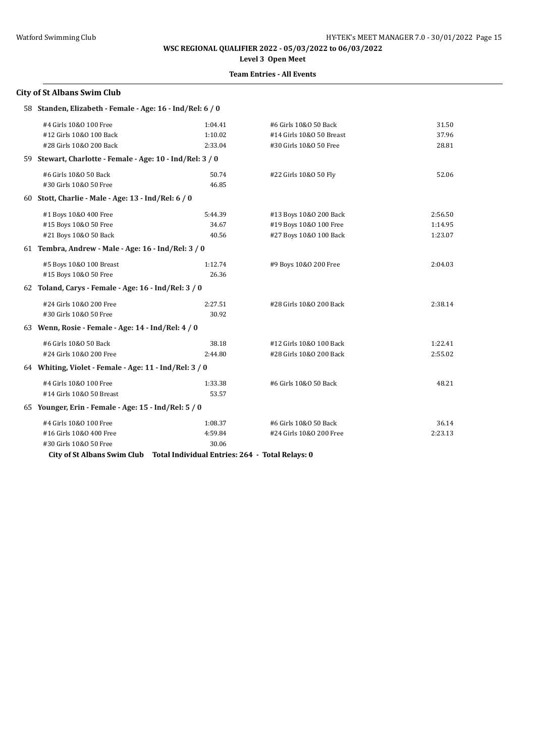# **Level 3 Open Meet**

### **Team Entries - All Events**

### **City of St Albans Swim Club**

| 58 Standen, Elizabeth - Female - Age: 16 - Ind/Rel: 6 / 0 |                                                                             |                          |         |
|-----------------------------------------------------------|-----------------------------------------------------------------------------|--------------------------|---------|
| #4 Girls 10&0 100 Free                                    | 1:04.41                                                                     | #6 Girls 10&0 50 Back    | 31.50   |
| #12 Girls 10&0 100 Back                                   | 1:10.02                                                                     | #14 Girls 10&0 50 Breast | 37.96   |
| #28 Girls 10&0 200 Back                                   | 2:33.04                                                                     | #30 Girls 10&0 50 Free   | 28.81   |
| 59 Stewart, Charlotte - Female - Age: 10 - Ind/Rel: 3 / 0 |                                                                             |                          |         |
| #6 Girls 10&0 50 Back                                     | 50.74                                                                       | #22 Girls 10&0 50 Fly    | 52.06   |
| #30 Girls 10&0 50 Free                                    | 46.85                                                                       |                          |         |
| 60 Stott, Charlie - Male - Age: 13 - Ind/Rel: 6 / 0       |                                                                             |                          |         |
| #1 Boys 10&0 400 Free                                     | 5:44.39                                                                     | #13 Boys 10&0 200 Back   | 2:56.50 |
| #15 Boys 10&0 50 Free                                     | 34.67                                                                       | #19 Boys 10&0 100 Free   | 1:14.95 |
| #21 Boys 10&0 50 Back                                     | 40.56                                                                       | #27 Boys 10&0 100 Back   | 1:23.07 |
| 61 Tembra, Andrew - Male - Age: 16 - Ind/Rel: 3 / 0       |                                                                             |                          |         |
| #5 Boys 10&0 100 Breast                                   | 1:12.74                                                                     | #9 Boys 10&0 200 Free    | 2:04.03 |
| #15 Boys 10&0 50 Free                                     | 26.36                                                                       |                          |         |
| 62 Toland, Carys - Female - Age: 16 - Ind/Rel: 3 / 0      |                                                                             |                          |         |
| #24 Girls 10&0 200 Free                                   | 2:27.51                                                                     | #28 Girls 10&0 200 Back  | 2:38.14 |
| #30 Girls 10&0 50 Free                                    | 30.92                                                                       |                          |         |
| 63 Wenn, Rosie - Female - Age: 14 - Ind/Rel: 4 / 0        |                                                                             |                          |         |
| #6 Girls 10&0 50 Back                                     | 38.18                                                                       | #12 Girls 10&0 100 Back  | 1:22.41 |
| #24 Girls 10&0 200 Free                                   | 2:44.80                                                                     | #28 Girls 10&0 200 Back  | 2:55.02 |
| 64 Whiting, Violet - Female - Age: 11 - Ind/Rel: 3 / 0    |                                                                             |                          |         |
| #4 Girls 10&0 100 Free                                    | 1:33.38                                                                     | #6 Girls 10&0 50 Back    | 48.21   |
| #14 Girls 10&0 50 Breast                                  | 53.57                                                                       |                          |         |
| 65 Younger, Erin - Female - Age: 15 - Ind/Rel: 5 / 0      |                                                                             |                          |         |
| #4 Girls 10&0 100 Free                                    | 1:08.37                                                                     | #6 Girls 10&0 50 Back    | 36.14   |
| #16 Girls 10&0 400 Free                                   | 4:59.84                                                                     | #24 Girls 10&0 200 Free  | 2:23.13 |
| #30 Girls 10&0 50 Free                                    | 30.06                                                                       |                          |         |
|                                                           | City of St Albans Swim Club Total Individual Entries: 264 - Total Relays: 0 |                          |         |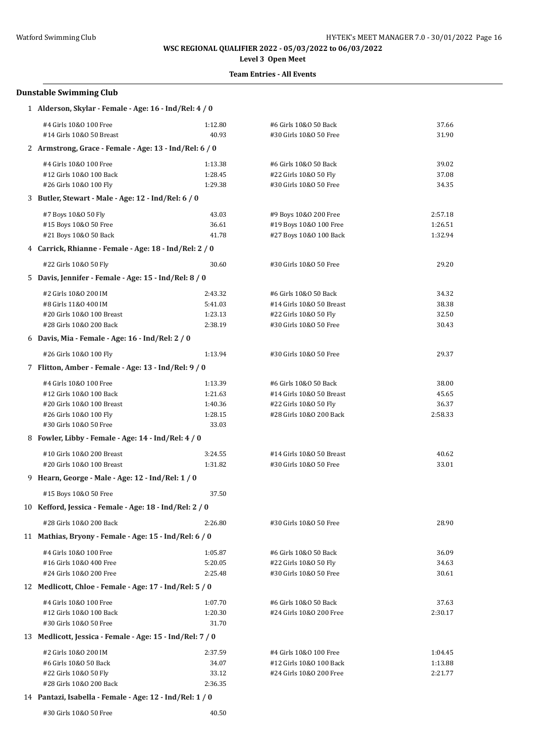# **Level 3 Open Meet**

### **Team Entries - All Events**

### **Dunstable Swimming Club**

| 1 Alderson, Skylar - Female - Age: 16 - Ind/Rel: 4 / 0    |         |                          |         |  |  |
|-----------------------------------------------------------|---------|--------------------------|---------|--|--|
| #4 Girls 10&0 100 Free                                    | 1:12.80 | #6 Girls 10&0 50 Back    | 37.66   |  |  |
| #14 Girls 10&0 50 Breast                                  | 40.93   | #30 Girls 10&0 50 Free   | 31.90   |  |  |
| 2 Armstrong, Grace - Female - Age: 13 - Ind/Rel: 6 / 0    |         |                          |         |  |  |
| #4 Girls 10&0 100 Free                                    | 1:13.38 | #6 Girls 10&0 50 Back    | 39.02   |  |  |
| #12 Girls 10&0 100 Back                                   | 1:28.45 | #22 Girls 10&0 50 Fly    | 37.08   |  |  |
| #26 Girls 10&0 100 Fly                                    | 1:29.38 | #30 Girls 10&0 50 Free   | 34.35   |  |  |
| 3 Butler, Stewart - Male - Age: 12 - Ind/Rel: 6 / 0       |         |                          |         |  |  |
| #7 Boys 10&0 50 Fly                                       | 43.03   | #9 Boys 10&0 200 Free    | 2:57.18 |  |  |
| #15 Boys 10&0 50 Free                                     | 36.61   | #19 Boys 10&0 100 Free   | 1:26.51 |  |  |
| #21 Boys 10&0 50 Back                                     | 41.78   | #27 Boys 10&0 100 Back   | 1:32.94 |  |  |
| 4 Carrick, Rhianne - Female - Age: 18 - Ind/Rel: 2 / 0    |         |                          |         |  |  |
| #22 Girls 10&0 50 Fly                                     | 30.60   | #30 Girls 10&0 50 Free   | 29.20   |  |  |
| 5 Davis, Jennifer - Female - Age: 15 - Ind/Rel: 8 / 0     |         |                          |         |  |  |
| #2 Girls 10&0 200 IM                                      | 2:43.32 | #6 Girls 10&0 50 Back    | 34.32   |  |  |
| #8 Girls 11&0 400 IM                                      | 5:41.03 | #14 Girls 10&0 50 Breast | 38.38   |  |  |
| #20 Girls 10&0 100 Breast                                 | 1:23.13 | #22 Girls 10&0 50 Fly    | 32.50   |  |  |
| #28 Girls 10&0 200 Back                                   | 2:38.19 | #30 Girls 10&0 50 Free   | 30.43   |  |  |
| 6 Davis, Mia - Female - Age: 16 - Ind/Rel: 2 / 0          |         |                          |         |  |  |
| #26 Girls 10&0 100 Fly                                    | 1:13.94 | #30 Girls 10&0 50 Free   | 29.37   |  |  |
| 7 Flitton, Amber - Female - Age: 13 - Ind/Rel: 9 / 0      |         |                          |         |  |  |
| #4 Girls 10&0 100 Free                                    | 1:13.39 | #6 Girls 10&0 50 Back    | 38.00   |  |  |
| #12 Girls 10&0 100 Back                                   | 1:21.63 | #14 Girls 10&0 50 Breast | 45.65   |  |  |
| #20 Girls 10&0 100 Breast                                 | 1:40.36 | #22 Girls 10&0 50 Fly    | 36.37   |  |  |
| #26 Girls 10&0 100 Fly                                    | 1:28.15 | #28 Girls 10&0 200 Back  | 2:58.33 |  |  |
| #30 Girls 10&0 50 Free                                    | 33.03   |                          |         |  |  |
| 8 Fowler, Libby - Female - Age: 14 - Ind/Rel: 4 / 0       |         |                          |         |  |  |
| #10 Girls 10&0 200 Breast                                 | 3:24.55 | #14 Girls 10&0 50 Breast | 40.62   |  |  |
| #20 Girls 10&0 100 Breast                                 | 1:31.82 | #30 Girls 10&0 50 Free   | 33.01   |  |  |
| 9 Hearn, George - Male - Age: 12 - Ind/Rel: 1 / 0         |         |                          |         |  |  |
| #15 Boys 10&0 50 Free                                     | 37.50   |                          |         |  |  |
| 10 Kefford, Jessica - Female - Age: 18 - Ind/Rel: 2 / 0   |         |                          |         |  |  |
| #28 Girls 10&0 200 Back                                   | 2:26.80 | #30 Girls 10&0 50 Free   | 28.90   |  |  |
| 11 Mathias, Bryony - Female - Age: 15 - Ind/Rel: 6 / 0    |         |                          |         |  |  |
| #4 Girls 10&0 100 Free                                    | 1:05.87 | #6 Girls 10&0 50 Back    | 36.09   |  |  |
| #16 Girls 10&0 400 Free                                   | 5:20.05 | #22 Girls 10&0 50 Fly    | 34.63   |  |  |
| #24 Girls 10&0 200 Free                                   | 2:25.48 | #30 Girls 10&0 50 Free   | 30.61   |  |  |
| 12 Medlicott, Chloe - Female - Age: 17 - Ind/Rel: 5 / 0   |         |                          |         |  |  |
| #4 Girls 10&0 100 Free                                    | 1:07.70 | #6 Girls 10&0 50 Back    | 37.63   |  |  |
| #12 Girls 10&0 100 Back                                   | 1:20.30 | #24 Girls 10&0 200 Free  | 2:30.17 |  |  |
| #30 Girls 10&0 50 Free                                    | 31.70   |                          |         |  |  |
| 13 Medlicott, Jessica - Female - Age: 15 - Ind/Rel: 7 / 0 |         |                          |         |  |  |
| #2 Girls 10&0 200 IM                                      | 2:37.59 | #4 Girls 10&0 100 Free   | 1:04.45 |  |  |
| #6 Girls 10&0 50 Back                                     | 34.07   | #12 Girls 10&0 100 Back  | 1:13.88 |  |  |
| #22 Girls 10&0 50 Fly                                     | 33.12   | #24 Girls 10&0 200 Free  | 2:21.77 |  |  |
| #28 Girls 10&0 200 Back                                   | 2:36.35 |                          |         |  |  |
|                                                           |         |                          |         |  |  |

## 14 **Pantazi, Isabella - Female - Age: 12 - Ind/Rel: 1 / 0**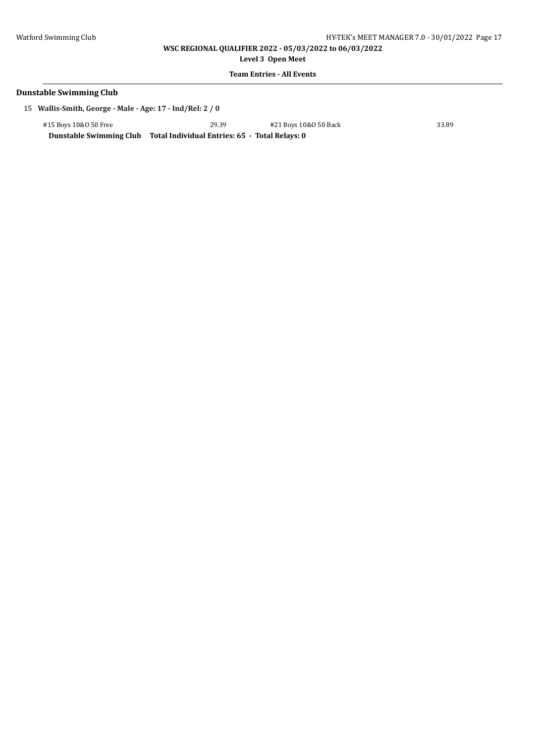**Level 3 Open Meet**

### **Team Entries - All Events**

#### **Dunstable Swimming Club**

15 **Wallis-Smith, George - Male - Age: 17 - Ind/Rel: 2 / 0**

#15 Boys 10&O 50 Free 29.39 #21 Boys 10&O 50 Back 33.89

**Dunstable Swimming Club Total Individual Entries: 65 - Total Relays: 0**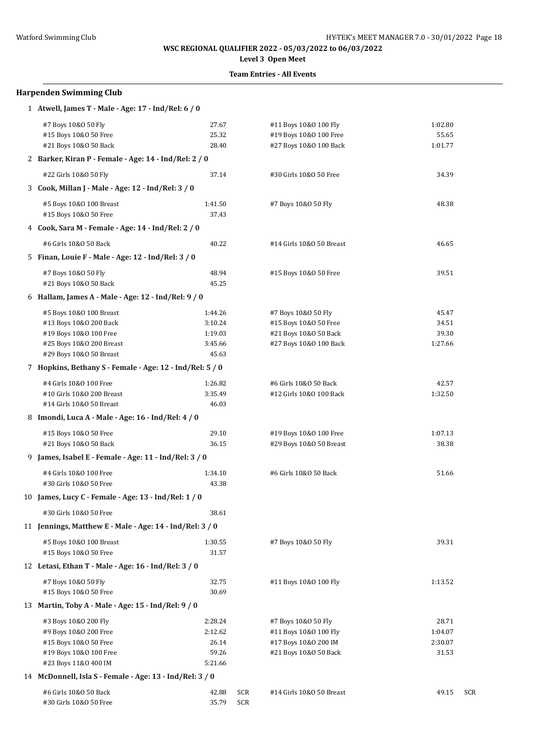# **Level 3 Open Meet**

### **Team Entries - All Events**

# **Harpenden Swimming Club**

| 1 Atwell, James T - Male - Age: 17 - Ind/Rel: 6 / 0      |         |     |                          |         |     |
|----------------------------------------------------------|---------|-----|--------------------------|---------|-----|
| #7 Boys 10&0 50 Fly                                      | 27.67   |     | #11 Boys 10&0 100 Fly    | 1:02.80 |     |
| #15 Boys 10&0 50 Free                                    | 25.32   |     | #19 Boys 10&0 100 Free   | 55.65   |     |
| #21 Boys 10&0 50 Back                                    | 28.40   |     | #27 Boys 10&0 100 Back   | 1:01.77 |     |
| 2 Barker, Kiran P - Female - Age: 14 - Ind/Rel: 2 / 0    |         |     |                          |         |     |
| #22 Girls 10&0 50 Fly                                    | 37.14   |     | #30 Girls 10&0 50 Free   | 34.39   |     |
| 3 Cook, Millan J - Male - Age: 12 - Ind/Rel: 3 / 0       |         |     |                          |         |     |
| #5 Boys 10&0 100 Breast                                  | 1:41.50 |     | #7 Boys 10&0 50 Fly      | 48.38   |     |
| #15 Boys 10&0 50 Free                                    | 37.43   |     |                          |         |     |
| 4 Cook, Sara M - Female - Age: 14 - Ind/Rel: 2 / 0       |         |     |                          |         |     |
| #6 Girls 10&0 50 Back                                    | 40.22   |     | #14 Girls 10&0 50 Breast | 46.65   |     |
| 5 Finan, Louie F - Male - Age: 12 - Ind/Rel: 3 / 0       |         |     |                          |         |     |
| #7 Boys 10&0 50 Fly                                      | 48.94   |     | #15 Boys 10&0 50 Free    | 39.51   |     |
| #21 Boys 10&0 50 Back                                    | 45.25   |     |                          |         |     |
| 6 Hallam, James A - Male - Age: 12 - Ind/Rel: 9 / 0      |         |     |                          |         |     |
| #5 Boys 10&0 100 Breast                                  | 1:44.26 |     | #7 Boys 10&0 50 Fly      | 45.47   |     |
| #13 Boys 10&0 200 Back                                   | 3:10.24 |     | #15 Boys 10&0 50 Free    | 34.51   |     |
| #19 Boys 10&0 100 Free                                   | 1:19.03 |     | #21 Boys 10&0 50 Back    | 39.30   |     |
| #25 Boys 10&0 200 Breast                                 | 3:45.66 |     | #27 Boys 10&0 100 Back   | 1:27.66 |     |
| #29 Boys 10&0 50 Breast                                  | 45.63   |     |                          |         |     |
| 7 Hopkins, Bethany S - Female - Age: 12 - Ind/Rel: 5 / 0 |         |     |                          |         |     |
| #4 Girls 10&0 100 Free                                   | 1:26.82 |     | #6 Girls 10&0 50 Back    | 42.57   |     |
| #10 Girls 10&0 200 Breast                                | 3:35.49 |     | #12 Girls 10&0 100 Back  | 1:32.50 |     |
| #14 Girls 10&0 50 Breast                                 | 46.03   |     |                          |         |     |
| 8 Imondi, Luca A - Male - Age: 16 - Ind/Rel: 4 / 0       |         |     |                          |         |     |
| #15 Boys 10&0 50 Free                                    | 29.10   |     | #19 Boys 10&0 100 Free   | 1:07.13 |     |
| #21 Boys 10&0 50 Back                                    | 36.15   |     | #29 Boys 10&0 50 Breast  | 38.38   |     |
| 9 James, Isabel E - Female - Age: 11 - Ind/Rel: 3 / 0    |         |     |                          |         |     |
| #4 Girls 10&0 100 Free                                   | 1:34.10 |     | #6 Girls 10&0 50 Back    | 51.66   |     |
| #30 Girls 10&0 50 Free                                   | 43.38   |     |                          |         |     |
| 10 James, Lucy C - Female - Age: 13 - Ind/Rel: 1 / 0     |         |     |                          |         |     |
| #30 Girls 10&0 50 Free                                   | 38.61   |     |                          |         |     |
| 11 Jennings, Matthew E - Male - Age: 14 - Ind/Rel: 3 / 0 |         |     |                          |         |     |
| #5 Boys 10&0 100 Breast                                  | 1:30.55 |     | #7 Boys 10&0 50 Fly      | 39.31   |     |
| #15 Boys 10&0 50 Free                                    | 31.57   |     |                          |         |     |
| 12 Letasi, Ethan T - Male - Age: 16 - Ind/Rel: 3 / 0     |         |     |                          |         |     |
| #7 Boys 10&0 50 Fly                                      | 32.75   |     | #11 Boys 10&0 100 Fly    | 1:13.52 |     |
| #15 Boys 10&0 50 Free                                    | 30.69   |     |                          |         |     |
| 13 Martin, Toby A - Male - Age: 15 - Ind/Rel: 9 / 0      |         |     |                          |         |     |
| #3 Boys 10&0 200 Fly                                     | 2:28.24 |     | #7 Boys 10&0 50 Fly      | 28.71   |     |
| #9 Boys 10&0 200 Free                                    | 2:12.62 |     | #11 Boys 10&0 100 Fly    | 1:04.07 |     |
| #15 Boys 10&0 50 Free                                    | 26.14   |     | #17 Boys 10&0 200 IM     | 2:30.07 |     |
| #19 Boys 10&0 100 Free                                   | 59.26   |     | #21 Boys 10&0 50 Back    | 31.53   |     |
| #23 Boys 11&0 400 IM                                     | 5:21.66 |     |                          |         |     |
| 14 McDonnell, Isla S - Female - Age: 13 - Ind/Rel: 3 / 0 |         |     |                          |         |     |
| #6 Girls 10&0 50 Back                                    | 42.88   | SCR | #14 Girls 10&0 50 Breast | 49.15   | SCR |
| #30 Girls 10&0 50 Free                                   | 35.79   | SCR |                          |         |     |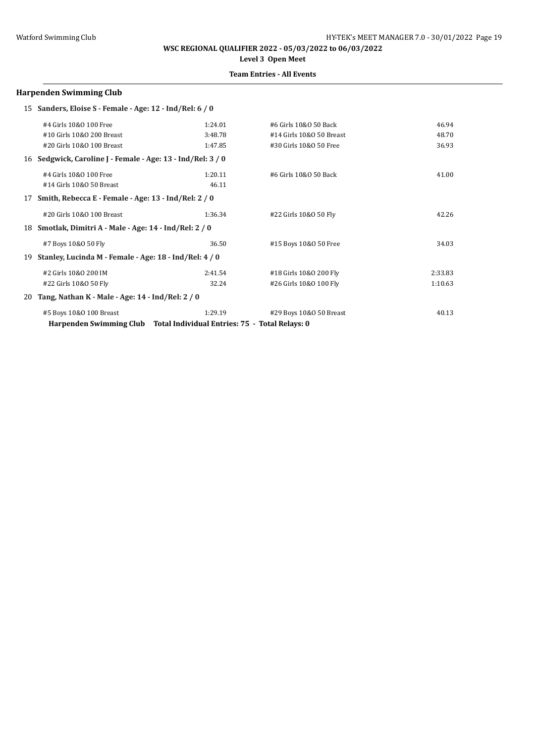# **Level 3 Open Meet**

## **Team Entries - All Events**

### **Harpenden Swimming Club**

|    | 15 Sanders, Eloise S - Female - Age: 12 - Ind/Rel: 6 / 0    |                                                |                          |         |
|----|-------------------------------------------------------------|------------------------------------------------|--------------------------|---------|
|    | #4 Girls 10&0 100 Free                                      | 1:24.01                                        | #6 Girls 10&0 50 Back    | 46.94   |
|    | #10 Girls 10&0 200 Breast                                   | 3:48.78                                        | #14 Girls 10&0 50 Breast | 48.70   |
|    | #20 Girls 10&0 100 Breast                                   | 1:47.85                                        | #30 Girls 10&0 50 Free   | 36.93   |
|    | 16 Sedgwick, Caroline J - Female - Age: 13 - Ind/Rel: 3 / 0 |                                                |                          |         |
|    | #4 Girls 10&0 100 Free                                      | 1:20.11                                        | #6 Girls 10&0 50 Back    | 41.00   |
|    | #14 Girls 10&0 50 Breast                                    | 46.11                                          |                          |         |
| 17 | Smith, Rebecca E - Female - Age: 13 - Ind/Rel: 2 / 0        |                                                |                          |         |
|    | #20 Girls 10&0 100 Breast                                   | 1:36.34                                        | #22 Girls 10&0 50 Fly    | 42.26   |
|    | 18 Smotlak, Dimitri A - Male - Age: 14 - Ind/Rel: 2 / 0     |                                                |                          |         |
|    | #7 Boys 10&0 50 Fly                                         | 36.50                                          | #15 Boys 10&0 50 Free    | 34.03   |
| 19 | Stanley, Lucinda M - Female - Age: 18 - Ind/Rel: 4 / 0      |                                                |                          |         |
|    | #2 Girls 10&0 200 IM                                        | 2:41.54                                        | #18 Girls 10&0 200 Fly   | 2:33.83 |
|    | #22 Girls 10&0 50 Fly                                       | 32.24                                          | #26 Girls 10&0 100 Fly   | 1:10.63 |
| 20 | Tang, Nathan K - Male - Age: 14 - Ind/Rel: 2 / 0            |                                                |                          |         |
|    | #5 Boys 10&0 100 Breast                                     | 1:29.19                                        | #29 Boys 10&0 50 Breast  | 40.13   |
|    | Harpenden Swimming Club                                     | Total Individual Entries: 75 - Total Relays: 0 |                          |         |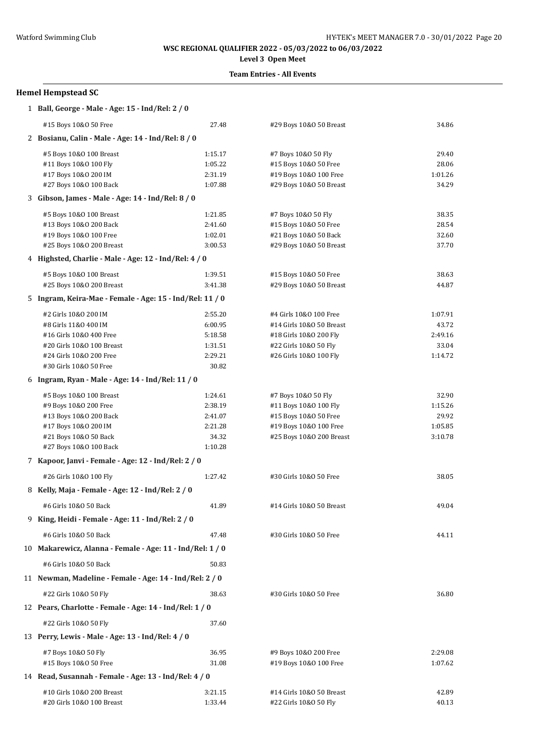# **Level 3 Open Meet**

### **Team Entries - All Events**

# **Hemel Hempstead SC**

| 1 Ball, George - Male - Age: 15 - Ind/Rel: 2 / 0          |         |                          |         |
|-----------------------------------------------------------|---------|--------------------------|---------|
| #15 Boys 10&0 50 Free                                     | 27.48   | #29 Boys 10&0 50 Breast  | 34.86   |
| 2 Bosianu, Calin - Male - Age: 14 - Ind/Rel: 8 / 0        |         |                          |         |
| #5 Boys 10&0 100 Breast                                   | 1:15.17 | #7 Boys 10&0 50 Fly      | 29.40   |
| #11 Boys 10&0 100 Fly                                     | 1:05.22 | #15 Boys 10&0 50 Free    | 28.06   |
| #17 Boys 10&0 200 IM                                      | 2:31.19 | #19 Boys 10&0 100 Free   | 1:01.26 |
| #27 Boys 10&0 100 Back                                    | 1:07.88 | #29 Boys 10&0 50 Breast  | 34.29   |
| 3 Gibson, James - Male - Age: 14 - Ind/Rel: 8 / 0         |         |                          |         |
| #5 Boys 10&0 100 Breast                                   | 1:21.85 | #7 Boys 10&0 50 Fly      | 38.35   |
| #13 Boys 10&0 200 Back                                    | 2:41.60 | #15 Boys 10&0 50 Free    | 28.54   |
| #19 Boys 10&0 100 Free                                    | 1:02.01 | #21 Boys 10&0 50 Back    | 32.60   |
| #25 Boys 10&0 200 Breast                                  | 3:00.53 | #29 Boys 10&0 50 Breast  | 37.70   |
| 4 Highsted, Charlie - Male - Age: 12 - Ind/Rel: 4 / 0     |         |                          |         |
| #5 Boys 10&0 100 Breast                                   | 1:39.51 | #15 Boys 10&0 50 Free    | 38.63   |
| #25 Boys 10&0 200 Breast                                  | 3:41.38 | #29 Boys 10&0 50 Breast  | 44.87   |
| 5 Ingram, Keira-Mae - Female - Age: 15 - Ind/Rel: 11 / 0  |         |                          |         |
| #2 Girls 10&0 200 IM                                      | 2:55.20 | #4 Girls 10&0 100 Free   | 1:07.91 |
| #8 Girls 11&0 400 IM                                      | 6:00.95 | #14 Girls 10&0 50 Breast | 43.72   |
| #16 Girls 10&0 400 Free                                   | 5:18.58 | #18 Girls 10&0 200 Fly   | 2:49.16 |
| #20 Girls 10&0 100 Breast                                 | 1:31.51 | #22 Girls 10&0 50 Fly    | 33.04   |
| #24 Girls 10&0 200 Free                                   | 2:29.21 | #26 Girls 10&0 100 Fly   | 1:14.72 |
| #30 Girls 10&0 50 Free                                    | 30.82   |                          |         |
| 6 Ingram, Ryan - Male - Age: 14 - Ind/Rel: 11 / 0         |         |                          |         |
| #5 Boys 10&0 100 Breast                                   | 1:24.61 | #7 Boys 10&0 50 Fly      | 32.90   |
| #9 Boys 10&0 200 Free                                     | 2:38.19 | #11 Boys 10&0 100 Fly    | 1:15.26 |
| #13 Boys 10&0 200 Back                                    | 2:41.07 | #15 Boys 10&0 50 Free    | 29.92   |
| #17 Boys 10&0 200 IM                                      | 2:21.28 | #19 Boys 10&0 100 Free   | 1:05.85 |
| #21 Boys 10&0 50 Back                                     | 34.32   | #25 Boys 10&0 200 Breast | 3:10.78 |
| #27 Boys 10&0 100 Back                                    | 1:10.28 |                          |         |
| 7 Kapoor, Janvi - Female - Age: 12 - Ind/Rel: 2 / 0       |         |                          |         |
| #26 Girls 10&0 100 Fly                                    | 1:27.42 | #30 Girls 10&0 50 Free   | 38.05   |
| 8 Kelly, Maja - Female - Age: 12 - Ind/Rel: 2 / 0         |         |                          |         |
| #6 Girls 10&0 50 Back                                     | 41.89   | #14 Girls 10&0 50 Breast | 49.04   |
| 9 King, Heidi - Female - Age: 11 - Ind/Rel: 2 / 0         |         |                          |         |
| #6 Girls 10&0 50 Back                                     | 47.48   | #30 Girls 10&0 50 Free   | 44.11   |
| 10 Makarewicz, Alanna - Female - Age: 11 - Ind/Rel: 1 / 0 |         |                          |         |
| #6 Girls 10&0 50 Back                                     | 50.83   |                          |         |
| 11 Newman, Madeline - Female - Age: 14 - Ind/Rel: 2 / 0   |         |                          |         |
| #22 Girls 10&0 50 Fly                                     | 38.63   | #30 Girls 10&0 50 Free   | 36.80   |
| 12 Pears, Charlotte - Female - Age: 14 - Ind/Rel: 1 / 0   |         |                          |         |
| #22 Girls 10&0 50 Fly                                     | 37.60   |                          |         |
| 13 Perry, Lewis - Male - Age: 13 - Ind/Rel: 4 / 0         |         |                          |         |
| #7 Boys 10&0 50 Fly                                       | 36.95   | #9 Boys 10&0 200 Free    | 2:29.08 |
| #15 Boys 10&0 50 Free                                     | 31.08   | #19 Boys 10&0 100 Free   | 1:07.62 |
| 14 Read, Susannah - Female - Age: 13 - Ind/Rel: 4 / 0     |         |                          |         |
| #10 Girls 10&0 200 Breast                                 | 3:21.15 | #14 Girls 10&0 50 Breast | 42.89   |
| #20 Girls 10&0 100 Breast                                 | 1:33.44 | #22 Girls 10&0 50 Fly    | 40.13   |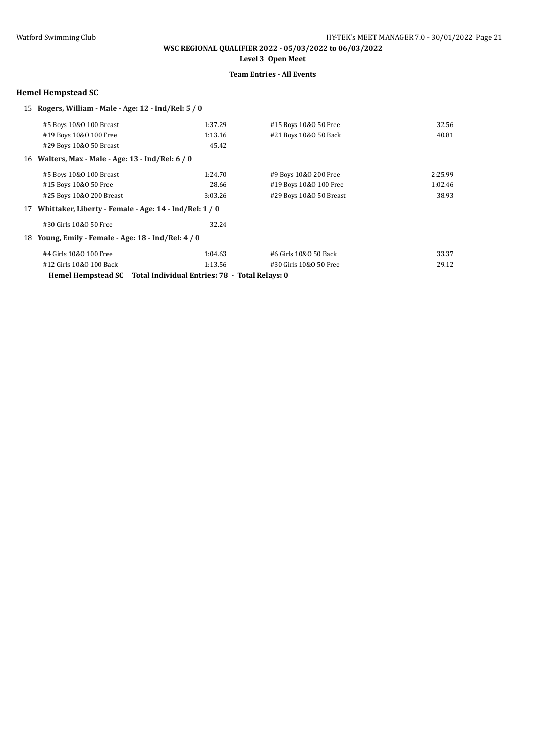**WSC REGIONAL QUALIFIER 2022 - 05/03/2022 to 06/03/2022 Level 3 Open Meet**

## **Team Entries - All Events**

### **Hemel Hempstead SC**

|    | 15 Rogers, William - Male - Age: 12 - Ind/Rel: 5 / 0 |                                                                   |                         |         |
|----|------------------------------------------------------|-------------------------------------------------------------------|-------------------------|---------|
|    | #5 Boys 10&0 100 Breast                              | 1:37.29                                                           | #15 Boys 10&0 50 Free   | 32.56   |
|    | #19 Boys 10&0 100 Free                               | 1:13.16                                                           | #21 Boys 10&0 50 Back   | 40.81   |
|    | #29 Boys 10&0 50 Breast                              | 45.42                                                             |                         |         |
|    | 16 Walters, Max - Male - Age: 13 - Ind/Rel: 6 / 0    |                                                                   |                         |         |
|    | #5 Boys 10&0 100 Breast                              | 1:24.70                                                           | #9 Boys 10&0 200 Free   | 2:25.99 |
|    | #15 Boys 10&0 50 Free                                | 28.66                                                             | #19 Boys 10&0 100 Free  | 1:02.46 |
|    | #25 Boys 10&0 200 Breast                             | 3:03.26                                                           | #29 Boys 10&0 50 Breast | 38.93   |
| 17 |                                                      | Whittaker, Liberty - Female - Age: 14 - Ind/Rel: 1 / 0            |                         |         |
|    | #30 Girls 10&0 50 Free                               | 32.24                                                             |                         |         |
| 18 | Young, Emily - Female - Age: 18 - Ind/Rel: 4 / 0     |                                                                   |                         |         |
|    | #4 Girls 10&0 100 Free                               | 1:04.63                                                           | #6 Girls 10&0 50 Back   | 33.37   |
|    | #12 Girls 10&0 100 Back                              | 1:13.56                                                           | #30 Girls 10&0 50 Free  | 29.12   |
|    |                                                      | Hemel Hempstead SC Total Individual Entries: 78 - Total Relays: 0 |                         |         |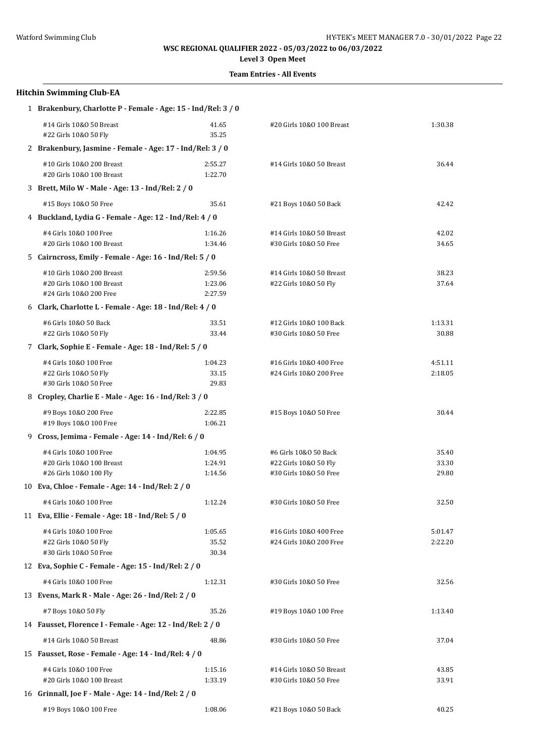**Level 3 Open Meet**

| <b>Hitchin Swimming Club-EA</b>                                                   |                               |                                                                          |                         |  |  |
|-----------------------------------------------------------------------------------|-------------------------------|--------------------------------------------------------------------------|-------------------------|--|--|
| 1 Brakenbury, Charlotte P - Female - Age: 15 - Ind/Rel: 3 / 0                     |                               |                                                                          |                         |  |  |
| #14 Girls 10&0 50 Breast<br>#22 Girls 10&0 50 Fly                                 | 41.65<br>35.25                | #20 Girls 10&0 100 Breast                                                | 1:30.38                 |  |  |
| 2 Brakenbury, Jasmine - Female - Age: 17 - Ind/Rel: 3 / 0                         |                               |                                                                          |                         |  |  |
| #10 Girls 10&0 200 Breast<br>#20 Girls 10&0 100 Breast                            | 2:55.27<br>1:22.70            | #14 Girls 10&0 50 Breast                                                 | 36.44                   |  |  |
| 3 Brett, Milo W - Male - Age: 13 - Ind/Rel: 2 / 0                                 |                               |                                                                          |                         |  |  |
| #15 Boys 10&0 50 Free                                                             | 35.61                         | #21 Boys 10&0 50 Back                                                    | 42.42                   |  |  |
| 4 Buckland, Lydia G - Female - Age: 12 - Ind/Rel: 4 / 0                           |                               |                                                                          |                         |  |  |
| #4 Girls 10&0 100 Free<br>#20 Girls 10&0 100 Breast                               | 1:16.26<br>1:34.46            | #14 Girls 10&0 50 Breast<br>#30 Girls 10&0 50 Free                       | 42.02<br>34.65          |  |  |
| 5 Cairncross, Emily - Female - Age: 16 - Ind/Rel: 5 / 0                           |                               |                                                                          |                         |  |  |
| #10 Girls 10&0 200 Breast<br>#20 Girls 10&0 100 Breast<br>#24 Girls 10&0 200 Free | 2:59.56<br>1:23.06<br>2:27.59 | #14 Girls 10&0 50 Breast<br>#22 Girls 10&0 50 Fly                        | 38.23<br>37.64          |  |  |
| 6 Clark, Charlotte L - Female - Age: $18$ - Ind/Rel: $4/0$                        |                               |                                                                          |                         |  |  |
| #6 Girls 10&0 50 Back<br>#22 Girls 10&0 50 Fly                                    | 33.51<br>33.44                | #12 Girls 10&0 100 Back<br>#30 Girls 10&0 50 Free                        | 1:13.31<br>30.88        |  |  |
| 7 Clark, Sophie E - Female - Age: 18 - Ind/Rel: 5 / 0                             |                               |                                                                          |                         |  |  |
| #4 Girls 10&0 100 Free<br>#22 Girls 10&0 50 Fly<br>#30 Girls 10&0 50 Free         | 1:04.23<br>33.15<br>29.83     | #16 Girls 10&0 400 Free<br>#24 Girls 10&0 200 Free                       | 4:51.11<br>2:18.05      |  |  |
| 8 Cropley, Charlie E - Male - Age: 16 - Ind/Rel: 3 / 0                            |                               |                                                                          |                         |  |  |
| #9 Boys 10&0 200 Free<br>#19 Boys 10&0 100 Free                                   | 2:22.85<br>1:06.21            | #15 Boys 10&0 50 Free                                                    | 30.44                   |  |  |
| 9 Cross, Jemima - Female - Age: 14 - Ind/Rel: 6 / 0                               |                               |                                                                          |                         |  |  |
| #4 Girls 10&0 100 Free<br>#20 Girls 10&0 100 Breast<br>#26 Girls 10&0 100 Fly     | 1:04.95<br>1:24.91<br>1:14.56 | #6 Girls 10&0 50 Back<br>#22 Girls 10&0 50 Fly<br>#30 Girls 10&0 50 Free | 35.40<br>33.30<br>29.80 |  |  |
| 10 Eva, Chloe - Female - Age: 14 - Ind/Rel: 2 / 0                                 |                               |                                                                          |                         |  |  |
| #4 Girls 10&0 100 Free                                                            | 1:12.24                       | #30 Girls 10&0 50 Free                                                   | 32.50                   |  |  |
| 11 Eva, Ellie - Female - Age: 18 - Ind/Rel: 5 / 0                                 |                               |                                                                          |                         |  |  |
| #4 Girls 10&0 100 Free<br>#22 Girls 10&0 50 Fly<br>#30 Girls 10&0 50 Free         | 1:05.65<br>35.52<br>30.34     | #16 Girls 10&0 400 Free<br>#24 Girls 10&0 200 Free                       | 5:01.47<br>2:22.20      |  |  |
| 12 Eva, Sophie C - Female - Age: 15 - Ind/Rel: 2 / 0                              |                               |                                                                          |                         |  |  |
| #4 Girls 10&0 100 Free                                                            | 1:12.31                       | #30 Girls 10&0 50 Free                                                   | 32.56                   |  |  |
| 13 Evens, Mark R - Male - Age: 26 - Ind/Rel: 2 / 0                                |                               |                                                                          |                         |  |  |
| #7 Boys 10&0 50 Fly                                                               | 35.26                         | #19 Boys 10&0 100 Free                                                   | 1:13.40                 |  |  |
| 14 Fausset, Florence I - Female - Age: 12 - Ind/Rel: 2 / 0                        |                               |                                                                          |                         |  |  |
| #14 Girls 10&0 50 Breast                                                          | 48.86                         | #30 Girls 10&0 50 Free                                                   | 37.04                   |  |  |
| 15 Fausset, Rose - Female - Age: 14 - Ind/Rel: 4 / 0                              |                               |                                                                          |                         |  |  |
| #4 Girls 10&0 100 Free<br>#20 Girls 10&0 100 Breast                               | 1:15.16<br>1:33.19            | #14 Girls 10&0 50 Breast<br>#30 Girls 10&0 50 Free                       | 43.85<br>33.91          |  |  |
| 16 Grinnall, Joe F - Male - Age: 14 - Ind/Rel: 2 / 0                              |                               |                                                                          |                         |  |  |
| #19 Boys 10&0 100 Free                                                            | 1:08.06                       | #21 Boys 10&0 50 Back                                                    | 40.25                   |  |  |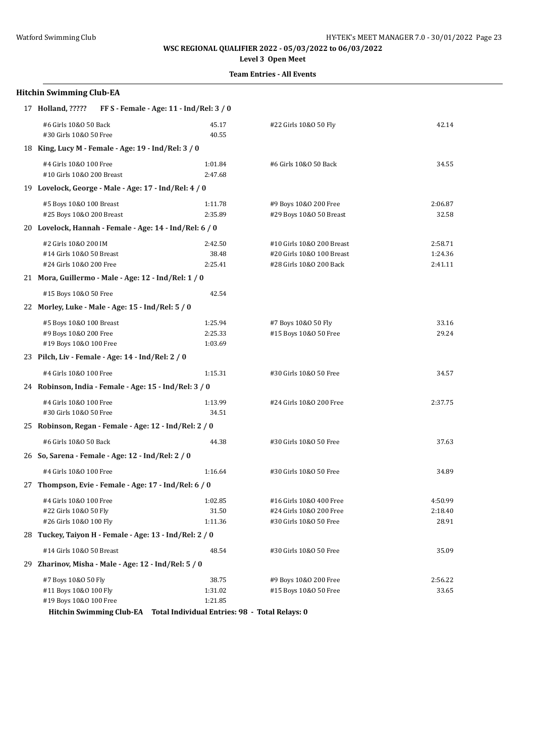**Level 3 Open Meet**

### **Team Entries - All Events**

|    | 17 Holland, ?????                                                           | FF S - Female - Age: 11 - Ind/Rel: 3 / 0 |                                                                                   |                               |
|----|-----------------------------------------------------------------------------|------------------------------------------|-----------------------------------------------------------------------------------|-------------------------------|
|    | #6 Girls 10&0 50 Back<br>#30 Girls 10&0 50 Free                             | 45.17<br>40.55                           | #22 Girls 10&0 50 Fly                                                             | 42.14                         |
|    | 18 King, Lucy M - Female - Age: 19 - Ind/Rel: 3 / 0                         |                                          |                                                                                   |                               |
|    | #4 Girls 10&0 100 Free<br>#10 Girls 10&0 200 Breast                         | 1:01.84<br>2:47.68                       | #6 Girls 10&0 50 Back                                                             | 34.55                         |
|    | 19 Lovelock, George - Male - Age: 17 - Ind/Rel: 4 / 0                       |                                          |                                                                                   |                               |
|    | #5 Boys 10&0 100 Breast<br>#25 Boys 10&0 200 Breast                         | 1:11.78<br>2:35.89                       | #9 Boys 10&0 200 Free<br>#29 Boys 10&0 50 Breast                                  | 2:06.87<br>32.58              |
|    | 20 Lovelock, Hannah - Female - Age: 14 - Ind/Rel: 6 / 0                     |                                          |                                                                                   |                               |
|    | #2 Girls 10&0 200 IM<br>#14 Girls 10&0 50 Breast<br>#24 Girls 10&0 200 Free | 2:42.50<br>38.48<br>2:25.41              | #10 Girls 10&0 200 Breast<br>#20 Girls 10&0 100 Breast<br>#28 Girls 10&0 200 Back | 2:58.71<br>1:24.36<br>2:41.11 |
|    | 21 Mora, Guillermo - Male - Age: 12 - Ind/Rel: 1 / 0                        |                                          |                                                                                   |                               |
|    | #15 Boys 10&0 50 Free                                                       | 42.54                                    |                                                                                   |                               |
|    | 22 Morley, Luke - Male - Age: 15 - Ind/Rel: 5 / 0                           |                                          |                                                                                   |                               |
|    | #5 Boys 10&0 100 Breast<br>#9 Boys 10&0 200 Free<br>#19 Boys 10&0 100 Free  | 1:25.94<br>2:25.33<br>1:03.69            | #7 Boys 10&0 50 Fly<br>#15 Boys 10&0 50 Free                                      | 33.16<br>29.24                |
|    | 23 Pilch, Liv - Female - Age: 14 - Ind/Rel: 2 / 0                           |                                          |                                                                                   |                               |
|    | #4 Girls 10&0 100 Free                                                      | 1:15.31                                  | #30 Girls 10&0 50 Free                                                            | 34.57                         |
|    | 24 Robinson, India - Female - Age: 15 - Ind/Rel: 3 / 0                      |                                          |                                                                                   |                               |
|    | #4 Girls 10&0 100 Free<br>#30 Girls 10&0 50 Free                            | 1:13.99<br>34.51                         | #24 Girls 10&0 200 Free                                                           | 2:37.75                       |
|    | 25 Robinson, Regan - Female - Age: 12 - Ind/Rel: 2 / 0                      |                                          |                                                                                   |                               |
|    | #6 Girls 10&0 50 Back                                                       | 44.38                                    | #30 Girls 10&0 50 Free                                                            | 37.63                         |
|    | 26 So, Sarena - Female - Age: 12 - Ind/Rel: 2 / 0                           |                                          |                                                                                   |                               |
|    | #4 Girls 10&0 100 Free                                                      | 1:16.64                                  | #30 Girls 10&0 50 Free                                                            | 34.89                         |
|    | 27 Thompson, Evie - Female - Age: 17 - Ind/Rel: 6 / 0                       |                                          |                                                                                   |                               |
|    | #4 Girls 10&0 100 Free<br>#22 Girls 10&0 50 Fly<br>#26 Girls 10&0 100 Fly   | 1:02.85<br>31.50<br>1:11.36              | #16 Girls 10&0 400 Free<br>#24 Girls 10&0 200 Free<br>#30 Girls 10&0 50 Free      | 4:50.99<br>2:18.40<br>28.91   |
| 28 | Tuckey, Taiyon H - Female - Age: 13 - Ind/Rel: 2 / 0                        |                                          |                                                                                   |                               |
|    | #14 Girls 10&0 50 Breast                                                    | 48.54                                    | #30 Girls 10&0 50 Free                                                            | 35.09                         |
| 29 | Zharinov, Misha - Male - Age: 12 - Ind/Rel: 5 / 0                           |                                          |                                                                                   |                               |
|    | #7 Boys 10&0 50 Fly<br>#11 Boys 10&0 100 Fly<br>#19 Boys 10&0 100 Free      | 38.75<br>1:31.02<br>1:21.85              | #9 Boys 10&0 200 Free<br>#15 Boys 10&0 50 Free                                    | 2:56.22<br>33.65              |

**Hitchin Swimming Club-EA Total Individual Entries: 98 - Total Relays: 0**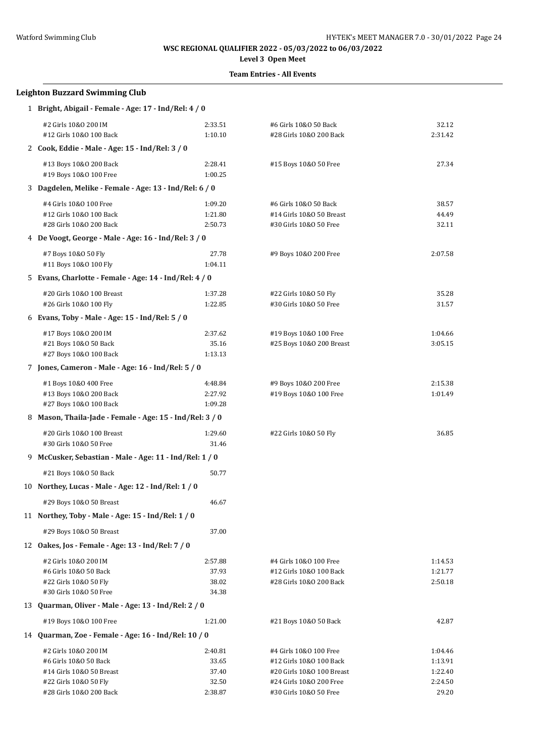# **Level 3 Open Meet**

| <b>Leighton Buzzard Swimming Club</b>                    |                    |                                                      |                    |  |  |
|----------------------------------------------------------|--------------------|------------------------------------------------------|--------------------|--|--|
| 1 Bright, Abigail - Female - Age: 17 - Ind/Rel: 4 / 0    |                    |                                                      |                    |  |  |
| #2 Girls 10&0 200 IM                                     | 2:33.51            | #6 Girls 10&0 50 Back                                | 32.12              |  |  |
| #12 Girls 10&0 100 Back                                  | 1:10.10            | #28 Girls 10&0 200 Back                              | 2:31.42            |  |  |
| 2 Cook, Eddie - Male - Age: 15 - Ind/Rel: 3 / 0          |                    |                                                      |                    |  |  |
| #13 Boys 10&0 200 Back                                   | 2:28.41            | #15 Boys 10&0 50 Free                                | 27.34              |  |  |
| #19 Boys 10&0 100 Free                                   | 1:00.25            |                                                      |                    |  |  |
| 3 Dagdelen, Melike - Female - Age: 13 - Ind/Rel: 6 / 0   |                    |                                                      |                    |  |  |
| #4 Girls 10&0 100 Free                                   | 1:09.20            | #6 Girls 10&0 50 Back                                | 38.57              |  |  |
| #12 Girls 10&0 100 Back                                  | 1:21.80            | #14 Girls 10&0 50 Breast                             | 44.49              |  |  |
| #28 Girls 10&0 200 Back                                  | 2:50.73            | #30 Girls 10&0 50 Free                               | 32.11              |  |  |
| 4 De Voogt, George - Male - Age: 16 - Ind/Rel: 3 / 0     |                    |                                                      |                    |  |  |
| #7 Boys 10&0 50 Fly                                      | 27.78              | #9 Boys 10&0 200 Free                                | 2:07.58            |  |  |
| #11 Boys 10&0 100 Fly                                    | 1:04.11            |                                                      |                    |  |  |
| 5 Evans, Charlotte - Female - Age: 14 - Ind/Rel: 4 / 0   |                    |                                                      |                    |  |  |
| #20 Girls 10&0 100 Breast<br>#26 Girls 10&0 100 Fly      | 1:37.28<br>1:22.85 | #22 Girls 10&0 50 Fly<br>#30 Girls 10&0 50 Free      | 35.28<br>31.57     |  |  |
| 6 Evans, Toby - Male - Age: 15 - Ind/Rel: 5 / 0          |                    |                                                      |                    |  |  |
|                                                          |                    |                                                      |                    |  |  |
| #17 Boys 10&0 200 IM<br>#21 Boys 10&0 50 Back            | 2:37.62<br>35.16   | #19 Boys 10&0 100 Free<br>#25 Boys 10&0 200 Breast   | 1:04.66<br>3:05.15 |  |  |
| #27 Boys 10&0 100 Back                                   | 1:13.13            |                                                      |                    |  |  |
| 7 Jones, Cameron - Male - Age: 16 - Ind/Rel: 5 / 0       |                    |                                                      |                    |  |  |
| #1 Boys 10&0 400 Free                                    | 4:48.84            | #9 Boys 10&0 200 Free                                | 2:15.38            |  |  |
| #13 Boys 10&0 200 Back                                   | 2:27.92            | #19 Boys 10&0 100 Free                               | 1:01.49            |  |  |
| #27 Boys 10&0 100 Back                                   | 1:09.28            |                                                      |                    |  |  |
| 8 Mason, Thaila-Jade - Female - Age: 15 - Ind/Rel: 3 / 0 |                    |                                                      |                    |  |  |
| #20 Girls 10&0 100 Breast                                | 1:29.60            | #22 Girls 10&0 50 Fly                                | 36.85              |  |  |
| #30 Girls 10&0 50 Free                                   | 31.46              |                                                      |                    |  |  |
| 9 McCusker, Sebastian - Male - Age: 11 - Ind/Rel: 1 / 0  |                    |                                                      |                    |  |  |
| #21 Boys 10&0 50 Back                                    | 50.77              |                                                      |                    |  |  |
| 10 Northey, Lucas - Male - Age: 12 - Ind/Rel: 1 / 0      |                    |                                                      |                    |  |  |
| #29 Boys 10&0 50 Breast                                  | 46.67              |                                                      |                    |  |  |
| 11 Northey, Toby - Male - Age: 15 - Ind/Rel: 1 / 0       |                    |                                                      |                    |  |  |
| #29 Boys 10&0 50 Breast                                  | 37.00              |                                                      |                    |  |  |
| 12 Oakes, Jos - Female - Age: 13 - Ind/Rel: 7 / 0        |                    |                                                      |                    |  |  |
| #2 Girls 10&0 200 IM                                     | 2:57.88            | #4 Girls 10&0 100 Free                               | 1:14.53            |  |  |
| #6 Girls 10&0 50 Back                                    | 37.93              | #12 Girls 10&0 100 Back                              | 1:21.77            |  |  |
| #22 Girls 10&0 50 Fly                                    | 38.02              | #28 Girls 10&0 200 Back                              | 2:50.18            |  |  |
| #30 Girls 10&0 50 Free                                   | 34.38              |                                                      |                    |  |  |
| 13 Quarman, Oliver - Male - Age: 13 - Ind/Rel: 2 / 0     |                    |                                                      |                    |  |  |
| #19 Boys 10&0 100 Free                                   | 1:21.00            | #21 Boys 10&0 50 Back                                | 42.87              |  |  |
| 14 Quarman, Zoe - Female - Age: 16 - Ind/Rel: 10 / 0     |                    |                                                      |                    |  |  |
| #2 Girls 10&0 200 IM                                     | 2:40.81            | #4 Girls 10&0 100 Free                               | 1:04.46            |  |  |
| #6 Girls 10&0 50 Back                                    | 33.65              | #12 Girls 10&0 100 Back                              | 1:13.91            |  |  |
| #14 Girls 10&0 50 Breast<br>#22 Girls 10&0 50 Fly        | 37.40<br>32.50     | #20 Girls 10&0 100 Breast<br>#24 Girls 10&0 200 Free | 1:22.40<br>2:24.50 |  |  |
| #28 Girls 10&0 200 Back                                  | 2:38.87            | #30 Girls 10&0 50 Free                               | 29.20              |  |  |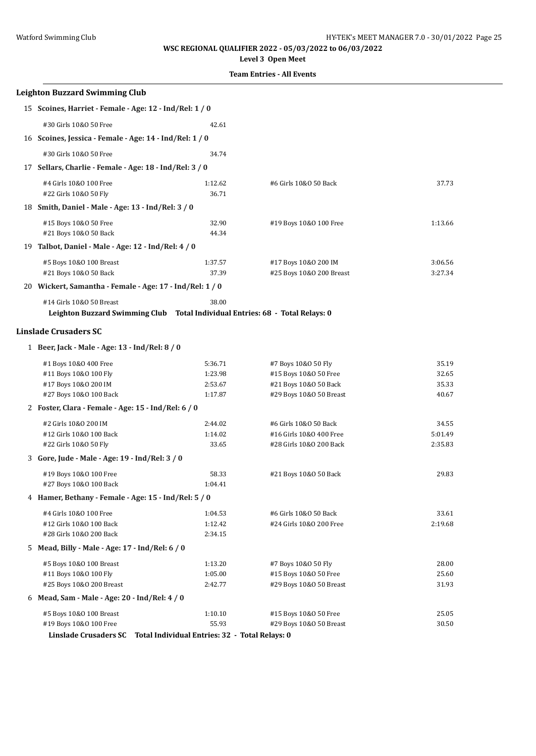**Level 3 Open Meet**

| <b>Leighton Buzzard Swimming Club</b>                                         |                                                         |                                                    |                    |
|-------------------------------------------------------------------------------|---------------------------------------------------------|----------------------------------------------------|--------------------|
| 15 Scoines, Harriet - Female - Age: 12 - Ind/Rel: 1 / 0                       |                                                         |                                                    |                    |
| #30 Girls 10&0 50 Free                                                        | 42.61                                                   |                                                    |                    |
| 16 Scoines, Jessica - Female - Age: 14 - Ind/Rel: 1 / 0                       |                                                         |                                                    |                    |
| #30 Girls 10&0 50 Free                                                        | 34.74                                                   |                                                    |                    |
| 17 Sellars, Charlie - Female - Age: 18 - Ind/Rel: 3 / 0                       |                                                         |                                                    |                    |
| #4 Girls 10&0 100 Free                                                        | 1:12.62                                                 | #6 Girls 10&0 50 Back                              | 37.73              |
| #22 Girls 10&0 50 Fly                                                         | 36.71                                                   |                                                    |                    |
| 18 Smith, Daniel - Male - Age: 13 - Ind/Rel: 3 / 0                            |                                                         |                                                    |                    |
| #15 Boys 10&0 50 Free                                                         | 32.90                                                   | #19 Boys 10&0 100 Free                             | 1:13.66            |
| #21 Boys 10&0 50 Back                                                         | 44.34                                                   |                                                    |                    |
| 19 Talbot, Daniel - Male - Age: 12 - Ind/Rel: 4 / 0                           |                                                         |                                                    |                    |
| #5 Boys 10&0 100 Breast                                                       | 1:37.57                                                 | #17 Boys 10&0 200 IM                               | 3:06.56            |
| #21 Boys 10&0 50 Back                                                         | 37.39                                                   | #25 Boys 10&0 200 Breast                           | 3:27.34            |
| 20 Wickert, Samantha - Female - Age: 17 - Ind/Rel: 1 / 0                      |                                                         |                                                    |                    |
| #14 Girls 10&0 50 Breast                                                      | 38.00                                                   |                                                    |                    |
| Leighton Buzzard Swimming Club Total Individual Entries: 68 - Total Relays: 0 |                                                         |                                                    |                    |
| <b>Linslade Crusaders SC</b>                                                  |                                                         |                                                    |                    |
| 1 Beer, Jack - Male - Age: 13 - Ind/Rel: 8 / 0                                |                                                         |                                                    |                    |
| #1 Boys 10&0 400 Free                                                         | 5:36.71                                                 | #7 Boys 10&0 50 Fly                                | 35.19              |
| #11 Boys 10&0 100 Fly                                                         | 1:23.98                                                 | #15 Boys 10&0 50 Free                              | 32.65              |
| #17 Boys 10&0 200 IM                                                          | 2:53.67<br>1:17.87                                      | #21 Boys 10&0 50 Back                              | 35.33<br>40.67     |
| #27 Boys 10&0 100 Back                                                        |                                                         | #29 Boys 10&0 50 Breast                            |                    |
| 2 Foster, Clara - Female - Age: 15 - Ind/Rel: 6 / 0                           |                                                         |                                                    |                    |
| #2 Girls 10&0 200 IM                                                          | 2:44.02                                                 | #6 Girls 10&0 50 Back                              | 34.55              |
| #12 Girls 10&0 100 Back<br>#22 Girls 10&0 50 Fly                              | 1:14.02<br>33.65                                        | #16 Girls 10&0 400 Free<br>#28 Girls 10&0 200 Back | 5:01.49<br>2:35.83 |
| 3 Gore, Jude - Male - Age: 19 - Ind/Rel: 3 / 0                                |                                                         |                                                    |                    |
| #19 Boys 10&0 100 Free                                                        | 58.33                                                   | #21 Boys 10&0 50 Back                              | 29.83              |
| #27 Boys 10&0 100 Back                                                        | 1:04.41                                                 |                                                    |                    |
| 4 Hamer, Bethany - Female - Age: 15 - Ind/Rel: 5 / 0                          |                                                         |                                                    |                    |
| #4 Girls 10&0 100 Free                                                        | 1:04.53                                                 | #6 Girls 10&0 50 Back                              | 33.61              |
| #12 Girls 10&0 100 Back                                                       | 1:12.42                                                 | #24 Girls 10&0 200 Free                            | 2:19.68            |
| #28 Girls 10&0 200 Back                                                       | 2:34.15                                                 |                                                    |                    |
| 5 Mead, Billy - Male - Age: 17 - Ind/Rel: 6 / 0                               |                                                         |                                                    |                    |
| #5 Boys 10&0 100 Breast                                                       | 1:13.20                                                 | #7 Boys 10&0 50 Fly                                | 28.00              |
| #11 Boys 10&0 100 Fly                                                         | 1:05.00                                                 | #15 Boys 10&0 50 Free                              | 25.60              |
| #25 Boys 10&0 200 Breast                                                      | 2:42.77                                                 | #29 Boys 10&0 50 Breast                            | 31.93              |
| 6 Mead, Sam - Male - Age: 20 - Ind/Rel: 4 / 0                                 |                                                         |                                                    |                    |
| #5 Boys 10&0 100 Breast                                                       | 1:10.10                                                 | #15 Boys 10&0 50 Free                              | 25.05              |
| #19 Boys 10&0 100 Free<br><b>Linslade Crusaders SC</b>                        | 55.93<br>Total Individual Entries: 32 - Total Relays: 0 | #29 Boys 10&0 50 Breast                            | 30.50              |
|                                                                               |                                                         |                                                    |                    |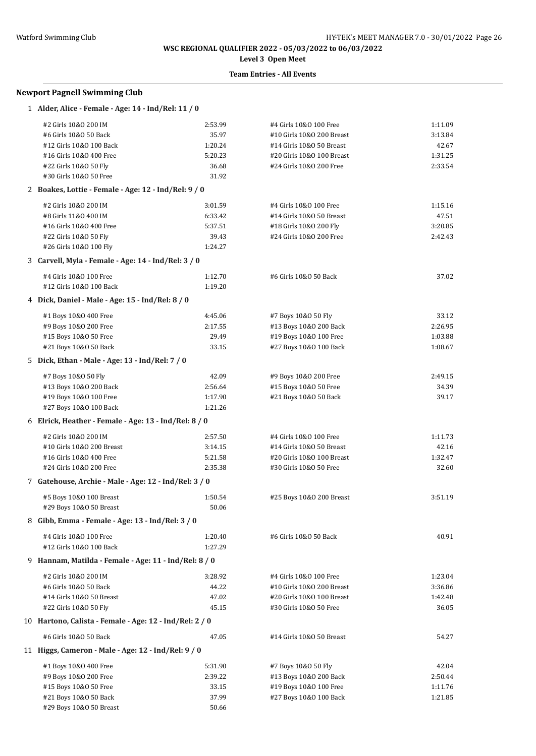# **Level 3 Open Meet**

## **Team Entries - All Events**

### **Newport Pagnell Swimming Club**

| 1 Alder, Alice - Female - Age: 14 - Ind/Rel: 11 / 0     |         |                           |         |  |
|---------------------------------------------------------|---------|---------------------------|---------|--|
| #2 Girls 10&0 200 IM                                    | 2:53.99 | #4 Girls 10&0 100 Free    | 1:11.09 |  |
| #6 Girls 10&0 50 Back                                   | 35.97   | #10 Girls 10&0 200 Breast | 3:13.84 |  |
| #12 Girls 10&0 100 Back                                 | 1:20.24 | #14 Girls 10&0 50 Breast  | 42.67   |  |
| #16 Girls 10&0 400 Free                                 | 5:20.23 | #20 Girls 10&0 100 Breast | 1:31.25 |  |
| #22 Girls 10&0 50 Fly                                   | 36.68   | #24 Girls 10&0 200 Free   | 2:33.54 |  |
| #30 Girls 10&0 50 Free                                  | 31.92   |                           |         |  |
| 2 Boakes, Lottie - Female - Age: 12 - Ind/Rel: 9 / 0    |         |                           |         |  |
| #2 Girls 10&0 200 IM                                    | 3:01.59 | #4 Girls 10&0 100 Free    | 1:15.16 |  |
| #8 Girls 11&0 400 IM                                    | 6:33.42 | #14 Girls 10&0 50 Breast  | 47.51   |  |
| #16 Girls 10&0 400 Free                                 | 5:37.51 | #18 Girls 10&0 200 Fly    | 3:20.85 |  |
| #22 Girls 10&0 50 Fly                                   | 39.43   | #24 Girls 10&0 200 Free   | 2:42.43 |  |
| #26 Girls 10&0 100 Fly                                  | 1:24.27 |                           |         |  |
| 3 Carvell, Myla - Female - Age: 14 - Ind/Rel: 3 / 0     |         |                           |         |  |
| #4 Girls 10&0 100 Free                                  | 1:12.70 | #6 Girls 10&0 50 Back     | 37.02   |  |
| #12 Girls 10&0 100 Back                                 | 1:19.20 |                           |         |  |
| 4 Dick, Daniel - Male - Age: 15 - Ind/Rel: 8 / 0        |         |                           |         |  |
| #1 Boys 10&0 400 Free                                   | 4:45.06 | #7 Boys 10&0 50 Fly       | 33.12   |  |
| #9 Boys 10&0 200 Free                                   | 2:17.55 | #13 Boys 10&0 200 Back    | 2:26.95 |  |
| #15 Boys 10&0 50 Free                                   | 29.49   | #19 Boys 10&0 100 Free    | 1:03.88 |  |
| #21 Boys 10&0 50 Back                                   | 33.15   | #27 Boys 10&0 100 Back    | 1:08.67 |  |
| 5 Dick, Ethan - Male - Age: 13 - Ind/Rel: 7 / 0         |         |                           |         |  |
| #7 Boys 10&0 50 Fly                                     | 42.09   | #9 Boys 10&0 200 Free     | 2:49.15 |  |
| #13 Boys 10&0 200 Back                                  | 2:56.64 | #15 Boys 10&0 50 Free     | 34.39   |  |
| #19 Boys 10&0 100 Free                                  | 1:17.90 | #21 Boys 10&0 50 Back     | 39.17   |  |
| #27 Boys 10&0 100 Back                                  | 1:21.26 |                           |         |  |
| 6 Elrick, Heather - Female - Age: 13 - Ind/Rel: 8 / 0   |         |                           |         |  |
| #2 Girls 10&0 200 IM                                    | 2:57.50 | #4 Girls 10&0 100 Free    | 1:11.73 |  |
| #10 Girls 10&0 200 Breast                               | 3:14.15 | #14 Girls 10&0 50 Breast  | 42.16   |  |
| #16 Girls 10&0 400 Free                                 | 5:21.58 | #20 Girls 10&0 100 Breast | 1:32.47 |  |
| #24 Girls 10&0 200 Free                                 | 2:35.38 | #30 Girls 10&0 50 Free    | 32.60   |  |
| 7 Gatehouse, Archie - Male - Age: 12 - Ind/Rel: 3 / 0   |         |                           |         |  |
| #5 Boys 10&0 100 Breast                                 | 1:50.54 | #25 Boys 10&0 200 Breast  | 3:51.19 |  |
| #29 Boys 10&0 50 Breast                                 | 50.06   |                           |         |  |
| 8 Gibb, Emma - Female - Age: 13 - Ind/Rel: 3 / 0        |         |                           |         |  |
| #4 Girls 10&0 100 Free                                  | 1:20.40 | #6 Girls 10&0 50 Back     | 40.91   |  |
| #12 Girls 10&0 100 Back                                 | 1:27.29 |                           |         |  |
| 9 Hannam, Matilda - Female - Age: 11 - Ind/Rel: 8 / 0   |         |                           |         |  |
| #2 Girls 10&0 200 IM                                    | 3:28.92 | #4 Girls 10&0 100 Free    | 1:23.04 |  |
| #6 Girls 10&0 50 Back                                   | 44.22   | #10 Girls 10&0 200 Breast | 3:36.86 |  |
| #14 Girls 10&0 50 Breast                                | 47.02   | #20 Girls 10&0 100 Breast | 1:42.48 |  |
| #22 Girls 10&0 50 Fly                                   | 45.15   | #30 Girls 10&0 50 Free    | 36.05   |  |
| 10 Hartono, Calista - Female - Age: 12 - Ind/Rel: 2 / 0 |         |                           |         |  |
| #6 Girls 10&0 50 Back                                   | 47.05   | #14 Girls 10&0 50 Breast  | 54.27   |  |
| 11 Higgs, Cameron - Male - Age: 12 - Ind/Rel: 9 / 0     |         |                           |         |  |
| #1 Boys 10&0 400 Free                                   | 5:31.90 | #7 Boys 10&0 50 Fly       | 42.04   |  |
| #9 Boys 10&0 200 Free                                   | 2:39.22 | #13 Boys 10&0 200 Back    | 2:50.44 |  |
| #15 Boys 10&0 50 Free                                   | 33.15   | #19 Boys 10&0 100 Free    | 1:11.76 |  |
| #21 Boys 10&0 50 Back                                   | 37.99   | #27 Boys 10&0 100 Back    | 1:21.85 |  |

#29 Boys 10&O 50 Breast 50.66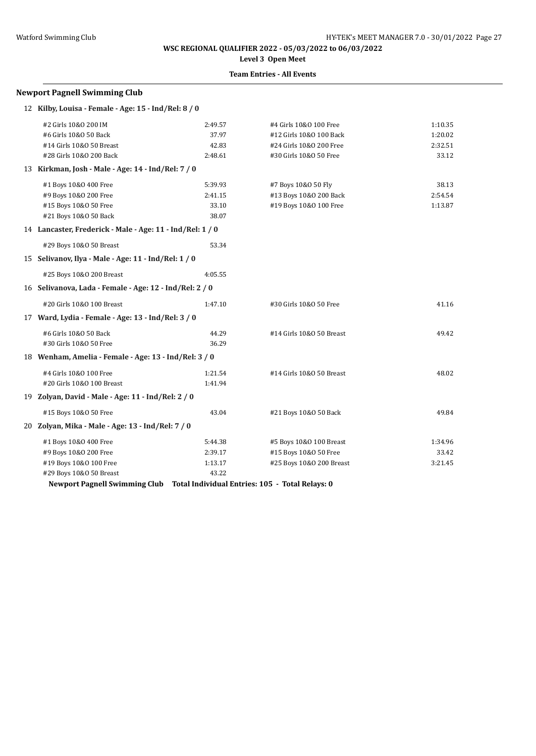# **Level 3 Open Meet**

## **Team Entries - All Events**

| <b>Newport Pagnell Swimming Club</b>                      |         |                          |         |
|-----------------------------------------------------------|---------|--------------------------|---------|
| 12 Kilby, Louisa - Female - Age: 15 - Ind/Rel: 8 / 0      |         |                          |         |
| #2 Girls 10&0 200 IM                                      | 2:49.57 | #4 Girls 10&0 100 Free   | 1:10.35 |
| #6 Girls 10&0 50 Back                                     | 37.97   | #12 Girls 10&0 100 Back  | 1:20.02 |
| #14 Girls 10&0 50 Breast                                  | 42.83   | #24 Girls 10&0 200 Free  | 2:32.51 |
| #28 Girls 10&0 200 Back                                   | 2:48.61 | #30 Girls 10&0 50 Free   | 33.12   |
| 13 Kirkman, Josh - Male - Age: 14 - Ind/Rel: 7 / 0        |         |                          |         |
| #1 Boys 10&0 400 Free                                     | 5:39.93 | #7 Boys 10&0 50 Fly      | 38.13   |
| #9 Boys 10&0 200 Free                                     | 2:41.15 | #13 Boys 10&0 200 Back   | 2:54.54 |
| #15 Boys 10&0 50 Free                                     | 33.10   | #19 Boys 10&0 100 Free   | 1:13.87 |
| #21 Boys 10&0 50 Back                                     | 38.07   |                          |         |
| 14 Lancaster, Frederick - Male - Age: 11 - Ind/Rel: 1 / 0 |         |                          |         |
| #29 Boys 10&0 50 Breast                                   | 53.34   |                          |         |
| 15 Selivanov, Ilya - Male - Age: 11 - Ind/Rel: 1 / 0      |         |                          |         |
| #25 Boys 10&0 200 Breast                                  | 4:05.55 |                          |         |
| 16 Selivanova, Lada - Female - Age: 12 - Ind/Rel: 2 / 0   |         |                          |         |
| #20 Girls 10&0 100 Breast                                 | 1:47.10 | #30 Girls 10&0 50 Free   | 41.16   |
| 17 Ward, Lydia - Female - Age: 13 - Ind/Rel: 3 / 0        |         |                          |         |
| #6 Girls 10&0 50 Back                                     | 44.29   | #14 Girls 10&0 50 Breast | 49.42   |
| #30 Girls 10&0 50 Free                                    | 36.29   |                          |         |
| 18 Wenham, Amelia - Female - Age: 13 - Ind/Rel: 3 / 0     |         |                          |         |
| #4 Girls 10&0 100 Free                                    | 1:21.54 | #14 Girls 10&0 50 Breast | 48.02   |
| #20 Girls 10&0 100 Breast                                 | 1:41.94 |                          |         |
| 19 Zolyan, David - Male - Age: 11 - Ind/Rel: 2 / 0        |         |                          |         |
| #15 Boys 10&0 50 Free                                     | 43.04   | #21 Boys 10&0 50 Back    | 49.84   |
| 20 Zolyan, Mika - Male - Age: 13 - Ind/Rel: 7 / 0         |         |                          |         |
| #1 Boys 10&0 400 Free                                     | 5:44.38 | #5 Boys 10&0 100 Breast  | 1:34.96 |
| #9 Boys 10&0 200 Free                                     | 2:39.17 | #15 Boys 10&0 50 Free    | 33.42   |
| #19 Boys 10&0 100 Free                                    | 1:13.17 | #25 Boys 10&0 200 Breast | 3:21.45 |
| #29 Boys 10&0 50 Breast                                   | 43.22   |                          |         |

**Newport Pagnell Swimming Club Total Individual Entries: 105 - Total Relays: 0**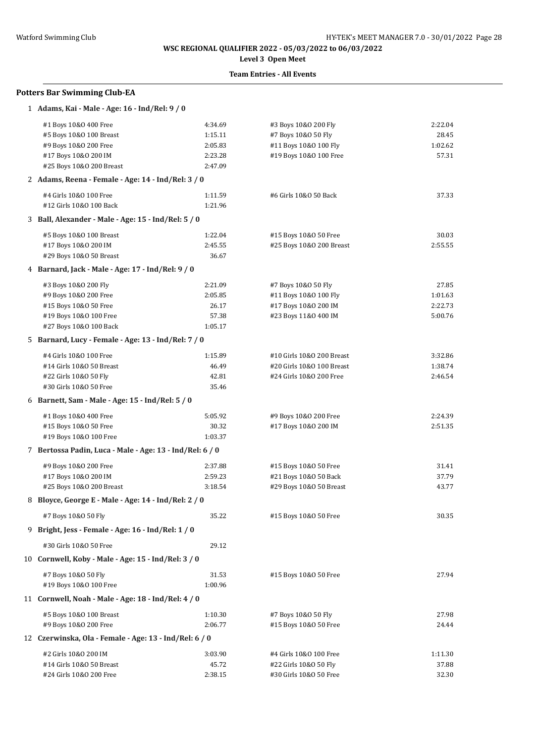# **Level 3 Open Meet**

# **Team Entries - All Events**

# **Potters Bar Swimming Club-EA**

| 1 Adams, Kai - Male - Age: 16 - Ind/Rel: 9 / 0           |         |                           |         |  |
|----------------------------------------------------------|---------|---------------------------|---------|--|
| #1 Boys 10&0 400 Free                                    | 4:34.69 | #3 Boys 10&0 200 Fly      | 2:22.04 |  |
| #5 Boys 10&0 100 Breast                                  | 1:15.11 | #7 Boys 10&0 50 Fly       | 28.45   |  |
| #9 Boys 10&0 200 Free                                    | 2:05.83 | #11 Boys 10&0 100 Fly     | 1:02.62 |  |
| #17 Boys 10&0 200 IM                                     | 2:23.28 | #19 Boys 10&0 100 Free    | 57.31   |  |
| #25 Boys 10&0 200 Breast                                 | 2:47.09 |                           |         |  |
| 2 Adams, Reena - Female - Age: 14 - Ind/Rel: 3 / 0       |         |                           |         |  |
| #4 Girls 10&0 100 Free                                   | 1:11.59 | #6 Girls 10&0 50 Back     | 37.33   |  |
| #12 Girls 10&0 100 Back                                  | 1:21.96 |                           |         |  |
| 3 Ball, Alexander - Male - Age: 15 - Ind/Rel: 5 / 0      |         |                           |         |  |
| #5 Boys 10&0 100 Breast                                  | 1:22.04 | #15 Boys 10&0 50 Free     | 30.03   |  |
| #17 Boys 10&0 200 IM                                     | 2:45.55 | #25 Boys 10&0 200 Breast  | 2:55.55 |  |
| #29 Boys 10&0 50 Breast                                  | 36.67   |                           |         |  |
| 4 Barnard, Jack - Male - Age: 17 - Ind/Rel: 9 / 0        |         |                           |         |  |
| #3 Boys 10&0 200 Fly                                     | 2:21.09 | #7 Boys 10&0 50 Fly       | 27.85   |  |
| #9 Boys 10&0 200 Free                                    | 2:05.85 | #11 Boys 10&0 100 Fly     | 1:01.63 |  |
| #15 Boys 10&0 50 Free                                    | 26.17   | #17 Boys 10&0 200 IM      | 2:22.73 |  |
| #19 Boys 10&0 100 Free                                   | 57.38   | #23 Boys 11&0 400 IM      | 5:00.76 |  |
| #27 Boys 10&0 100 Back                                   | 1:05.17 |                           |         |  |
| 5 Barnard, Lucy - Female - Age: 13 - Ind/Rel: 7 / 0      |         |                           |         |  |
| #4 Girls 10&0 100 Free                                   | 1:15.89 | #10 Girls 10&0 200 Breast | 3:32.86 |  |
| #14 Girls 10&0 50 Breast                                 | 46.49   | #20 Girls 10&0 100 Breast | 1:38.74 |  |
| #22 Girls 10&0 50 Fly                                    | 42.81   | #24 Girls 10&0 200 Free   | 2:46.54 |  |
| #30 Girls 10&0 50 Free                                   | 35.46   |                           |         |  |
| 6 Barnett, Sam - Male - Age: 15 - Ind/Rel: 5 / 0         |         |                           |         |  |
| #1 Boys 10&0 400 Free                                    | 5:05.92 | #9 Boys 10&0 200 Free     | 2:24.39 |  |
| #15 Boys 10&0 50 Free                                    | 30.32   | #17 Boys 10&0 200 IM      | 2:51.35 |  |
| #19 Boys 10&0 100 Free                                   | 1:03.37 |                           |         |  |
| 7 Bertossa Padin, Luca - Male - Age: 13 - Ind/Rel: 6 / 0 |         |                           |         |  |
| #9 Boys 10&0 200 Free                                    | 2:37.88 | #15 Boys 10&0 50 Free     | 31.41   |  |
| #17 Boys 10&0 200 IM                                     | 2:59.23 | #21 Boys 10&0 50 Back     | 37.79   |  |
| #25 Boys 10&0 200 Breast                                 | 3:18.54 | #29 Boys 10&0 50 Breast   | 43.77   |  |
| 8 Bloyce, George E - Male - Age: 14 - Ind/Rel: 2 / 0     |         |                           |         |  |
| #7 Boys 10&0 50 Fly                                      | 35.22   | #15 Boys 10&0 50 Free     | 30.35   |  |
| 9 Bright, Jess - Female - Age: 16 - Ind/Rel: 1 / 0       |         |                           |         |  |
| #30 Girls 10&0 50 Free                                   | 29.12   |                           |         |  |
| 10 Cornwell, Koby - Male - Age: 15 - Ind/Rel: 3 / 0      |         |                           |         |  |
| #7 Boys 10&0 50 Fly                                      | 31.53   | #15 Boys 10&0 50 Free     | 27.94   |  |
| #19 Boys 10&0 100 Free                                   | 1:00.96 |                           |         |  |
| 11 Cornwell, Noah - Male - Age: 18 - Ind/Rel: 4 / 0      |         |                           |         |  |
| #5 Boys 10&0 100 Breast                                  | 1:10.30 | #7 Boys 10&0 50 Fly       | 27.98   |  |
| #9 Boys 10&0 200 Free                                    | 2:06.77 | #15 Boys 10&0 50 Free     | 24.44   |  |
| 12 Czerwinska, Ola - Female - Age: 13 - Ind/Rel: 6 / 0   |         |                           |         |  |
| #2 Girls 10&0 200 IM                                     | 3:03.90 | #4 Girls 10&0 100 Free    | 1:11.30 |  |
| #14 Girls 10&0 50 Breast                                 | 45.72   | #22 Girls 10&0 50 Fly     | 37.88   |  |
| #24 Girls 10&0 200 Free                                  | 2:38.15 | #30 Girls 10&0 50 Free    | 32.30   |  |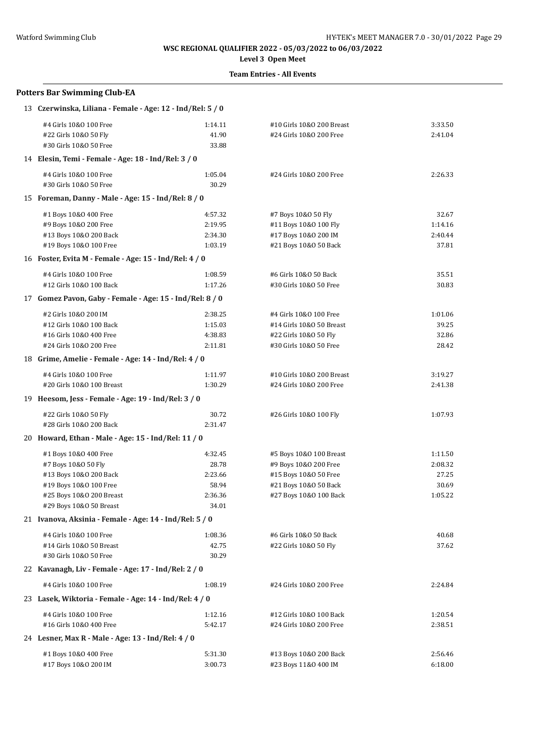**Level 3 Open Meet**

| <b>Potters Bar Swimming Club-EA</b>                                                |                  |                                                      |                    |  |  |
|------------------------------------------------------------------------------------|------------------|------------------------------------------------------|--------------------|--|--|
| 13 Czerwinska, Liliana - Female - Age: 12 - Ind/Rel: 5 / 0                         |                  |                                                      |                    |  |  |
| #4 Girls 10&0 100 Free<br>#22 Girls 10&0 50 Fly                                    | 1:14.11<br>41.90 | #10 Girls 10&0 200 Breast<br>#24 Girls 10&0 200 Free | 3:33.50<br>2:41.04 |  |  |
| #30 Girls 10&0 50 Free                                                             | 33.88            |                                                      |                    |  |  |
| 14 Elesin, Temi - Female - Age: 18 - Ind/Rel: 3 / 0                                |                  |                                                      |                    |  |  |
| #4 Girls 10&0 100 Free<br>#30 Girls 10&0 50 Free                                   | 1:05.04<br>30.29 | #24 Girls 10&0 200 Free                              | 2:26.33            |  |  |
| 15 Foreman, Danny - Male - Age: 15 - Ind/Rel: 8 / 0                                |                  |                                                      |                    |  |  |
| #1 Boys 10&0 400 Free                                                              | 4:57.32          | #7 Boys 10&0 50 Fly                                  | 32.67              |  |  |
| #9 Boys 10&0 200 Free                                                              | 2:19.95          | #11 Boys 10&0 100 Fly                                | 1:14.16            |  |  |
| #13 Boys 10&0 200 Back                                                             | 2:34.30          | #17 Boys 10&0 200 IM                                 | 2:40.44            |  |  |
| #19 Boys 10&0 100 Free                                                             | 1:03.19          | #21 Boys 10&0 50 Back                                | 37.81              |  |  |
| 16 Foster, Evita M - Female - Age: 15 - Ind/Rel: 4 / 0                             |                  |                                                      |                    |  |  |
| #4 Girls 10&0 100 Free                                                             | 1:08.59          | #6 Girls 10&0 50 Back                                | 35.51              |  |  |
| #12 Girls 10&0 100 Back                                                            | 1:17.26          | #30 Girls 10&0 50 Free                               | 30.83              |  |  |
| 17 Gomez Pavon, Gaby - Female - Age: 15 - Ind/Rel: 8 / 0                           |                  |                                                      |                    |  |  |
| #2 Girls 10&0 200 IM                                                               | 2:38.25          | #4 Girls 10&0 100 Free                               | 1:01.06            |  |  |
| #12 Girls 10&0 100 Back                                                            | 1:15.03          | #14 Girls 10&0 50 Breast                             | 39.25              |  |  |
| #16 Girls 10&0 400 Free                                                            | 4:38.83          | #22 Girls 10&0 50 Fly                                | 32.86              |  |  |
| #24 Girls 10&0 200 Free                                                            | 2:11.81          | #30 Girls 10&0 50 Free                               | 28.42              |  |  |
| 18 Grime, Amelie - Female - Age: 14 - Ind/Rel: 4 / 0                               |                  |                                                      |                    |  |  |
| #4 Girls 10&0 100 Free                                                             | 1:11.97          | #10 Girls 10&0 200 Breast                            | 3:19.27            |  |  |
| #20 Girls 10&0 100 Breast                                                          | 1:30.29          | #24 Girls 10&0 200 Free                              | 2:41.38            |  |  |
| 19 Heesom, Jess - Female - Age: 19 - Ind/Rel: 3 / 0                                |                  |                                                      |                    |  |  |
| #22 Girls 10&0 50 Fly                                                              | 30.72            | #26 Girls 10&0 100 Fly                               | 1:07.93            |  |  |
| #28 Girls 10&0 200 Back                                                            | 2:31.47          |                                                      |                    |  |  |
| 20 Howard, Ethan - Male - Age: 15 - Ind/Rel: 11 / 0                                |                  |                                                      |                    |  |  |
| #1 Boys 10&0 400 Free                                                              | 4:32.45          | #5 Boys 10&0 100 Breast                              | 1:11.50            |  |  |
| #7 Boys 10&0 50 Fly                                                                | 28.78            | #9 Boys 10&0 200 Free                                | 2:08.32            |  |  |
| #13 Boys 10&0 200 Back                                                             | 2:23.66          | #15 Boys 10&0 50 Free                                | 27.25              |  |  |
| #19 Boys 10&0 100 Free                                                             | 58.94            | #21 Boys 10&0 50 Back                                | 30.69              |  |  |
| #25 Boys 10&0 200 Breast                                                           | 2:36.36          | #27 Boys 10&0 100 Back                               | 1:05.22            |  |  |
| #29 Boys 10&0 50 Breast<br>21 Ivanova, Aksinia - Female - Age: 14 - Ind/Rel: 5 / 0 | 34.01            |                                                      |                    |  |  |
|                                                                                    |                  |                                                      |                    |  |  |
| #4 Girls 10&0 100 Free                                                             | 1:08.36          | #6 Girls 10&0 50 Back                                | 40.68              |  |  |
| #14 Girls 10&0 50 Breast<br>#30 Girls 10&0 50 Free                                 | 42.75<br>30.29   | #22 Girls 10&0 50 Fly                                | 37.62              |  |  |
|                                                                                    |                  |                                                      |                    |  |  |
| 22 Kavanagh, Liv - Female - Age: 17 - Ind/Rel: 2 / 0                               |                  |                                                      |                    |  |  |
| #4 Girls 10&0 100 Free                                                             | 1:08.19          | #24 Girls 10&0 200 Free                              | 2:24.84            |  |  |
| 23 Lasek, Wiktoria - Female - Age: 14 - Ind/Rel: 4 / 0                             |                  |                                                      |                    |  |  |
| #4 Girls 10&0 100 Free                                                             | 1:12.16          | #12 Girls 10&0 100 Back                              | 1:20.54            |  |  |
| #16 Girls 10&0 400 Free                                                            | 5:42.17          | #24 Girls 10&0 200 Free                              | 2:38.51            |  |  |
| 24 Lesner, Max R - Male - Age: 13 - Ind/Rel: 4 / 0                                 |                  |                                                      |                    |  |  |
| #1 Boys 10&0 400 Free                                                              | 5:31.30          | #13 Boys 10&0 200 Back                               | 2:56.46            |  |  |
| #17 Boys 10&0 200 IM                                                               | 3:00.73          | #23 Boys 11&0 400 IM                                 | 6:18.00            |  |  |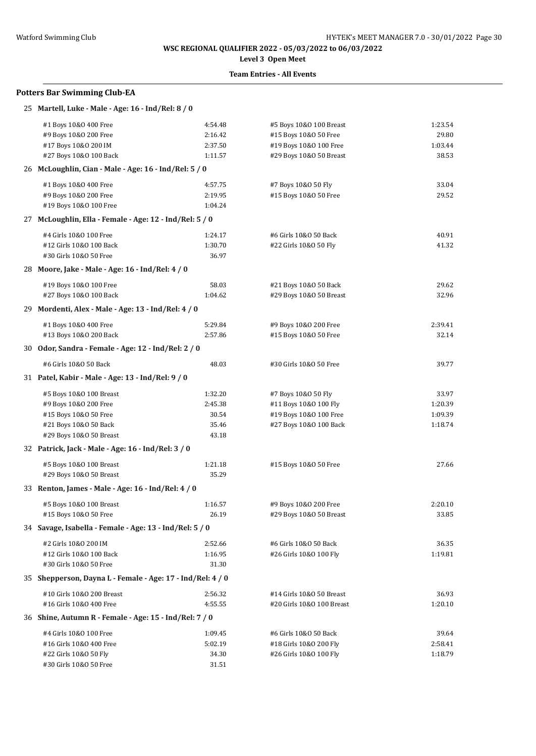# **Level 3 Open Meet**

## **Team Entries - All Events**

#### **Potters Bar Swimming Club-EA**

| 25 Martell, Luke - Male - Age: 16 - Ind/Rel: 8 / 0         |         |                           |         |
|------------------------------------------------------------|---------|---------------------------|---------|
| #1 Boys 10&0 400 Free                                      | 4:54.48 | #5 Boys 10&0 100 Breast   | 1:23.54 |
| #9 Boys 10&0 200 Free                                      | 2:16.42 | #15 Boys 10&0 50 Free     | 29.80   |
| #17 Boys 10&0 200 IM                                       | 2:37.50 | #19 Boys 10&0 100 Free    | 1:03.44 |
| #27 Boys 10&0 100 Back                                     | 1:11.57 | #29 Boys 10&0 50 Breast   | 38.53   |
| 26 McLoughlin, Cian - Male - Age: 16 - Ind/Rel: 5 / 0      |         |                           |         |
| #1 Boys 10&0 400 Free                                      | 4:57.75 | #7 Boys 10&0 50 Fly       | 33.04   |
| #9 Boys 10&0 200 Free                                      | 2:19.95 | #15 Boys 10&0 50 Free     | 29.52   |
| #19 Boys 10&0 100 Free                                     | 1:04.24 |                           |         |
| 27 McLoughlin, Ella - Female - Age: 12 - Ind/Rel: 5 / 0    |         |                           |         |
| #4 Girls 10&0 100 Free                                     | 1:24.17 | #6 Girls 10&0 50 Back     | 40.91   |
| #12 Girls 10&0 100 Back                                    | 1:30.70 | #22 Girls 10&0 50 Fly     | 41.32   |
| #30 Girls 10&0 50 Free                                     | 36.97   |                           |         |
| 28 Moore, Jake - Male - Age: 16 - Ind/Rel: 4 / 0           |         |                           |         |
| #19 Boys 10&0 100 Free                                     | 58.03   | #21 Boys 10&0 50 Back     | 29.62   |
| #27 Boys 10&0 100 Back                                     | 1:04.62 | #29 Boys 10&0 50 Breast   | 32.96   |
| 29 Mordenti, Alex - Male - Age: 13 - Ind/Rel: 4 / 0        |         |                           |         |
| #1 Boys 10&0 400 Free                                      | 5:29.84 | #9 Boys 10&0 200 Free     | 2:39.41 |
| #13 Boys 10&0 200 Back                                     | 2:57.86 | #15 Boys 10&0 50 Free     | 32.14   |
| 30 Odor, Sandra - Female - Age: 12 - Ind/Rel: 2 / 0        |         |                           |         |
| #6 Girls 10&0 50 Back                                      | 48.03   | #30 Girls 10&0 50 Free    | 39.77   |
| 31 Patel, Kabir - Male - Age: 13 - Ind/Rel: 9 / 0          |         |                           |         |
| #5 Boys 10&0 100 Breast                                    | 1:32.20 | #7 Boys 10&0 50 Fly       | 33.97   |
| #9 Boys 10&0 200 Free                                      | 2:45.38 | #11 Boys 10&0 100 Fly     | 1:20.39 |
| #15 Boys 10&0 50 Free                                      | 30.54   | #19 Boys 10&0 100 Free    | 1:09.39 |
| #21 Boys 10&0 50 Back                                      | 35.46   | #27 Boys 10&0 100 Back    | 1:18.74 |
| #29 Boys 10&0 50 Breast                                    | 43.18   |                           |         |
| 32 Patrick, Jack - Male - Age: 16 - Ind/Rel: 3 / 0         |         |                           |         |
| #5 Boys 10&0 100 Breast                                    | 1:21.18 | #15 Boys 10&0 50 Free     | 27.66   |
| #29 Boys 10&0 50 Breast                                    | 35.29   |                           |         |
| 33 Renton, James - Male - Age: 16 - Ind/Rel: 4 / 0         |         |                           |         |
| #5 Boys 10&0 100 Breast                                    | 1:16.57 | #9 Boys 10&0 200 Free     | 2:20.10 |
| #15 Boys 10&0 50 Free                                      | 26.19   | #29 Boys 10&0 50 Breast   | 33.85   |
| 34 Savage, Isabella - Female - Age: 13 - Ind/Rel: 5 / 0    |         |                           |         |
| #2 Girls 10&0 200 IM                                       | 2:52.66 | #6 Girls 10&0 50 Back     | 36.35   |
| #12 Girls 10&0 100 Back                                    | 1:16.95 | #26 Girls 10&0 100 Fly    | 1:19.81 |
| #30 Girls 10&0 50 Free                                     | 31.30   |                           |         |
| 35 Shepperson, Dayna L - Female - Age: 17 - Ind/Rel: 4 / 0 |         |                           |         |
| #10 Girls 10&0 200 Breast                                  | 2:56.32 | #14 Girls 10&0 50 Breast  | 36.93   |
| #16 Girls 10&0 400 Free                                    | 4:55.55 | #20 Girls 10&0 100 Breast | 1:20.10 |
| 36 Shine, Autumn R - Female - Age: 15 - Ind/Rel: 7 / 0     |         |                           |         |
| #4 Girls 10&0 100 Free                                     | 1:09.45 | #6 Girls 10&0 50 Back     | 39.64   |
| #16 Girls 10&0 400 Free                                    | 5:02.19 | #18 Girls 10&0 200 Fly    | 2:58.41 |
| #22 Girls 10&0 50 Fly                                      | 34.30   | #26 Girls 10&0 100 Fly    | 1:18.79 |
| #30 Girls 10&0 50 Free                                     | 31.51   |                           |         |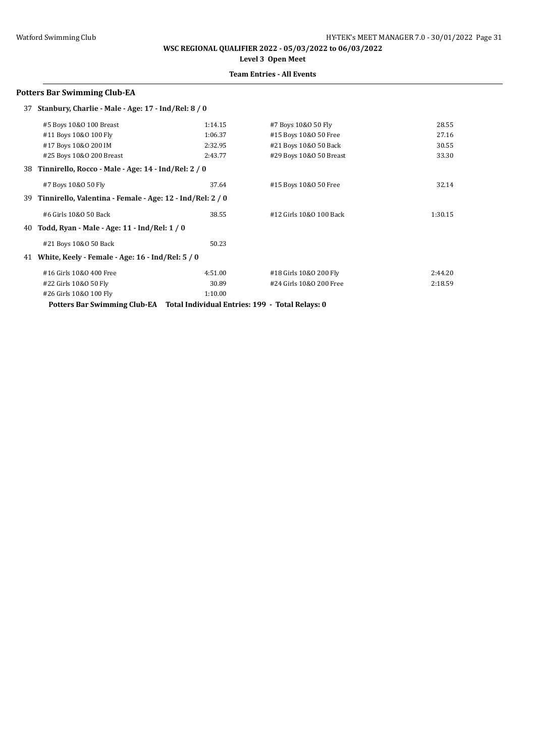**WSC REGIONAL QUALIFIER 2022 - 05/03/2022 to 06/03/2022 Level 3 Open Meet**

# **Team Entries - All Events**

#### **Potters Bar Swimming Club-EA**

| 37 | Stanbury, Charlie - Male - Age: 17 - Ind/Rel: 8 / 0          |         |                         |         |
|----|--------------------------------------------------------------|---------|-------------------------|---------|
|    | #5 Boys 10&0 100 Breast                                      | 1:14.15 | #7 Boys 10&0 50 Fly     | 28.55   |
|    | #11 Boys 10&0 100 Fly                                        | 1:06.37 | #15 Boys 10&0 50 Free   | 27.16   |
|    | #17 Boys 10&0 200 IM                                         | 2:32.95 | #21 Boys 10&0 50 Back   | 30.55   |
|    | #25 Boys 10&0 200 Breast                                     | 2:43.77 | #29 Boys 10&0 50 Breast | 33.30   |
|    | 38 Tinnirello, Rocco - Male - Age: 14 - Ind/Rel: 2 / 0       |         |                         |         |
|    | #7 Boys 10&0 50 Fly                                          | 37.64   | #15 Boys 10&0 50 Free   | 32.14   |
|    | 39 Tinnirello, Valentina - Female - Age: 12 - Ind/Rel: 2 / 0 |         |                         |         |
|    | #6 Girls 10&0 50 Back                                        | 38.55   | #12 Girls 10&0 100 Back | 1:30.15 |
| 40 | Todd, Ryan - Male - Age: 11 - Ind/Rel: 1 / 0                 |         |                         |         |
|    | #21 Boys 10&0 50 Back                                        | 50.23   |                         |         |
| 41 | White, Keely - Female - Age: 16 - Ind/Rel: 5 / 0             |         |                         |         |
|    | #16 Girls 10&0 400 Free                                      | 4:51.00 | #18 Girls 10&0 200 Fly  | 2:44.20 |
|    | #22 Girls 10&0 50 Fly                                        | 30.89   | #24 Girls 10&0 200 Free | 2:18.59 |
|    | #26 Girls 10&0 100 Fly                                       | 1:10.00 |                         |         |

**Potters Bar Swimming Club-EA Total Individual Entries: 199 - Total Relays: 0**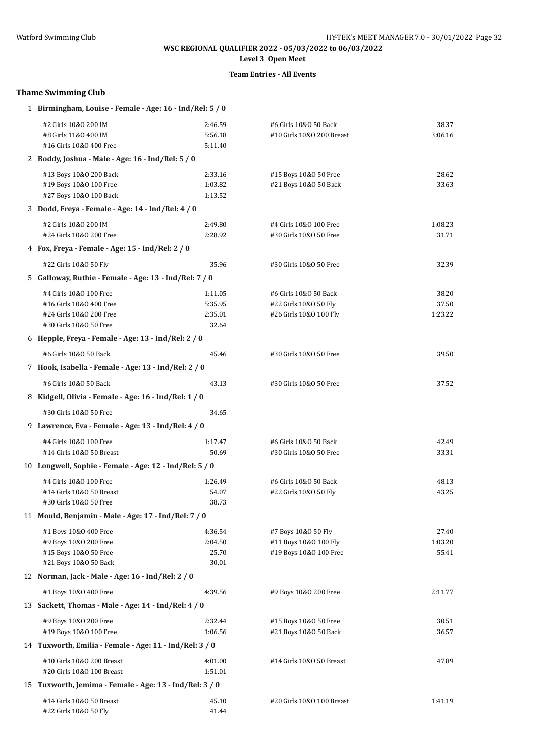**Level 3 Open Meet**

| <b>Thame Swimming Club</b>                               |         |                           |         |  |  |  |
|----------------------------------------------------------|---------|---------------------------|---------|--|--|--|
| 1 Birmingham, Louise - Female - Age: 16 - Ind/Rel: 5 / 0 |         |                           |         |  |  |  |
| #2 Girls 10&0 200 IM                                     | 2:46.59 | #6 Girls 10&0 50 Back     | 38.37   |  |  |  |
| #8 Girls 11&0 400 IM                                     | 5:56.18 | #10 Girls 10&0 200 Breast | 3:06.16 |  |  |  |
| #16 Girls 10&0 400 Free                                  | 5:11.40 |                           |         |  |  |  |
| 2 Boddy, Joshua - Male - Age: 16 - Ind/Rel: 5 / 0        |         |                           |         |  |  |  |
| #13 Boys 10&0 200 Back                                   | 2:33.16 | #15 Boys 10&0 50 Free     | 28.62   |  |  |  |
| #19 Boys 10&0 100 Free                                   | 1:03.82 | #21 Boys 10&0 50 Back     | 33.63   |  |  |  |
| #27 Boys 10&0 100 Back                                   | 1:13.52 |                           |         |  |  |  |
| 3 Dodd, Freya - Female - Age: 14 - Ind/Rel: 4 / 0        |         |                           |         |  |  |  |
| #2 Girls 10&0 200 IM                                     | 2:49.80 | #4 Girls 10&0 100 Free    | 1:08.23 |  |  |  |
| #24 Girls 10&0 200 Free                                  | 2:28.92 | #30 Girls 10&0 50 Free    | 31.71   |  |  |  |
| 4 Fox, Freya - Female - Age: 15 - Ind/Rel: 2 / 0         |         |                           |         |  |  |  |
| #22 Girls 10&0 50 Fly                                    | 35.96   | #30 Girls 10&0 50 Free    | 32.39   |  |  |  |
| 5 Galloway, Ruthie - Female - Age: 13 - Ind/Rel: 7 / 0   |         |                           |         |  |  |  |
| #4 Girls 10&0 100 Free                                   | 1:11.05 | #6 Girls 10&0 50 Back     | 38.20   |  |  |  |
| #16 Girls 10&0 400 Free                                  | 5:35.95 | #22 Girls 10&0 50 Fly     | 37.50   |  |  |  |
| #24 Girls 10&0 200 Free                                  | 2:35.01 | #26 Girls 10&0 100 Fly    | 1:23.22 |  |  |  |
| #30 Girls 10&0 50 Free                                   | 32.64   |                           |         |  |  |  |
| 6 Hepple, Freya - Female - Age: $13$ - Ind/Rel: $2/0$    |         |                           |         |  |  |  |
| #6 Girls 10&0 50 Back                                    | 45.46   | #30 Girls 10&0 50 Free    | 39.50   |  |  |  |
| 7 Hook, Isabella - Female - Age: 13 - Ind/Rel: 2 / 0     |         |                           |         |  |  |  |
| #6 Girls 10&0 50 Back                                    | 43.13   | #30 Girls 10&0 50 Free    | 37.52   |  |  |  |
| 8 Kidgell, Olivia - Female - Age: 16 - Ind/Rel: 1 / 0    |         |                           |         |  |  |  |
| #30 Girls 10&0 50 Free                                   | 34.65   |                           |         |  |  |  |
| 9 Lawrence, Eva - Female - Age: 13 - Ind/Rel: 4 / 0      |         |                           |         |  |  |  |
| #4 Girls 10&0 100 Free                                   | 1:17.47 | #6 Girls 10&0 50 Back     | 42.49   |  |  |  |
| #14 Girls 10&0 50 Breast                                 | 50.69   | #30 Girls 10&0 50 Free    | 33.31   |  |  |  |
| 10 Longwell, Sophie - Female - Age: 12 - Ind/Rel: 5 / 0  |         |                           |         |  |  |  |
| #4 Girls 10&0 100 Free                                   | 1:26.49 | #6 Girls 10&0 50 Back     | 48.13   |  |  |  |
| #14 Girls 10&0 50 Breast                                 | 54.07   | #22 Girls 10&0 50 Fly     | 43.25   |  |  |  |
| #30 Girls 10&0 50 Free                                   | 38.73   |                           |         |  |  |  |
| 11 Mould, Benjamin - Male - Age: 17 - Ind/Rel: 7 / 0     |         |                           |         |  |  |  |
| #1 Boys 10&0 400 Free                                    | 4:36.54 | #7 Boys 10&0 50 Fly       | 27.40   |  |  |  |
| #9 Boys 10&0 200 Free                                    | 2:04.50 | #11 Boys 10&0 100 Fly     | 1:03.20 |  |  |  |
| #15 Boys 10&0 50 Free                                    | 25.70   | #19 Boys 10&0 100 Free    | 55.41   |  |  |  |
| #21 Boys 10&0 50 Back                                    | 30.01   |                           |         |  |  |  |
| 12 Norman, Jack - Male - Age: 16 - Ind/Rel: 2 / 0        |         |                           |         |  |  |  |
| #1 Boys 10&0 400 Free                                    | 4:39.56 | #9 Boys 10&0 200 Free     | 2:11.77 |  |  |  |
| 13 Sackett, Thomas - Male - Age: 14 - Ind/Rel: 4 / 0     |         |                           |         |  |  |  |
| #9 Boys 10&0 200 Free                                    | 2:32.44 | #15 Boys 10&0 50 Free     | 30.51   |  |  |  |
| #19 Boys 10&0 100 Free                                   | 1:06.56 | #21 Boys 10&0 50 Back     | 36.57   |  |  |  |
| 14 Tuxworth, Emilia - Female - Age: 11 - Ind/Rel: 3 / 0  |         |                           |         |  |  |  |
| #10 Girls 10&0 200 Breast                                | 4:01.00 | #14 Girls 10&0 50 Breast  | 47.89   |  |  |  |
| #20 Girls 10&0 100 Breast                                | 1:51.01 |                           |         |  |  |  |
| 15 Tuxworth, Jemima - Female - Age: 13 - Ind/Rel: 3 / 0  |         |                           |         |  |  |  |
| #14 Girls 10&0 50 Breast                                 | 45.10   | #20 Girls 10&0 100 Breast | 1:41.19 |  |  |  |
| #22 Girls 10&0 50 Fly                                    | 41.44   |                           |         |  |  |  |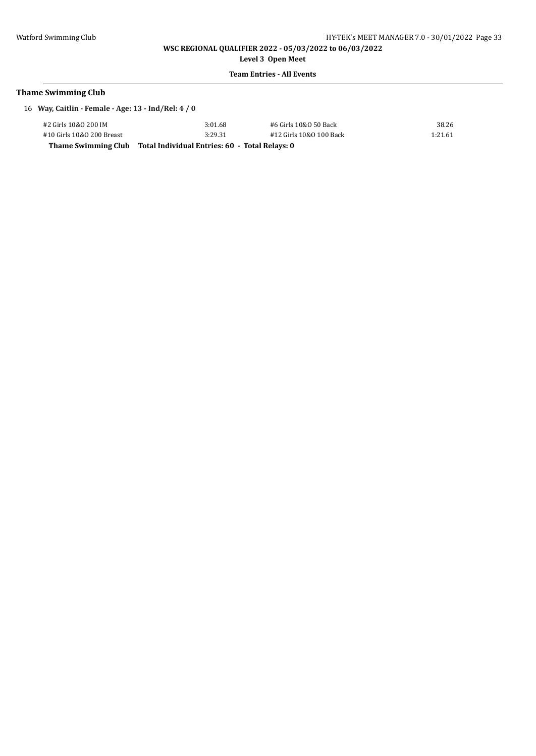**Level 3 Open Meet**

### **Team Entries - All Events**

# **Thame Swimming Club**

16 **Way, Caitlin - Female - Age: 13 - Ind/Rel: 4 / 0**

| Thame Swimming Club Total Individual Entries: 60 - Total Relays: 0 |         |                         |         |
|--------------------------------------------------------------------|---------|-------------------------|---------|
| #10 Girls 10&0 200 Breast                                          | 3:29.31 | #12 Girls 10&0 100 Back | 1:21.61 |
| #2 Girls 10&0 200 IM                                               | 3:01.68 | #6 Girls 10&0 50 Back   | 38.26   |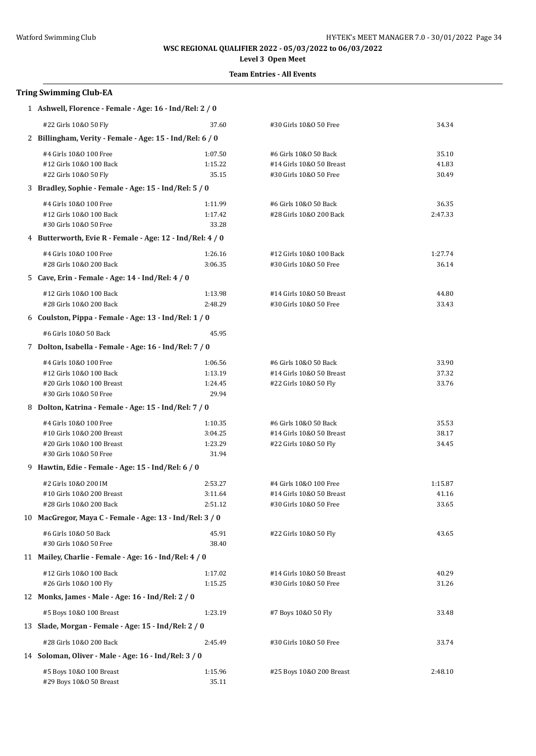## **Level 3 Open Meet**

### **Team Entries - All Events**

# **Tring Swimming Club-EA**

| 1 Ashwell, Florence - Female - Age: 16 - Ind/Rel: 2 / 0   |                    |                                                    |                  |  |  |  |  |
|-----------------------------------------------------------|--------------------|----------------------------------------------------|------------------|--|--|--|--|
| #22 Girls 10&0 50 Fly                                     | 37.60              | #30 Girls 10&0 50 Free                             | 34.34            |  |  |  |  |
| 2 Billingham, Verity - Female - Age: 15 - Ind/Rel: 6 / 0  |                    |                                                    |                  |  |  |  |  |
| #4 Girls 10&0 100 Free                                    | 1:07.50            | #6 Girls 10&0 50 Back                              | 35.10            |  |  |  |  |
| #12 Girls 10&0 100 Back                                   | 1:15.22            | #14 Girls 10&0 50 Breast                           | 41.83            |  |  |  |  |
| #22 Girls 10&0 50 Fly                                     | 35.15              | #30 Girls 10&0 50 Free                             | 30.49            |  |  |  |  |
| 3 Bradley, Sophie - Female - Age: 15 - Ind/Rel: 5 / 0     |                    |                                                    |                  |  |  |  |  |
| #4 Girls 10&0 100 Free                                    | 1:11.99            | #6 Girls 10&0 50 Back                              | 36.35            |  |  |  |  |
| #12 Girls 10&0 100 Back                                   | 1:17.42            | #28 Girls 10&0 200 Back                            | 2:47.33          |  |  |  |  |
| #30 Girls 10&0 50 Free                                    | 33.28              |                                                    |                  |  |  |  |  |
| 4 Butterworth, Evie R - Female - Age: 12 - Ind/Rel: 4 / 0 |                    |                                                    |                  |  |  |  |  |
| #4 Girls 10&0 100 Free                                    | 1:26.16            | #12 Girls 10&0 100 Back                            | 1:27.74          |  |  |  |  |
| #28 Girls 10&0 200 Back                                   | 3:06.35            | #30 Girls 10&0 50 Free                             | 36.14            |  |  |  |  |
| 5 Cave, Erin - Female - Age: 14 - Ind/Rel: 4 / 0          |                    |                                                    |                  |  |  |  |  |
| #12 Girls 10&0 100 Back                                   | 1:13.98            | #14 Girls 10&0 50 Breast                           | 44.80            |  |  |  |  |
| #28 Girls 10&0 200 Back                                   | 2:48.29            | #30 Girls 10&0 50 Free                             | 33.43            |  |  |  |  |
| 6 Coulston, Pippa - Female - Age: 13 - Ind/Rel: 1 / 0     |                    |                                                    |                  |  |  |  |  |
| #6 Girls 10&0 50 Back                                     | 45.95              |                                                    |                  |  |  |  |  |
| 7 Dolton, Isabella - Female - Age: 16 - Ind/Rel: 7 / 0    |                    |                                                    |                  |  |  |  |  |
| #4 Girls 10&0 100 Free                                    | 1:06.56            | #6 Girls 10&0 50 Back                              | 33.90            |  |  |  |  |
| #12 Girls 10&0 100 Back                                   | 1:13.19            | #14 Girls 10&0 50 Breast                           | 37.32            |  |  |  |  |
| #20 Girls 10&0 100 Breast                                 | 1:24.45            | #22 Girls 10&0 50 Fly                              | 33.76            |  |  |  |  |
| #30 Girls 10&0 50 Free                                    | 29.94              |                                                    |                  |  |  |  |  |
| 8 Dolton, Katrina - Female - Age: 15 - Ind/Rel: 7 / 0     |                    |                                                    |                  |  |  |  |  |
| #4 Girls 10&0 100 Free                                    | 1:10.35            | #6 Girls 10&0 50 Back                              | 35.53            |  |  |  |  |
| #10 Girls 10&0 200 Breast                                 | 3:04.25            | #14 Girls 10&0 50 Breast                           | 38.17            |  |  |  |  |
| #20 Girls 10&0 100 Breast<br>#30 Girls 10&0 50 Free       | 1:23.29<br>31.94   | #22 Girls 10&0 50 Fly                              | 34.45            |  |  |  |  |
| 9 Hawtin, Edie - Female - Age: 15 - Ind/Rel: 6 / 0        |                    |                                                    |                  |  |  |  |  |
|                                                           |                    |                                                    |                  |  |  |  |  |
| #2 Girls 10&0 200 IM<br>#10 Girls 10&0 200 Breast         | 2:53.27<br>3:11.64 | #4 Girls 10&0 100 Free<br>#14 Girls 10&0 50 Breast | 1:15.87<br>41.16 |  |  |  |  |
| #28 Girls 10&0 200 Back                                   | 2:51.12            | #30 Girls 10&0 50 Free                             | 33.65            |  |  |  |  |
| 10 MacGregor, Maya C - Female - Age: 13 - Ind/Rel: 3 / 0  |                    |                                                    |                  |  |  |  |  |
| #6 Girls 10&0 50 Back                                     | 45.91              | #22 Girls 10&0 50 Fly                              | 43.65            |  |  |  |  |
| #30 Girls 10&0 50 Free                                    | 38.40              |                                                    |                  |  |  |  |  |
| 11 Mailey, Charlie - Female - Age: 16 - Ind/Rel: 4 / 0    |                    |                                                    |                  |  |  |  |  |
| #12 Girls 10&0 100 Back                                   | 1:17.02            | #14 Girls 10&0 50 Breast                           | 40.29            |  |  |  |  |
| #26 Girls 10&0 100 Fly                                    | 1:15.25            | #30 Girls 10&0 50 Free                             | 31.26            |  |  |  |  |
| 12 Monks, James - Male - Age: 16 - Ind/Rel: 2 / 0         |                    |                                                    |                  |  |  |  |  |
| #5 Boys 10&0 100 Breast                                   | 1:23.19            | #7 Boys 10&0 50 Fly                                | 33.48            |  |  |  |  |
| 13 Slade, Morgan - Female - Age: 15 - Ind/Rel: 2 / 0      |                    |                                                    |                  |  |  |  |  |
| #28 Girls 10&0 200 Back                                   | 2:45.49            | #30 Girls 10&0 50 Free                             | 33.74            |  |  |  |  |
| 14 Soloman, Oliver - Male - Age: 16 - Ind/Rel: 3 / 0      |                    |                                                    |                  |  |  |  |  |
| #5 Boys 10&0 100 Breast<br>#29 Boys 10&0 50 Breast        | 1:15.96<br>35.11   | #25 Boys 10&0 200 Breast                           | 2:48.10          |  |  |  |  |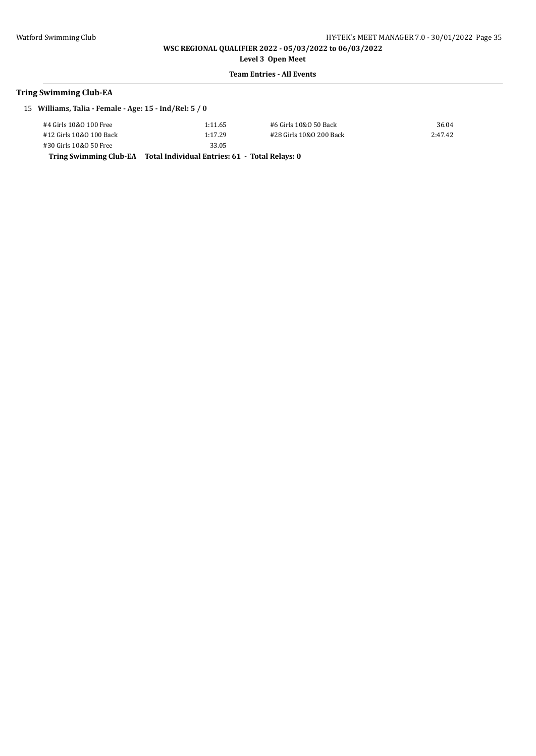**Level 3 Open Meet**

### **Team Entries - All Events**

### **Tring Swimming Club-EA**

| 15 Williams, Talia - Female - Age: 15 - Ind/Rel: 5 / 0 |                |                         |         |  |
|--------------------------------------------------------|----------------|-------------------------|---------|--|
| #4 Girls 10&0 100 Free                                 | 1:11.65        | #6 Girls 10&0 50 Back   | 36.04   |  |
| #12 Girls 10&0 100 Back                                | 1:17.29        | #28 Girls 10&0 200 Back | 2:47.42 |  |
| #30 Girls 10&0 50 Free                                 | 33.05          |                         |         |  |
|                                                        | ______________ |                         |         |  |

**Tring Swimming Club-EA Total Individual Entries: 61 - Total Relays: 0**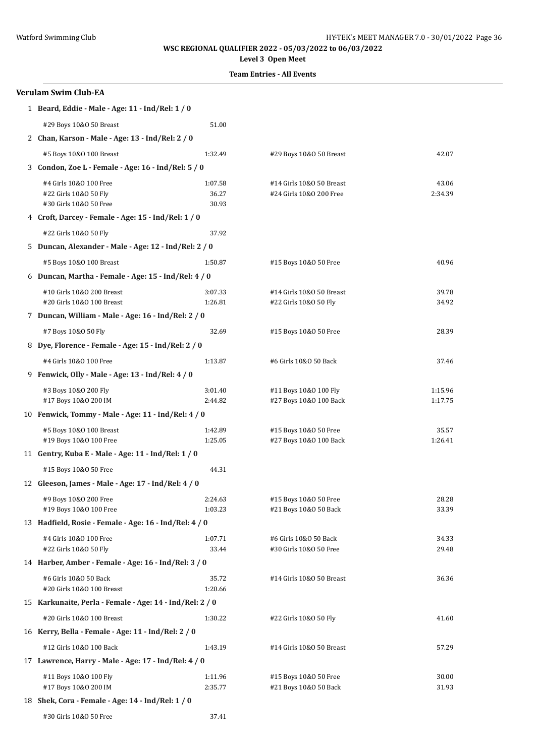### **Level 3 Open Meet**

| <b>Verulam Swim Club-EA</b>                                               |                           |                                                     |                    |  |  |
|---------------------------------------------------------------------------|---------------------------|-----------------------------------------------------|--------------------|--|--|
| 1 Beard, Eddie - Male - Age: 11 - Ind/Rel: 1 / 0                          |                           |                                                     |                    |  |  |
| #29 Boys 10&0 50 Breast                                                   | 51.00                     |                                                     |                    |  |  |
| 2 Chan, Karson - Male - Age: 13 - Ind/Rel: 2 / 0                          |                           |                                                     |                    |  |  |
| #5 Boys 10&0 100 Breast                                                   | 1:32.49                   | #29 Boys 10&0 50 Breast                             | 42.07              |  |  |
| 3 Condon, Zoe L - Female - Age: 16 - Ind/Rel: 5 / 0                       |                           |                                                     |                    |  |  |
| #4 Girls 10&0 100 Free<br>#22 Girls 10&0 50 Fly<br>#30 Girls 10&0 50 Free | 1:07.58<br>36.27<br>30.93 | #14 Girls 10&0 50 Breast<br>#24 Girls 10&0 200 Free | 43.06<br>2:34.39   |  |  |
| 4 Croft, Darcey - Female - Age: 15 - Ind/Rel: 1 / 0                       |                           |                                                     |                    |  |  |
| #22 Girls 10&0 50 Fly                                                     | 37.92                     |                                                     |                    |  |  |
| 5 Duncan, Alexander - Male - Age: 12 - Ind/Rel: 2 / 0                     |                           |                                                     |                    |  |  |
| #5 Boys 10&0 100 Breast                                                   | 1:50.87                   | #15 Boys 10&0 50 Free                               | 40.96              |  |  |
| 6 Duncan, Martha - Female - Age: 15 - Ind/Rel: 4 / 0                      |                           |                                                     |                    |  |  |
| #10 Girls 10&0 200 Breast<br>#20 Girls 10&0 100 Breast                    | 3:07.33<br>1:26.81        | #14 Girls 10&0 50 Breast<br>#22 Girls 10&0 50 Fly   | 39.78<br>34.92     |  |  |
| 7 Duncan, William - Male - Age: 16 - Ind/Rel: 2 / 0                       |                           |                                                     |                    |  |  |
| #7 Boys 10&0 50 Fly                                                       | 32.69                     | #15 Boys 10&0 50 Free                               | 28.39              |  |  |
| 8 Dye, Florence - Female - Age: 15 - Ind/Rel: 2 / 0                       |                           |                                                     |                    |  |  |
| #4 Girls 10&0 100 Free                                                    | 1:13.87                   | #6 Girls 10&0 50 Back                               | 37.46              |  |  |
| 9 Fenwick, Olly - Male - Age: 13 - Ind/Rel: 4 / 0                         |                           |                                                     |                    |  |  |
| #3 Boys 10&0 200 Fly<br>#17 Boys 10&0 200 IM                              | 3:01.40<br>2:44.82        | #11 Boys 10&0 100 Fly<br>#27 Boys 10&0 100 Back     | 1:15.96<br>1:17.75 |  |  |
| 10 Fenwick, Tommy - Male - Age: 11 - Ind/Rel: 4 / 0                       |                           |                                                     |                    |  |  |
| #5 Boys 10&0 100 Breast<br>#19 Boys 10&0 100 Free                         | 1:42.89<br>1:25.05        | #15 Boys 10&0 50 Free<br>#27 Boys 10&0 100 Back     | 35.57<br>1:26.41   |  |  |
| 11 Gentry, Kuba E - Male - Age: 11 - Ind/Rel: 1 / 0                       |                           |                                                     |                    |  |  |
| #15 Boys 10&0 50 Free                                                     | 44.31                     |                                                     |                    |  |  |
| 12 Gleeson, James - Male - Age: 17 - Ind/Rel: 4 / 0                       |                           |                                                     |                    |  |  |
| #9 Boys 10&0 200 Free<br>#19 Boys 10&0 100 Free                           | 2:24.63<br>1:03.23        | #15 Boys 10&0 50 Free<br>#21 Boys 10&0 50 Back      | 28.28<br>33.39     |  |  |
| 13 Hadfield, Rosie - Female - Age: 16 - Ind/Rel: 4 / 0                    |                           |                                                     |                    |  |  |
| #4 Girls 10&0 100 Free<br>#22 Girls 10&0 50 Fly                           | 1:07.71<br>33.44          | #6 Girls 10&0 50 Back<br>#30 Girls 10&0 50 Free     | 34.33<br>29.48     |  |  |
| 14 Harber, Amber - Female - Age: 16 - Ind/Rel: 3 / 0                      |                           |                                                     |                    |  |  |
| #6 Girls 10&0 50 Back<br>#20 Girls 10&0 100 Breast                        | 35.72<br>1:20.66          | #14 Girls 10&0 50 Breast                            | 36.36              |  |  |
| 15 Karkunaite, Perla - Female - Age: 14 - Ind/Rel: 2 / 0                  |                           |                                                     |                    |  |  |
| #20 Girls 10&0 100 Breast                                                 | 1:30.22                   | #22 Girls 10&0 50 Fly                               | 41.60              |  |  |
| 16 Kerry, Bella - Female - Age: 11 - Ind/Rel: 2 / 0                       |                           |                                                     |                    |  |  |
| #12 Girls 10&0 100 Back                                                   | 1:43.19                   | #14 Girls 10&0 50 Breast                            | 57.29              |  |  |
| 17 Lawrence, Harry - Male - Age: 17 - Ind/Rel: 4 / 0                      |                           |                                                     |                    |  |  |
| #11 Boys 10&0 100 Fly<br>#17 Boys 10&0 200 IM                             | 1:11.96<br>2:35.77        | #15 Boys 10&0 50 Free<br>#21 Boys 10&0 50 Back      | 30.00<br>31.93     |  |  |
| 18 Shek, Cora - Female - Age: 14 - Ind/Rel: 1 / 0                         |                           |                                                     |                    |  |  |
| #30 Girls 10&0 50 Free                                                    | 37.41                     |                                                     |                    |  |  |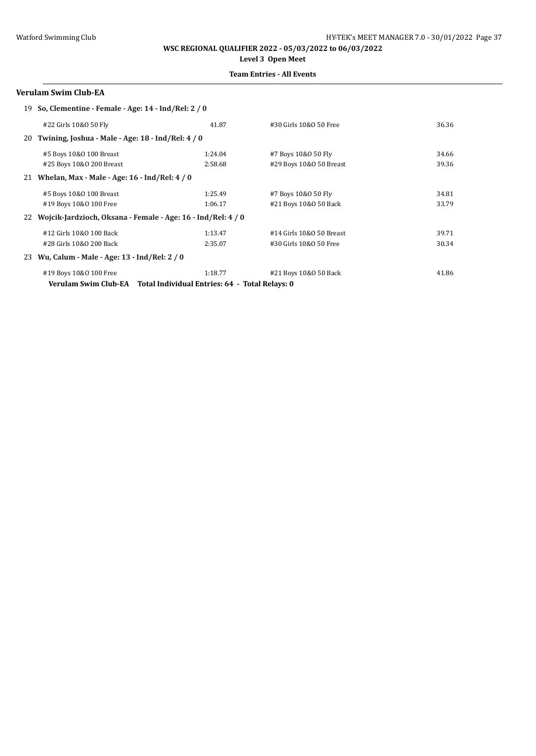# **Level 3 Open Meet**

## **Team Entries - All Events**

### **Verulam Swim Club-EA**

|    | 19 So, Clementine - Female - Age: 14 - Ind/Rel: 2 / 0        |                                                |                          |       |
|----|--------------------------------------------------------------|------------------------------------------------|--------------------------|-------|
|    | #22 Girls 10&0 50 Fly                                        | 41.87                                          | #30 Girls 10&0 50 Free   | 36.36 |
|    | 20 Twining, Joshua - Male - Age: 18 - Ind/Rel: 4 / 0         |                                                |                          |       |
|    | #5 Boys 10&0 100 Breast                                      | 1:24.04                                        | #7 Boys 10&0 50 Fly      | 34.66 |
|    | #25 Boys 10&0 200 Breast                                     | 2:58.68                                        | #29 Boys 10&0 50 Breast  | 39.36 |
| 21 | Whelan, Max - Male - Age: $16$ - Ind/Rel: $4/0$              |                                                |                          |       |
|    | #5 Boys 10&0 100 Breast                                      | 1:25.49                                        | #7 Boys 10&0 50 Fly      | 34.81 |
|    | #19 Boys 10&0 100 Free                                       | 1:06.17                                        | #21 Boys 10&0 50 Back    | 33.79 |
| 22 | Wojcik-Jardzioch, Oksana - Female - Age: 16 - Ind/Rel: 4 / 0 |                                                |                          |       |
|    | #12 Girls 10&0 100 Back                                      | 1:13.47                                        | #14 Girls 10&0 50 Breast | 39.71 |
|    | #28 Girls 10&0 200 Back                                      | 2:35.07                                        | #30 Girls 10&0 50 Free   | 30.34 |
| 23 | Wu, Calum - Male - Age: 13 - Ind/Rel: 2 / 0                  |                                                |                          |       |
|    | #19 Boys 10&0 100 Free                                       | 1:18.77                                        | #21 Boys 10&0 50 Back    | 41.86 |
|    | Verulam Swim Club-EA                                         | Total Individual Entries: 64 - Total Relays: 0 |                          |       |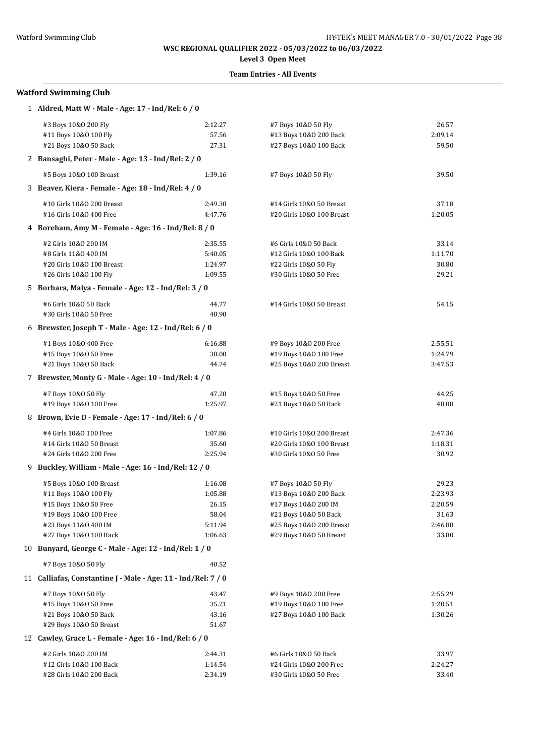# **Level 3 Open Meet**

### **Team Entries - All Events**

| 1 Aldred, Matt W - Male - Age: 17 - Ind/Rel: 6 / 0            |         |                           |         |
|---------------------------------------------------------------|---------|---------------------------|---------|
| #3 Boys 10&0 200 Fly                                          | 2:12.27 | #7 Boys 10&0 50 Fly       | 26.57   |
| #11 Boys 10&0 100 Fly                                         | 57.56   | #13 Boys 10&0 200 Back    | 2:09.14 |
| #21 Boys 10&0 50 Back                                         | 27.31   | #27 Boys 10&0 100 Back    | 59.50   |
| 2 Bansaghi, Peter - Male - Age: 13 - Ind/Rel: 2 / 0           |         |                           |         |
| #5 Boys 10&0 100 Breast                                       | 1:39.16 | #7 Boys 10&0 50 Fly       | 39.50   |
| 3 Beaver, Kiera - Female - Age: 18 - Ind/Rel: 4 / 0           |         |                           |         |
| #10 Girls 10&0 200 Breast                                     | 2:49.30 | #14 Girls 10&0 50 Breast  | 37.18   |
| #16 Girls 10&0 400 Free                                       | 4:47.76 | #20 Girls 10&0 100 Breast | 1:20.05 |
| 4 Boreham, Amy M - Female - Age: 16 - Ind/Rel: 8 / 0          |         |                           |         |
| #2 Girls 10&0 200 IM                                          | 2:35.55 | #6 Girls 10&0 50 Back     | 33.14   |
| #8 Girls 11&0 400 IM                                          | 5:40.05 | #12 Girls 10&0 100 Back   | 1:11.70 |
| #20 Girls 10&0 100 Breast                                     | 1:24.97 | #22 Girls 10&0 50 Fly     | 30.80   |
| #26 Girls 10&0 100 Fly                                        | 1:09.55 | #30 Girls 10&0 50 Free    | 29.21   |
| 5 Borhara, Maiya - Female - Age: 12 - Ind/Rel: 3 / 0          |         |                           |         |
| #6 Girls 10&0 50 Back                                         | 44.77   | #14 Girls 10&0 50 Breast  | 54.15   |
| #30 Girls 10&0 50 Free                                        | 40.90   |                           |         |
| 6 Brewster, Joseph T - Male - Age: 12 - Ind/Rel: 6 / 0        |         |                           |         |
| #1 Boys 10&0 400 Free                                         | 6:16.88 | #9 Boys 10&0 200 Free     | 2:55.51 |
| #15 Boys 10&0 50 Free                                         | 38.00   | #19 Boys 10&0 100 Free    | 1:24.79 |
| #21 Boys 10&0 50 Back                                         | 44.74   | #25 Boys 10&0 200 Breast  | 3:47.53 |
| 7 Brewster, Monty G - Male - Age: 10 - Ind/Rel: 4 / 0         |         |                           |         |
| #7 Boys 10&0 50 Fly                                           | 47.20   | #15 Boys 10&0 50 Free     | 44.25   |
| #19 Boys 10&0 100 Free                                        | 1:25.97 | #21 Boys 10&0 50 Back     | 48.08   |
| 8 Brown, Evie D - Female - Age: 17 - Ind/Rel: 6 / 0           |         |                           |         |
| #4 Girls 10&0 100 Free                                        | 1:07.86 | #10 Girls 10&0 200 Breast | 2:47.36 |
| #14 Girls 10&0 50 Breast                                      | 35.60   | #20 Girls 10&0 100 Breast | 1:18.31 |
| #24 Girls 10&0 200 Free                                       | 2:25.94 | #30 Girls 10&0 50 Free    | 30.92   |
| 9 Buckley, William - Male - Age: 16 - Ind/Rel: 12 / 0         |         |                           |         |
| #5 Boys 10&0 100 Breast                                       | 1:16.08 | #7 Boys 10&0 50 Fly       | 29.23   |
| #11 Boys 10&0 100 Fly                                         | 1:05.88 | #13 Boys 10&0 200 Back    | 2:23.93 |
| #15 Boys 10&0 50 Free                                         | 26.15   | #17 Boys 10&0 200 IM      | 2:20.59 |
| #19 Boys 10&0 100 Free                                        | 58.04   | #21 Boys 10&0 50 Back     | 31.63   |
| #23 Boys 11&0 400 IM                                          | 5:11.94 | #25 Boys 10&0 200 Breast  | 2:46.88 |
| #27 Boys 10&0 100 Back                                        | 1:06.63 | #29 Boys 10&0 50 Breast   | 33.80   |
| 10 Bunyard, George C - Male - Age: 12 - Ind/Rel: 1 / 0        |         |                           |         |
| #7 Boys 10&0 50 Fly                                           | 40.52   |                           |         |
| 11 Calliafas, Constantine J - Male - Age: 11 - Ind/Rel: 7 / 0 |         |                           |         |
| #7 Boys 10&0 50 Fly                                           | 43.47   | #9 Boys 10&0 200 Free     | 2:55.29 |
| #15 Boys 10&0 50 Free                                         | 35.21   | #19 Boys 10&0 100 Free    | 1:20.51 |
| #21 Boys 10&0 50 Back                                         | 43.16   | #27 Boys 10&0 100 Back    | 1:30.26 |
| #29 Boys 10&0 50 Breast                                       | 51.67   |                           |         |
| 12 Cawley, Grace L - Female - Age: 16 - Ind/Rel: 6 / 0        |         |                           |         |
| #2 Girls 10&0 200 IM                                          | 2:44.31 | #6 Girls 10&0 50 Back     | 33.97   |
| #12 Girls 10&0 100 Back                                       | 1:14.54 | #24 Girls 10&0 200 Free   | 2:24.27 |
| #28 Girls 10&0 200 Back                                       | 2:34.19 | #30 Girls 10&0 50 Free    | 33.40   |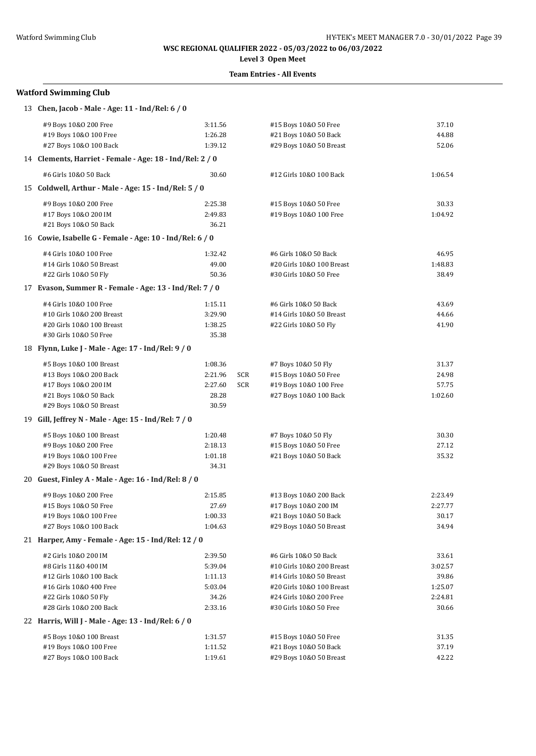# **Level 3 Open Meet**

### **Team Entries - All Events**

| 13 Chen, Jacob - Male - Age: 11 - Ind/Rel: 6 / 0         |         |     |                           |         |
|----------------------------------------------------------|---------|-----|---------------------------|---------|
| #9 Boys 10&0 200 Free                                    | 3:11.56 |     | #15 Boys 10&0 50 Free     | 37.10   |
| #19 Boys 10&0 100 Free                                   | 1:26.28 |     | #21 Boys 10&0 50 Back     | 44.88   |
| #27 Boys 10&0 100 Back                                   | 1:39.12 |     | #29 Boys 10&0 50 Breast   | 52.06   |
| 14 Clements, Harriet - Female - Age: 18 - Ind/Rel: 2 / 0 |         |     |                           |         |
| #6 Girls 10&0 50 Back                                    | 30.60   |     | #12 Girls 10&0 100 Back   | 1:06.54 |
| 15 Coldwell, Arthur - Male - Age: 15 - Ind/Rel: 5 / 0    |         |     |                           |         |
| #9 Boys 10&0 200 Free                                    | 2:25.38 |     | #15 Boys 10&0 50 Free     | 30.33   |
| #17 Boys 10&0 200 IM                                     | 2:49.83 |     | #19 Boys 10&0 100 Free    | 1:04.92 |
| #21 Boys 10&0 50 Back                                    | 36.21   |     |                           |         |
| 16 Cowie, Isabelle G - Female - Age: 10 - Ind/Rel: 6 / 0 |         |     |                           |         |
| #4 Girls 10&0 100 Free                                   | 1:32.42 |     | #6 Girls 10&0 50 Back     | 46.95   |
| #14 Girls 10&0 50 Breast                                 | 49.00   |     | #20 Girls 10&0 100 Breast | 1:48.83 |
| #22 Girls 10&0 50 Fly                                    | 50.36   |     | #30 Girls 10&0 50 Free    | 38.49   |
| 17 Evason, Summer R - Female - Age: 13 - Ind/Rel: 7 / 0  |         |     |                           |         |
| #4 Girls 10&0 100 Free                                   | 1:15.11 |     | #6 Girls 10&0 50 Back     | 43.69   |
| #10 Girls 10&0 200 Breast                                | 3:29.90 |     | #14 Girls 10&0 50 Breast  | 44.66   |
| #20 Girls 10&0 100 Breast                                | 1:38.25 |     | #22 Girls 10&0 50 Fly     | 41.90   |
| #30 Girls 10&0 50 Free                                   | 35.38   |     |                           |         |
| 18 Flynn, Luke J - Male - Age: 17 - Ind/Rel: 9 / 0       |         |     |                           |         |
| #5 Boys 10&0 100 Breast                                  | 1:08.36 |     | #7 Boys 10&0 50 Fly       | 31.37   |
| #13 Boys 10&0 200 Back                                   | 2:21.96 | SCR | #15 Boys 10&0 50 Free     | 24.98   |
| #17 Boys 10&0 200 IM                                     | 2:27.60 | SCR | #19 Boys 10&0 100 Free    | 57.75   |
| #21 Boys 10&0 50 Back                                    | 28.28   |     | #27 Boys 10&0 100 Back    | 1:02.60 |
| #29 Boys 10&0 50 Breast                                  | 30.59   |     |                           |         |
| 19 Gill, Jeffrey N - Male - Age: 15 - Ind/Rel: 7 / 0     |         |     |                           |         |
| #5 Boys 10&0 100 Breast                                  | 1:20.48 |     | #7 Boys 10&0 50 Fly       | 30.30   |
| #9 Boys 10&0 200 Free                                    | 2:18.13 |     | #15 Boys 10&0 50 Free     | 27.12   |
| #19 Boys 10&0 100 Free                                   | 1:01.18 |     | #21 Boys 10&0 50 Back     | 35.32   |
| #29 Boys 10&0 50 Breast                                  | 34.31   |     |                           |         |
| 20 Guest, Finley A - Male - Age: 16 - Ind/Rel: 8 / 0     |         |     |                           |         |
| #9 Boys 10&0 200 Free                                    | 2:15.85 |     | #13 Boys 10&0 200 Back    | 2:23.49 |
| #15 Boys 10&0 50 Free                                    | 27.69   |     | #17 Boys 10&0 200 IM      | 2:27.77 |
| #19 Boys 10&0 100 Free                                   | 1:00.33 |     | #21 Boys 10&0 50 Back     | 30.17   |
| #27 Boys 10&0 100 Back                                   | 1:04.63 |     | #29 Boys 10&0 50 Breast   | 34.94   |
| 21 Harper, Amy - Female - Age: 15 - Ind/Rel: 12 / 0      |         |     |                           |         |
| #2 Girls 10&0 200 IM                                     | 2:39.50 |     | #6 Girls 10&0 50 Back     | 33.61   |
| #8 Girls 11&0 400 IM                                     | 5:39.04 |     | #10 Girls 10&0 200 Breast | 3:02.57 |
| #12 Girls 10&0 100 Back                                  | 1:11.13 |     | #14 Girls 10&0 50 Breast  | 39.86   |
| #16 Girls 10&0 400 Free                                  | 5:03.04 |     | #20 Girls 10&0 100 Breast | 1:25.07 |
| #22 Girls 10&0 50 Fly                                    | 34.26   |     | #24 Girls 10&0 200 Free   | 2:24.81 |
| #28 Girls 10&0 200 Back                                  | 2:33.16 |     | #30 Girls 10&0 50 Free    | 30.66   |
| 22 Harris, Will J - Male - Age: 13 - Ind/Rel: 6 / 0      |         |     |                           |         |
| #5 Boys 10&0 100 Breast                                  | 1:31.57 |     | #15 Boys 10&0 50 Free     | 31.35   |
| #19 Boys 10&0 100 Free                                   | 1:11.52 |     | #21 Boys 10&0 50 Back     | 37.19   |
| #27 Boys 10&0 100 Back                                   | 1:19.61 |     | #29 Boys 10&0 50 Breast   | 42.22   |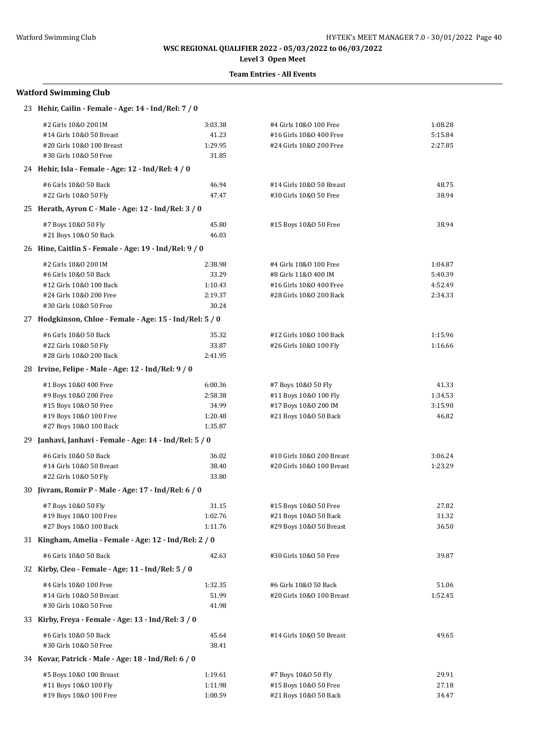# **Level 3 Open Meet**

## **Team Entries - All Events**

| 23 Hehir, Cailin - Female - Age: 14 - Ind/Rel: 7 / 0     |         |                           |         |
|----------------------------------------------------------|---------|---------------------------|---------|
| #2 Girls 10&0 200 IM                                     | 3:03.38 | #4 Girls 10&0 100 Free    | 1:08.28 |
| #14 Girls 10&0 50 Breast                                 | 41.23   | #16 Girls 10&0 400 Free   | 5:15.84 |
| #20 Girls 10&0 100 Breast                                | 1:29.95 | #24 Girls 10&0 200 Free   | 2:27.85 |
| #30 Girls 10&0 50 Free                                   | 31.85   |                           |         |
| 24 Hehir, Isla - Female - Age: 12 - Ind/Rel: 4 / 0       |         |                           |         |
| #6 Girls 10&0 50 Back                                    | 46.94   | #14 Girls 10&0 50 Breast  | 48.75   |
| #22 Girls 10&0 50 Fly                                    | 47.47   | #30 Girls 10&0 50 Free    | 38.94   |
| 25 Herath, Ayron C - Male - Age: 12 - Ind/Rel: 3 / 0     |         |                           |         |
| #7 Boys 10&0 50 Fly                                      | 45.80   | #15 Boys 10&0 50 Free     | 38.94   |
| #21 Boys 10&0 50 Back                                    | 46.03   |                           |         |
| 26 Hine, Caitlin S - Female - Age: 19 - Ind/Rel: 9 / 0   |         |                           |         |
| #2 Girls 10&0 200 IM                                     | 2:38.98 | #4 Girls 10&0 100 Free    | 1:04.87 |
| #6 Girls 10&0 50 Back                                    | 33.29   | #8 Girls 11&0 400 IM      | 5:40.39 |
| #12 Girls 10&0 100 Back                                  | 1:10.43 | #16 Girls 10&0 400 Free   | 4:52.49 |
| #24 Girls 10&0 200 Free                                  | 2:19.37 | #28 Girls 10&0 200 Back   | 2:34.33 |
| #30 Girls 10&0 50 Free                                   | 30.24   |                           |         |
| 27 Hodgkinson, Chloe - Female - Age: 15 - Ind/Rel: 5 / 0 |         |                           |         |
| #6 Girls 10&0 50 Back                                    | 35.32   | #12 Girls 10&0 100 Back   | 1:15.96 |
| #22 Girls 10&0 50 Fly                                    | 33.87   | #26 Girls 10&0 100 Fly    | 1:16.66 |
| #28 Girls 10&0 200 Back                                  | 2:41.95 |                           |         |
| 28 Irvine, Felipe - Male - Age: 12 - Ind/Rel: 9 / 0      |         |                           |         |
| #1 Boys 10&0 400 Free                                    | 6:00.36 | #7 Boys 10&0 50 Fly       | 41.33   |
| #9 Boys 10&0 200 Free                                    | 2:58.38 | #11 Boys 10&0 100 Fly     | 1:34.53 |
| #15 Boys 10&0 50 Free                                    | 34.99   | #17 Boys 10&0 200 IM      | 3:15.90 |
| #19 Boys 10&0 100 Free                                   | 1:20.48 | #21 Boys 10&0 50 Back     | 46.82   |
| #27 Boys 10&0 100 Back                                   | 1:35.87 |                           |         |
| 29 Janhavi, Janhavi - Female - Age: 14 - Ind/Rel: 5 / 0  |         |                           |         |
| #6 Girls 10&0 50 Back                                    | 36.02   | #10 Girls 10&0 200 Breast | 3:06.24 |
| #14 Girls 10&0 50 Breast                                 | 38.40   | #20 Girls 10&0 100 Breast | 1:23.29 |
| #22 Girls 10&0 50 Fly                                    | 33.80   |                           |         |
| 30 Jivram, Romir P - Male - Age: 17 - Ind/Rel: 6 / 0     |         |                           |         |
| #7 Boys 10&0 50 Fly                                      | 31.15   | #15 Boys 10&0 50 Free     | 27.82   |
| #19 Boys 10&0 100 Free                                   | 1:02.76 | #21 Boys 10&0 50 Back     | 31.32   |
| #27 Boys 10&0 100 Back                                   | 1:11.76 | #29 Boys 10&0 50 Breast   | 36.50   |
| 31 Kingham, Amelia - Female - Age: 12 - Ind/Rel: 2 / 0   |         |                           |         |
| #6 Girls 10&0 50 Back                                    | 42.63   | #30 Girls 10&0 50 Free    | 39.87   |
| 32 Kirby, Cleo - Female - Age: 11 - Ind/Rel: 5 / 0       |         |                           |         |
| #4 Girls 10&0 100 Free                                   | 1:32.35 | #6 Girls 10&0 50 Back     | 51.06   |
| #14 Girls 10&0 50 Breast                                 | 51.99   | #20 Girls 10&0 100 Breast | 1:52.45 |
| #30 Girls 10&0 50 Free                                   | 41.98   |                           |         |
| 33 Kirby, Freya - Female - Age: 13 - Ind/Rel: 3 / 0      |         |                           |         |
| #6 Girls 10&0 50 Back                                    | 45.64   | #14 Girls 10&0 50 Breast  | 49.65   |
| #30 Girls 10&0 50 Free                                   | 38.41   |                           |         |
| 34 Kovar, Patrick - Male - Age: 18 - Ind/Rel: 6 / 0      |         |                           |         |
| #5 Boys 10&0 100 Breast                                  | 1:19.61 | #7 Boys 10&0 50 Fly       | 29.91   |
| #11 Boys 10&0 100 Fly                                    | 1:11.98 | #15 Boys 10&0 50 Free     | 27.18   |
| #19 Boys 10&0 100 Free                                   | 1:00.59 | #21 Boys 10&0 50 Back     | 34.47   |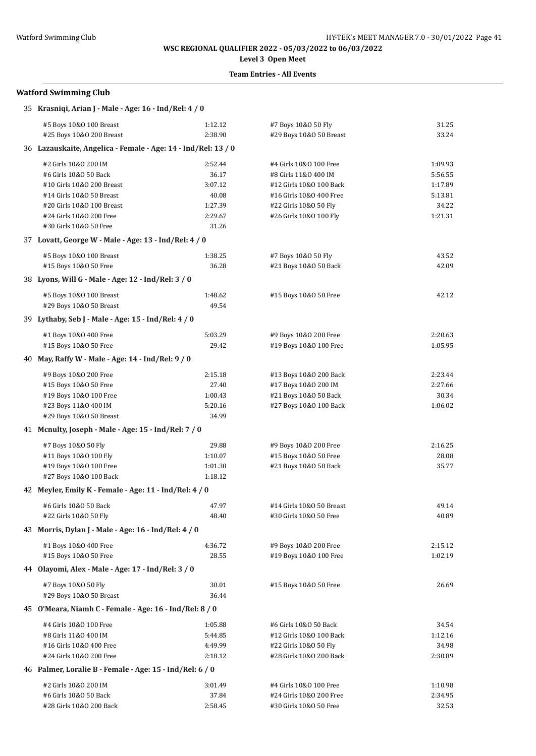**Level 3 Open Meet**

### **Team Entries - All Events**

| 35 Krasniqi, Arian J - Male - Age: 16 - Ind/Rel: 4 / 0        |         |                          |         |  |  |
|---------------------------------------------------------------|---------|--------------------------|---------|--|--|
| #5 Boys 10&0 100 Breast                                       | 1:12.12 | #7 Boys 10&0 50 Fly      | 31.25   |  |  |
| #25 Boys 10&0 200 Breast                                      | 2:38.90 | #29 Boys 10&0 50 Breast  | 33.24   |  |  |
| 36 Lazauskaite, Angelica - Female - Age: 14 - Ind/Rel: 13 / 0 |         |                          |         |  |  |
| #2 Girls 10&0 200 IM                                          | 2:52.44 | #4 Girls 10&0 100 Free   | 1:09.93 |  |  |
| #6 Girls 10&0 50 Back                                         | 36.17   | #8 Girls 11&0 400 IM     | 5:56.55 |  |  |
| #10 Girls 10&0 200 Breast                                     | 3:07.12 | #12 Girls 10&0 100 Back  | 1:17.89 |  |  |
| #14 Girls 10&0 50 Breast                                      | 40.08   | #16 Girls 10&0 400 Free  | 5:13.81 |  |  |
| #20 Girls 10&0 100 Breast                                     | 1:27.39 | #22 Girls 10&0 50 Fly    | 34.22   |  |  |
| #24 Girls 10&0 200 Free                                       | 2:29.67 | #26 Girls 10&0 100 Fly   | 1:21.31 |  |  |
| #30 Girls 10&0 50 Free                                        | 31.26   |                          |         |  |  |
| 37 Lovatt, George W - Male - Age: 13 - Ind/Rel: 4 / 0         |         |                          |         |  |  |
| #5 Boys 10&0 100 Breast                                       | 1:38.25 | #7 Boys 10&0 50 Fly      | 43.52   |  |  |
| #15 Boys 10&0 50 Free                                         | 36.28   | #21 Boys 10&0 50 Back    | 42.09   |  |  |
| 38 Lyons, Will G - Male - Age: 12 - Ind/Rel: 3 / 0            |         |                          |         |  |  |
| #5 Boys 10&0 100 Breast                                       | 1:48.62 | #15 Boys 10&0 50 Free    | 42.12   |  |  |
| #29 Boys 10&0 50 Breast                                       | 49.54   |                          |         |  |  |
| 39 Lythaby, Seb J - Male - Age: 15 - Ind/Rel: 4 / 0           |         |                          |         |  |  |
| #1 Boys 10&0 400 Free                                         | 5:03.29 | #9 Boys 10&0 200 Free    | 2:20.63 |  |  |
| #15 Boys 10&0 50 Free                                         | 29.42   | #19 Boys 10&0 100 Free   | 1:05.95 |  |  |
| 40 May, Raffy W - Male - Age: 14 - Ind/Rel: 9 / 0             |         |                          |         |  |  |
| #9 Boys 10&0 200 Free                                         | 2:15.18 | #13 Boys 10&0 200 Back   | 2:23.44 |  |  |
| #15 Boys 10&0 50 Free                                         | 27.40   | #17 Boys 10&0 200 IM     | 2:27.66 |  |  |
| #19 Boys 10&0 100 Free                                        | 1:00.43 | #21 Boys 10&0 50 Back    | 30.34   |  |  |
| #23 Boys 11&0 400 IM                                          | 5:20.16 | #27 Boys 10&0 100 Back   | 1:06.02 |  |  |
| #29 Boys 10&0 50 Breast                                       | 34.99   |                          |         |  |  |
| 41 Mcnulty, Joseph - Male - Age: 15 - Ind/Rel: 7 / 0          |         |                          |         |  |  |
| #7 Boys 10&0 50 Fly                                           | 29.88   | #9 Boys 10&0 200 Free    | 2:16.25 |  |  |
| #11 Boys 10&0 100 Fly                                         | 1:10.07 | #15 Boys 10&0 50 Free    | 28.08   |  |  |
| #19 Boys 10&0 100 Free                                        | 1:01.30 | #21 Boys 10&0 50 Back    | 35.77   |  |  |
| #27 Boys 10&0 100 Back                                        | 1:18.12 |                          |         |  |  |
| 42 Meyler, Emily K - Female - Age: 11 - Ind/Rel: 4 / 0        |         |                          |         |  |  |
| #6 Girls 10&0 50 Back                                         | 47.97   | #14 Girls 10&0 50 Breast | 49.14   |  |  |
| #22 Girls 10&0 50 Fly                                         | 48.40   | #30 Girls 10&0 50 Free   | 40.89   |  |  |
| 43 Morris, Dylan J - Male - Age: 16 - Ind/Rel: 4 / 0          |         |                          |         |  |  |
| #1 Boys 10&0 400 Free                                         | 4:36.72 | #9 Boys 10&0 200 Free    | 2:15.12 |  |  |
| #15 Boys 10&0 50 Free                                         | 28.55   | #19 Boys 10&0 100 Free   | 1:02.19 |  |  |
| 44 Olayomi, Alex - Male - Age: 17 - Ind/Rel: 3 / 0            |         |                          |         |  |  |
| #7 Boys 10&0 50 Fly                                           | 30.01   | #15 Boys 10&0 50 Free    | 26.69   |  |  |
| #29 Boys 10&0 50 Breast                                       | 36.44   |                          |         |  |  |
| 45 O'Meara, Niamh C - Female - Age: 16 - Ind/Rel: 8 / 0       |         |                          |         |  |  |
| #4 Girls 10&0 100 Free                                        | 1:05.88 | #6 Girls 10&0 50 Back    | 34.54   |  |  |
| #8 Girls 11&0 400 IM                                          | 5:44.85 | #12 Girls 10&0 100 Back  | 1:12.16 |  |  |
| #16 Girls 10&0 400 Free                                       | 4:49.99 | #22 Girls 10&0 50 Fly    | 34.98   |  |  |
| #24 Girls 10&0 200 Free                                       | 2:18.12 | #28 Girls 10&0 200 Back  | 2:30.89 |  |  |
| 46 Palmer, Loralie B - Female - Age: 15 - Ind/Rel: 6 / 0      |         |                          |         |  |  |
| #2 Girls 10&0 200 IM                                          | 3:01.49 | #4 Girls 10&0 100 Free   | 1:10.98 |  |  |
| #6 Girls 10&0 50 Back                                         | 37.84   | #24 Girls 10&0 200 Free  | 2:34.95 |  |  |
| #28 Girls 10&0 200 Back                                       | 2:58.45 | #30 Girls 10&0 50 Free   | 32.53   |  |  |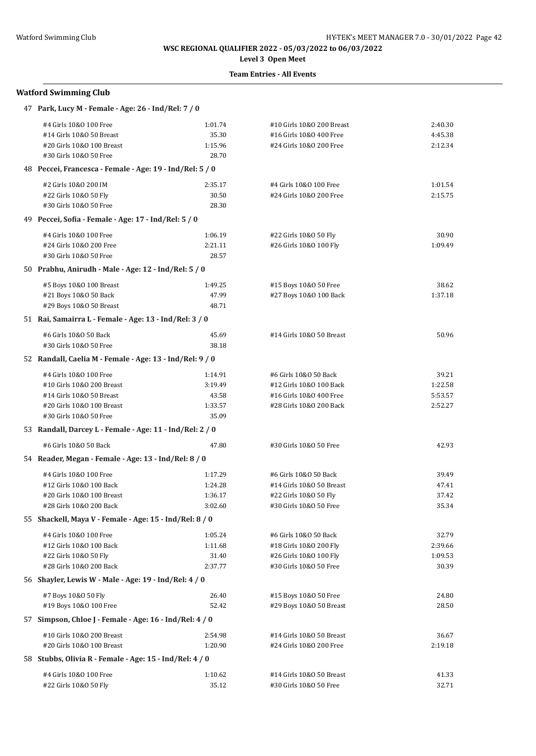# **Level 3 Open Meet**

# **Team Entries - All Events**

| 47 Park, Lucy M - Female - Age: 26 - Ind/Rel: 7 / 0      |         |                           |         |  |  |
|----------------------------------------------------------|---------|---------------------------|---------|--|--|
| #4 Girls 10&0 100 Free                                   | 1:01.74 | #10 Girls 10&0 200 Breast | 2:40.30 |  |  |
| #14 Girls 10&0 50 Breast                                 | 35.30   | #16 Girls 10&0 400 Free   | 4:45.38 |  |  |
| #20 Girls 10&0 100 Breast                                | 1:15.96 | #24 Girls 10&0 200 Free   | 2:12.34 |  |  |
| #30 Girls 10&0 50 Free                                   | 28.70   |                           |         |  |  |
| 48 Peccei, Francesca - Female - Age: 19 - Ind/Rel: 5 / 0 |         |                           |         |  |  |
| #2 Girls 10&0 200 IM                                     | 2:35.17 | #4 Girls 10&0 100 Free    | 1:01.54 |  |  |
| #22 Girls 10&0 50 Fly                                    | 30.50   | #24 Girls 10&0 200 Free   | 2:15.75 |  |  |
| #30 Girls 10&0 50 Free                                   | 28.30   |                           |         |  |  |
| 49 Peccei, Sofia - Female - Age: 17 - Ind/Rel: 5 / 0     |         |                           |         |  |  |
| #4 Girls 10&0 100 Free                                   | 1:06.19 | #22 Girls 10&0 50 Fly     | 30.90   |  |  |
| #24 Girls 10&0 200 Free                                  | 2:21.11 | #26 Girls 10&0 100 Fly    | 1:09.49 |  |  |
| #30 Girls 10&0 50 Free                                   | 28.57   |                           |         |  |  |
| 50 Prabhu, Anirudh - Male - Age: 12 - Ind/Rel: 5 / 0     |         |                           |         |  |  |
| #5 Boys 10&0 100 Breast                                  | 1:49.25 | #15 Boys 10&0 50 Free     | 38.62   |  |  |
| #21 Boys 10&0 50 Back                                    | 47.99   | #27 Boys 10&0 100 Back    | 1:37.18 |  |  |
| #29 Boys 10&0 50 Breast                                  | 48.71   |                           |         |  |  |
| 51 Rai, Samairra L - Female - Age: 13 - Ind/Rel: 3 / 0   |         |                           |         |  |  |
| #6 Girls 10&0 50 Back                                    | 45.69   | #14 Girls 10&0 50 Breast  | 50.96   |  |  |
| #30 Girls 10&0 50 Free                                   | 38.18   |                           |         |  |  |
| 52 Randall, Caelia M - Female - Age: 13 - Ind/Rel: 9 / 0 |         |                           |         |  |  |
| #4 Girls 10&0 100 Free                                   | 1:14.91 | #6 Girls 10&0 50 Back     | 39.21   |  |  |
| #10 Girls 10&0 200 Breast                                | 3:19.49 | #12 Girls 10&0 100 Back   | 1:22.58 |  |  |
| #14 Girls 10&0 50 Breast                                 | 43.58   | #16 Girls 10&0 400 Free   | 5:53.57 |  |  |
| #20 Girls 10&0 100 Breast                                | 1:33.57 | #28 Girls 10&0 200 Back   | 2:52.27 |  |  |
| #30 Girls 10&0 50 Free                                   | 35.09   |                           |         |  |  |
| 53 Randall, Darcey L - Female - Age: 11 - Ind/Rel: 2 / 0 |         |                           |         |  |  |
| #6 Girls 10&0 50 Back                                    | 47.80   | #30 Girls 10&0 50 Free    | 42.93   |  |  |
| 54 Reader, Megan - Female - Age: 13 - Ind/Rel: 8 / 0     |         |                           |         |  |  |
| #4 Girls 10&0 100 Free                                   | 1:17.29 | #6 Girls 10&0 50 Back     | 39.49   |  |  |
| #12 Girls 10&0 100 Back                                  | 1:24.28 | #14 Girls 10&0 50 Breast  | 47.41   |  |  |
| #20 Girls 10&0 100 Breast                                | 1:36.17 | #22 Girls 10&0 50 Fly     | 37.42   |  |  |
| #28 Girls 10&0 200 Back                                  | 3:02.60 | #30 Girls 10&0 50 Free    | 35.34   |  |  |
| 55 Shackell, Maya V - Female - Age: 15 - Ind/Rel: 8 / 0  |         |                           |         |  |  |
| #4 Girls 10&0 100 Free                                   | 1:05.24 | #6 Girls 10&0 50 Back     | 32.79   |  |  |
| #12 Girls 10&0 100 Back                                  | 1:11.68 | #18 Girls 10&0 200 Fly    | 2:39.66 |  |  |
| #22 Girls 10&0 50 Fly                                    | 31.40   | #26 Girls 10&0 100 Fly    | 1:09.53 |  |  |
| #28 Girls 10&0 200 Back                                  | 2:37.77 | #30 Girls 10&0 50 Free    | 30.39   |  |  |
| 56 Shayler, Lewis W - Male - Age: 19 - Ind/Rel: 4 / 0    |         |                           |         |  |  |
| #7 Boys 10&0 50 Fly                                      | 26.40   | #15 Boys 10&0 50 Free     | 24.80   |  |  |
| #19 Boys 10&0 100 Free                                   | 52.42   | #29 Boys 10&0 50 Breast   | 28.50   |  |  |
| 57 Simpson, Chloe J - Female - Age: 16 - Ind/Rel: 4 / 0  |         |                           |         |  |  |
| #10 Girls 10&0 200 Breast                                | 2:54.98 | #14 Girls 10&0 50 Breast  | 36.67   |  |  |
| #20 Girls 10&0 100 Breast                                | 1:20.90 | #24 Girls 10&0 200 Free   | 2:19.18 |  |  |
| 58 Stubbs, Olivia R - Female - Age: 15 - Ind/Rel: 4 / 0  |         |                           |         |  |  |
| #4 Girls 10&0 100 Free                                   | 1:10.62 | #14 Girls 10&0 50 Breast  | 41.33   |  |  |
| #22 Girls 10&0 50 Fly                                    | 35.12   | #30 Girls 10&0 50 Free    | 32.71   |  |  |